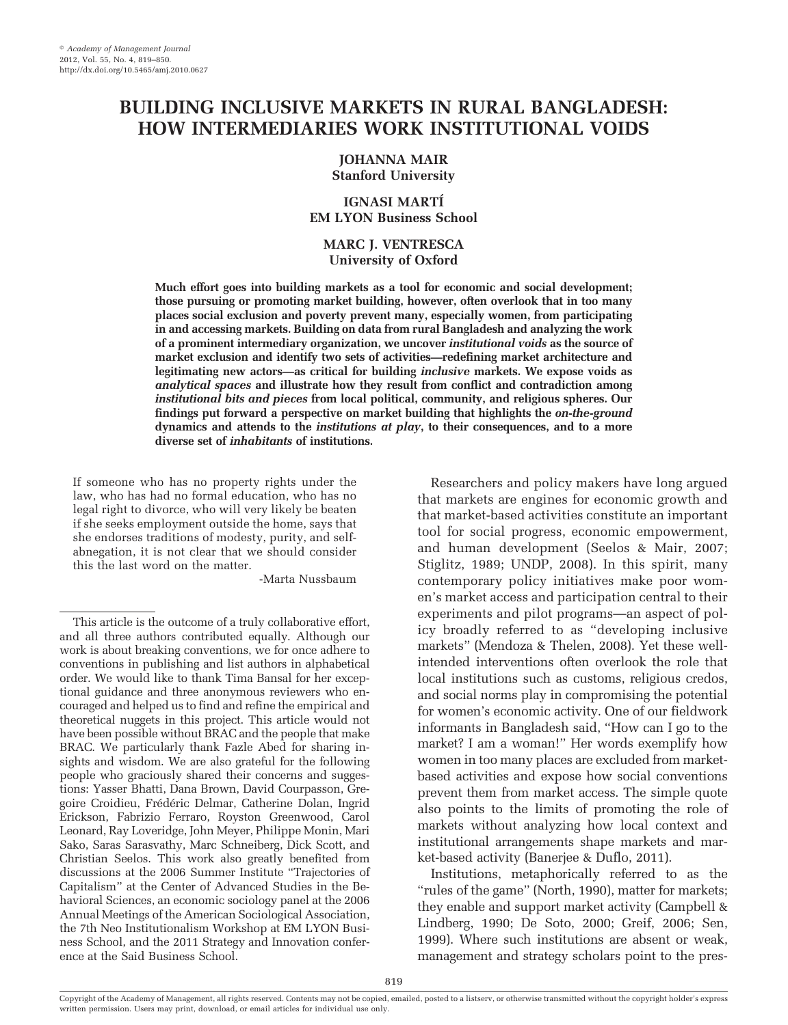# **BUILDING INCLUSIVE MARKETS IN RURAL BANGLADESH: HOW INTERMEDIARIES WORK INSTITUTIONAL VOIDS**

# **JOHANNA MAIR Stanford University**

# **IGNASI MARTÍ EM LYON Business School**

# **MARC J. VENTRESCA University of Oxford**

**Much effort goes into building markets as a tool for economic and social development; those pursuing or promoting market building, however, often overlook that in too many places social exclusion and poverty prevent many, especially women, from participating in and accessing markets. Building on data from rural Bangladesh and analyzing the work of a prominent intermediary organization, we uncover** *institutional voids* **as the source of market exclusion and identify two sets of activities—redefining market architecture and legitimating new actors—as critical for building** *inclusive* **markets. We expose voids as** *analytical spaces* **and illustrate how they result from conflict and contradiction among** *institutional bits and pieces* **from local political, community, and religious spheres. Our findings put forward a perspective on market building that highlights the** *on-the-ground* **dynamics and attends to the** *institutions at play***, to their consequences, and to a more diverse set of** *inhabitants* **of institutions.**

If someone who has no property rights under the law, who has had no formal education, who has no legal right to divorce, who will very likely be beaten if she seeks employment outside the home, says that she endorses traditions of modesty, purity, and selfabnegation, it is not clear that we should consider this the last word on the matter.

-Marta Nussbaum

Researchers and policy makers have long argued that markets are engines for economic growth and that market-based activities constitute an important tool for social progress, economic empowerment, and human development (Seelos & Mair, 2007; Stiglitz, 1989; UNDP, 2008). In this spirit, many contemporary policy initiatives make poor women's market access and participation central to their experiments and pilot programs—an aspect of policy broadly referred to as "developing inclusive markets" (Mendoza & Thelen, 2008). Yet these wellintended interventions often overlook the role that local institutions such as customs, religious credos, and social norms play in compromising the potential for women's economic activity. One of our fieldwork informants in Bangladesh said, "How can I go to the market? I am a woman!" Her words exemplify how women in too many places are excluded from marketbased activities and expose how social conventions prevent them from market access. The simple quote also points to the limits of promoting the role of markets without analyzing how local context and institutional arrangements shape markets and market-based activity (Banerjee & Duflo, 2011).

Institutions, metaphorically referred to as the "rules of the game" (North, 1990), matter for markets; they enable and support market activity (Campbell & Lindberg, 1990; De Soto, 2000; Greif, 2006; Sen, 1999). Where such institutions are absent or weak, management and strategy scholars point to the pres-

This article is the outcome of a truly collaborative effort, and all three authors contributed equally. Although our work is about breaking conventions, we for once adhere to conventions in publishing and list authors in alphabetical order. We would like to thank Tima Bansal for her exceptional guidance and three anonymous reviewers who encouraged and helped us to find and refine the empirical and theoretical nuggets in this project. This article would not have been possible without BRAC and the people that make BRAC. We particularly thank Fazle Abed for sharing insights and wisdom. We are also grateful for the following people who graciously shared their concerns and suggestions: Yasser Bhatti, Dana Brown, David Courpasson, Gregoire Croidieu, Frédéric Delmar, Catherine Dolan, Ingrid Erickson, Fabrizio Ferraro, Royston Greenwood, Carol Leonard, Ray Loveridge, John Meyer, Philippe Monin, Mari Sako, Saras Sarasvathy, Marc Schneiberg, Dick Scott, and Christian Seelos. This work also greatly benefited from discussions at the 2006 Summer Institute "Trajectories of Capitalism" at the Center of Advanced Studies in the Behavioral Sciences, an economic sociology panel at the 2006 Annual Meetings of the American Sociological Association, the 7th Neo Institutionalism Workshop at EM LYON Business School, and the 2011 Strategy and Innovation conference at the Said Business School.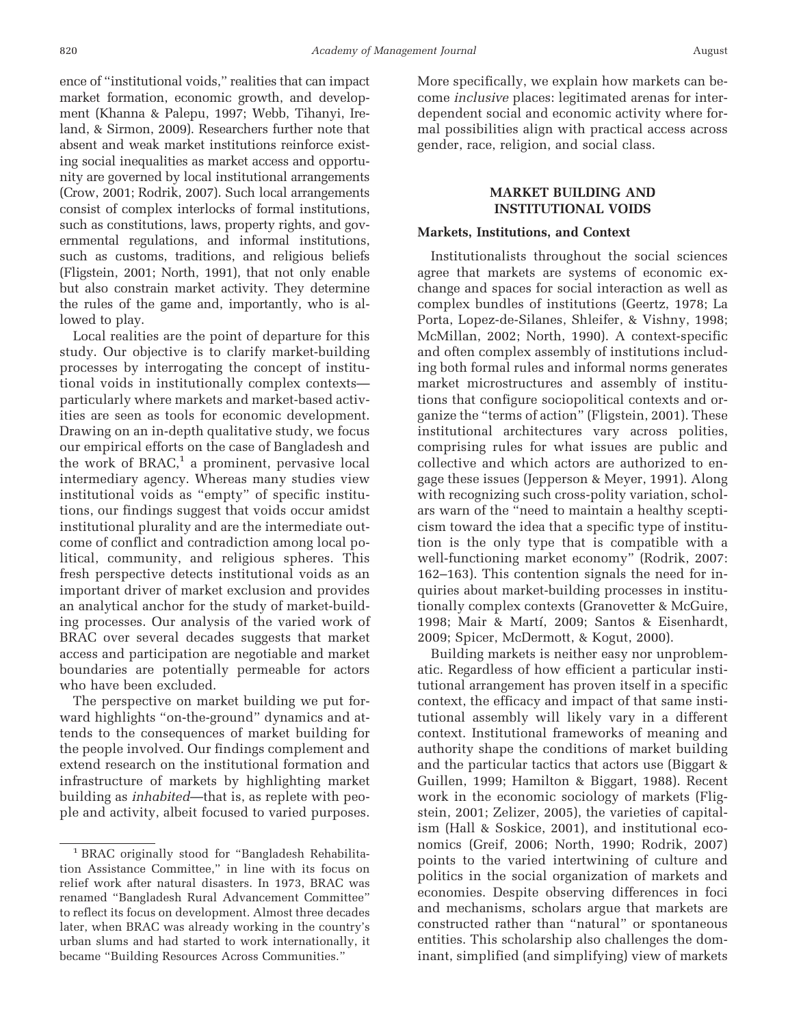ence of "institutional voids," realities that can impact market formation, economic growth, and development (Khanna & Palepu, 1997; Webb, Tihanyi, Ireland, & Sirmon, 2009). Researchers further note that absent and weak market institutions reinforce existing social inequalities as market access and opportunity are governed by local institutional arrangements (Crow, 2001; Rodrik, 2007). Such local arrangements consist of complex interlocks of formal institutions, such as constitutions, laws, property rights, and governmental regulations, and informal institutions, such as customs, traditions, and religious beliefs (Fligstein, 2001; North, 1991), that not only enable but also constrain market activity. They determine the rules of the game and, importantly, who is allowed to play.

Local realities are the point of departure for this study. Our objective is to clarify market-building processes by interrogating the concept of institutional voids in institutionally complex contexts particularly where markets and market-based activities are seen as tools for economic development. Drawing on an in-depth qualitative study, we focus our empirical efforts on the case of Bangladesh and the work of  $B RAC<sup>1</sup>$  a prominent, pervasive local intermediary agency. Whereas many studies view institutional voids as "empty" of specific institutions, our findings suggest that voids occur amidst institutional plurality and are the intermediate outcome of conflict and contradiction among local political, community, and religious spheres. This fresh perspective detects institutional voids as an important driver of market exclusion and provides an analytical anchor for the study of market-building processes. Our analysis of the varied work of BRAC over several decades suggests that market access and participation are negotiable and market boundaries are potentially permeable for actors who have been excluded.

The perspective on market building we put forward highlights "on-the-ground" dynamics and attends to the consequences of market building for the people involved. Our findings complement and extend research on the institutional formation and infrastructure of markets by highlighting market building as *inhabited*—that is, as replete with people and activity, albeit focused to varied purposes.

More specifically, we explain how markets can become *inclusive* places: legitimated arenas for interdependent social and economic activity where formal possibilities align with practical access across gender, race, religion, and social class.

# **MARKET BUILDING AND INSTITUTIONAL VOIDS**

# **Markets, Institutions, and Context**

Institutionalists throughout the social sciences agree that markets are systems of economic exchange and spaces for social interaction as well as complex bundles of institutions (Geertz, 1978; La Porta, Lopez-de-Silanes, Shleifer, & Vishny, 1998; McMillan, 2002; North, 1990). A context-specific and often complex assembly of institutions including both formal rules and informal norms generates market microstructures and assembly of institutions that configure sociopolitical contexts and organize the "terms of action" (Fligstein, 2001). These institutional architectures vary across polities, comprising rules for what issues are public and collective and which actors are authorized to engage these issues (Jepperson & Meyer, 1991). Along with recognizing such cross-polity variation, scholars warn of the "need to maintain a healthy scepticism toward the idea that a specific type of institution is the only type that is compatible with a well-functioning market economy" (Rodrik, 2007: 162–163). This contention signals the need for inquiries about market-building processes in institutionally complex contexts (Granovetter & McGuire, 1998; Mair & Martí, 2009; Santos & Eisenhardt, 2009; Spicer, McDermott, & Kogut, 2000).

Building markets is neither easy nor unproblematic. Regardless of how efficient a particular institutional arrangement has proven itself in a specific context, the efficacy and impact of that same institutional assembly will likely vary in a different context. Institutional frameworks of meaning and authority shape the conditions of market building and the particular tactics that actors use (Biggart & Guillen, 1999; Hamilton & Biggart, 1988). Recent work in the economic sociology of markets (Fligstein, 2001; Zelizer, 2005), the varieties of capitalism (Hall & Soskice, 2001), and institutional economics (Greif, 2006; North, 1990; Rodrik, 2007) points to the varied intertwining of culture and politics in the social organization of markets and economies. Despite observing differences in foci and mechanisms, scholars argue that markets are constructed rather than "natural" or spontaneous entities. This scholarship also challenges the dominant, simplified (and simplifying) view of markets

<sup>1</sup> BRAC originally stood for "Bangladesh Rehabilitation Assistance Committee," in line with its focus on relief work after natural disasters. In 1973, BRAC was renamed "Bangladesh Rural Advancement Committee" to reflect its focus on development. Almost three decades later, when BRAC was already working in the country's urban slums and had started to work internationally, it became "Building Resources Across Communities."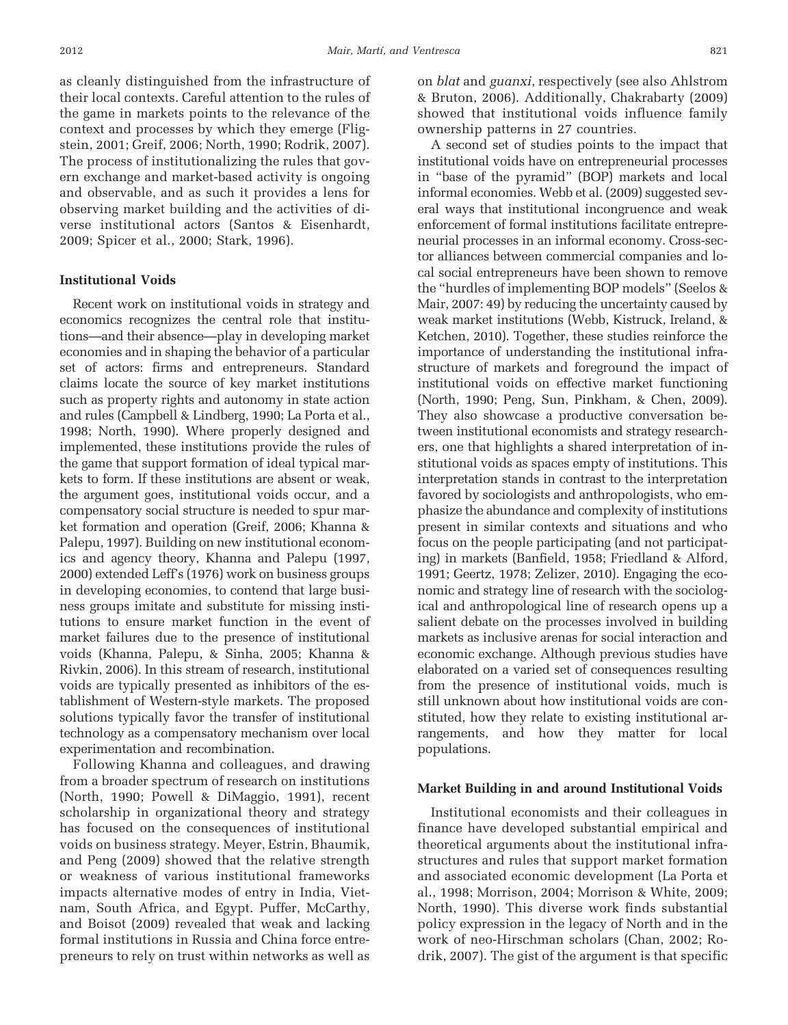as cleanly distinguished from the infrastructure of their local contexts. Careful attention to the rules of the game in markets points to the relevance of the context and processes by which they emerge (Fligstein, 2001; Greif, 2006; North, 1990; Rodrik, 2007). The process of institutionalizing the rules that govern exchange and market-based activity is ongoing and observable, and as such it provides a lens for observing market building and the activities of diverse institutional actors (Santos & Eisenhardt, 2009; Spicer et al., 2000; Stark, 1996).

# **Institutional Voids**

Recent work on institutional voids in strategy and economics recognizes the central role that institutions—and their absence—play in developing market economies and in shaping the behavior of a particular set of actors: firms and entrepreneurs. Standard claims locate the source of key market institutions such as property rights and autonomy in state action and rules (Campbell & Lindberg, 1990; La Porta et al., 1998; North, 1990). Where properly designed and implemented, these institutions provide the rules of the game that support formation of ideal typical markets to form. If these institutions are absent or weak, the argument goes, institutional voids occur, and a compensatory social structure is needed to spur market formation and operation (Greif, 2006; Khanna & Palepu, 1997). Building on new institutional economics and agency theory, Khanna and Palepu (1997, 2000) extended Leff's (1976) work on business groups in developing economies, to contend that large business groups imitate and substitute for missing institutions to ensure market function in the event of market failures due to the presence of institutional voids (Khanna, Palepu, & Sinha, 2005; Khanna & Rivkin, 2006). In this stream of research, institutional voids are typically presented as inhibitors of the establishment of Western-style markets. The proposed solutions typically favor the transfer of institutional technology as a compensatory mechanism over local experimentation and recombination.

Following Khanna and colleagues, and drawing from a broader spectrum of research on institutions (North, 1990; Powell & DiMaggio, 1991), recent scholarship in organizational theory and strategy has focused on the consequences of institutional voids on business strategy. Meyer, Estrin, Bhaumik, and Peng (2009) showed that the relative strength or weakness of various institutional frameworks impacts alternative modes of entry in India, Vietnam, South Africa, and Egypt. Puffer, McCarthy, and Boisot (2009) revealed that weak and lacking formal institutions in Russia and China force entrepreneurs to rely on trust within networks as well as

on *blat* and *guanxi*, respectively (see also Ahlstrom & Bruton, 2006). Additionally, Chakrabarty (2009) showed that institutional voids influence family ownership patterns in 27 countries.

A second set of studies points to the impact that institutional voids have on entrepreneurial processes in "base of the pyramid" (BOP) markets and local informal economies. Webb et al. (2009) suggested several ways that institutional incongruence and weak enforcement of formal institutions facilitate entrepreneurial processes in an informal economy. Cross-sector alliances between commercial companies and local social entrepreneurs have been shown to remove the "hurdles of implementing BOP models" (Seelos & Mair, 2007: 49) by reducing the uncertainty caused by weak market institutions (Webb, Kistruck, Ireland, & Ketchen, 2010). Together, these studies reinforce the importance of understanding the institutional infrastructure of markets and foreground the impact of institutional voids on effective market functioning (North, 1990; Peng, Sun, Pinkham, & Chen, 2009). They also showcase a productive conversation between institutional economists and strategy researchers, one that highlights a shared interpretation of institutional voids as spaces empty of institutions. This interpretation stands in contrast to the interpretation favored by sociologists and anthropologists, who emphasize the abundance and complexity of institutions present in similar contexts and situations and who focus on the people participating (and not participating) in markets (Banfield, 1958; Friedland & Alford, 1991; Geertz, 1978; Zelizer, 2010). Engaging the economic and strategy line of research with the sociological and anthropological line of research opens up a salient debate on the processes involved in building markets as inclusive arenas for social interaction and economic exchange. Although previous studies have elaborated on a varied set of consequences resulting from the presence of institutional voids, much is still unknown about how institutional voids are constituted, how they relate to existing institutional arrangements, and how they matter for local populations.

#### **Market Building in and around Institutional Voids**

Institutional economists and their colleagues in finance have developed substantial empirical and theoretical arguments about the institutional infrastructures and rules that support market formation and associated economic development (La Porta et al., 1998; Morrison, 2004; Morrison & White, 2009; North, 1990). This diverse work finds substantial policy expression in the legacy of North and in the work of neo-Hirschman scholars (Chan, 2002; Rodrik, 2007). The gist of the argument is that specific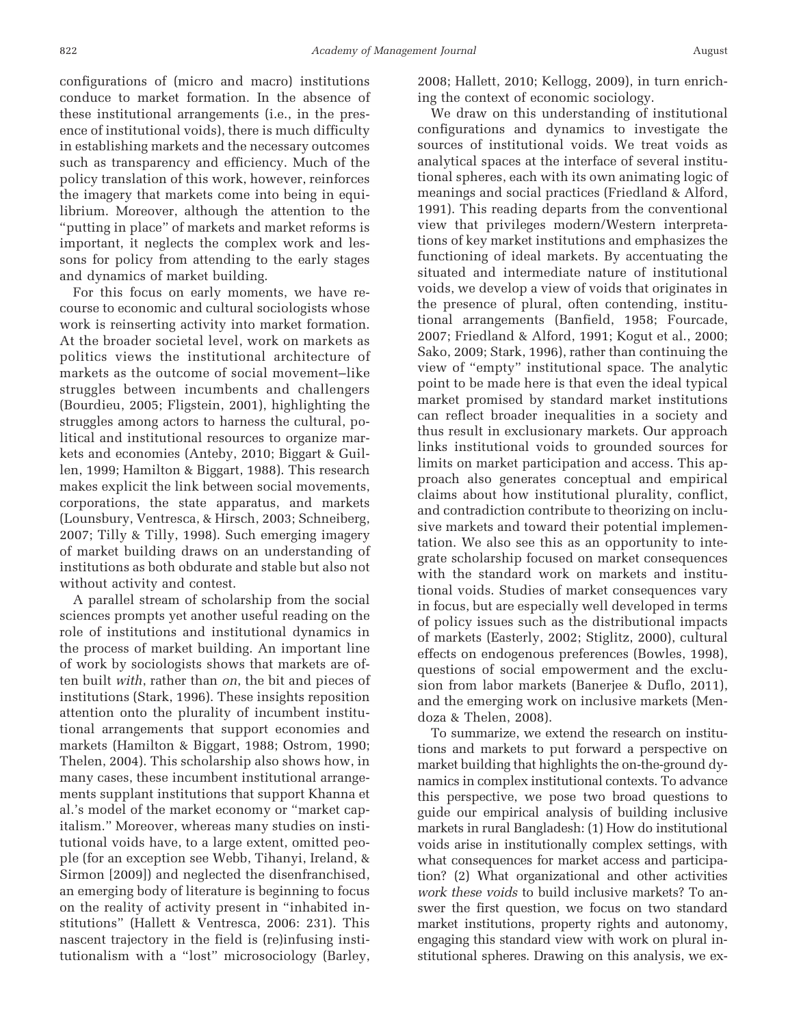configurations of (micro and macro) institutions conduce to market formation. In the absence of these institutional arrangements (i.e., in the presence of institutional voids), there is much difficulty in establishing markets and the necessary outcomes such as transparency and efficiency. Much of the policy translation of this work, however, reinforces the imagery that markets come into being in equilibrium. Moreover, although the attention to the "putting in place" of markets and market reforms is important, it neglects the complex work and lessons for policy from attending to the early stages and dynamics of market building.

For this focus on early moments, we have recourse to economic and cultural sociologists whose work is reinserting activity into market formation. At the broader societal level, work on markets as politics views the institutional architecture of markets as the outcome of social movement–like struggles between incumbents and challengers (Bourdieu, 2005; Fligstein, 2001), highlighting the struggles among actors to harness the cultural, political and institutional resources to organize markets and economies (Anteby, 2010; Biggart & Guillen, 1999; Hamilton & Biggart, 1988). This research makes explicit the link between social movements, corporations, the state apparatus, and markets (Lounsbury, Ventresca, & Hirsch, 2003; Schneiberg, 2007; Tilly & Tilly, 1998). Such emerging imagery of market building draws on an understanding of institutions as both obdurate and stable but also not without activity and contest.

A parallel stream of scholarship from the social sciences prompts yet another useful reading on the role of institutions and institutional dynamics in the process of market building. An important line of work by sociologists shows that markets are often built *with*, rather than *on*, the bit and pieces of institutions (Stark, 1996). These insights reposition attention onto the plurality of incumbent institutional arrangements that support economies and markets (Hamilton & Biggart, 1988; Ostrom, 1990; Thelen, 2004). This scholarship also shows how, in many cases, these incumbent institutional arrangements supplant institutions that support Khanna et al.'s model of the market economy or "market capitalism." Moreover, whereas many studies on institutional voids have, to a large extent, omitted people (for an exception see Webb, Tihanyi, Ireland, & Sirmon [2009]) and neglected the disenfranchised, an emerging body of literature is beginning to focus on the reality of activity present in "inhabited institutions" (Hallett & Ventresca, 2006: 231). This nascent trajectory in the field is (re)infusing institutionalism with a "lost" microsociology (Barley, 2008; Hallett, 2010; Kellogg, 2009), in turn enriching the context of economic sociology.

We draw on this understanding of institutional configurations and dynamics to investigate the sources of institutional voids. We treat voids as analytical spaces at the interface of several institutional spheres, each with its own animating logic of meanings and social practices (Friedland & Alford, 1991). This reading departs from the conventional view that privileges modern/Western interpretations of key market institutions and emphasizes the functioning of ideal markets. By accentuating the situated and intermediate nature of institutional voids, we develop a view of voids that originates in the presence of plural, often contending, institutional arrangements (Banfield, 1958; Fourcade, 2007; Friedland & Alford, 1991; Kogut et al., 2000; Sako, 2009; Stark, 1996), rather than continuing the view of "empty" institutional space. The analytic point to be made here is that even the ideal typical market promised by standard market institutions can reflect broader inequalities in a society and thus result in exclusionary markets. Our approach links institutional voids to grounded sources for limits on market participation and access. This approach also generates conceptual and empirical claims about how institutional plurality, conflict, and contradiction contribute to theorizing on inclusive markets and toward their potential implementation. We also see this as an opportunity to integrate scholarship focused on market consequences with the standard work on markets and institutional voids. Studies of market consequences vary in focus, but are especially well developed in terms of policy issues such as the distributional impacts of markets (Easterly, 2002; Stiglitz, 2000), cultural effects on endogenous preferences (Bowles, 1998), questions of social empowerment and the exclusion from labor markets (Banerjee & Duflo, 2011), and the emerging work on inclusive markets (Mendoza & Thelen, 2008).

To summarize, we extend the research on institutions and markets to put forward a perspective on market building that highlights the on-the-ground dynamics in complex institutional contexts. To advance this perspective, we pose two broad questions to guide our empirical analysis of building inclusive markets in rural Bangladesh: (1) How do institutional voids arise in institutionally complex settings, with what consequences for market access and participation? (2) What organizational and other activities *work these voids* to build inclusive markets? To answer the first question, we focus on two standard market institutions, property rights and autonomy, engaging this standard view with work on plural institutional spheres. Drawing on this analysis, we ex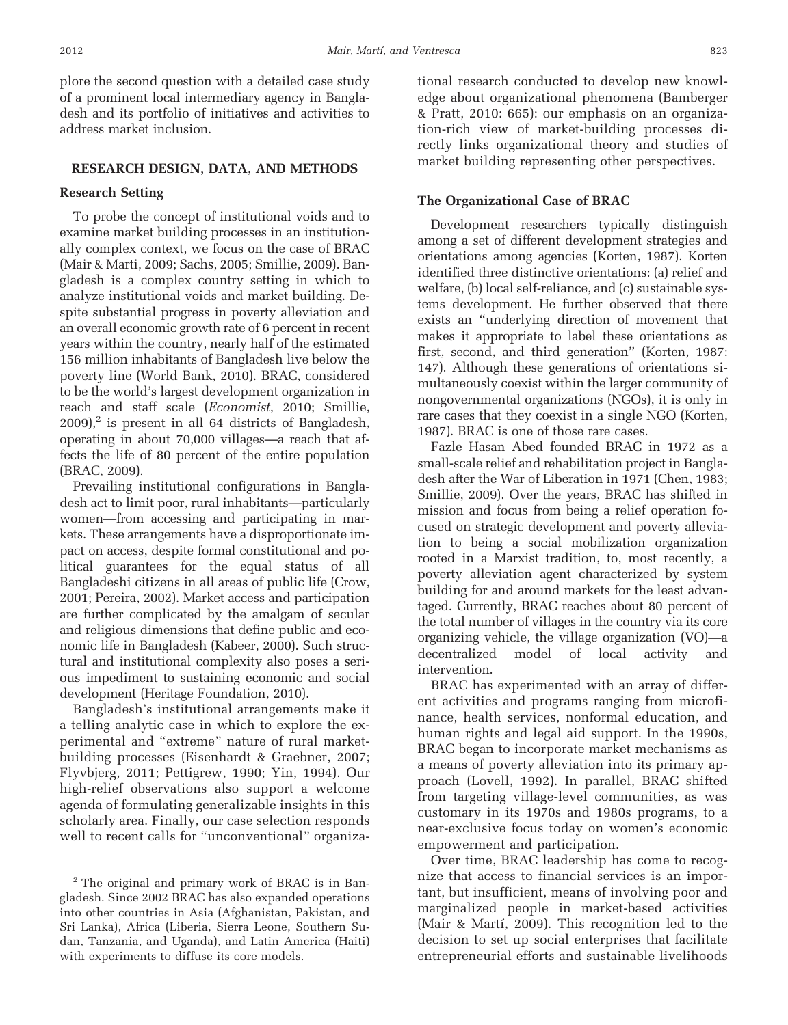plore the second question with a detailed case study of a prominent local intermediary agency in Bangladesh and its portfolio of initiatives and activities to address market inclusion.

#### **RESEARCH DESIGN, DATA, AND METHODS**

## **Research Setting**

To probe the concept of institutional voids and to examine market building processes in an institutionally complex context, we focus on the case of BRAC (Mair & Marti, 2009; Sachs, 2005; Smillie, 2009). Bangladesh is a complex country setting in which to analyze institutional voids and market building. Despite substantial progress in poverty alleviation and an overall economic growth rate of 6 percent in recent years within the country, nearly half of the estimated 156 million inhabitants of Bangladesh live below the poverty line (World Bank, 2010). BRAC, considered to be the world's largest development organization in reach and staff scale (*Economist*, 2010; Smillie,  $2009$ ,<sup>2</sup> is present in all 64 districts of Bangladesh, operating in about 70,000 villages—a reach that affects the life of 80 percent of the entire population (BRAC, 2009).

Prevailing institutional configurations in Bangladesh act to limit poor, rural inhabitants—particularly women—from accessing and participating in markets. These arrangements have a disproportionate impact on access, despite formal constitutional and political guarantees for the equal status of all Bangladeshi citizens in all areas of public life (Crow, 2001; Pereira, 2002). Market access and participation are further complicated by the amalgam of secular and religious dimensions that define public and economic life in Bangladesh (Kabeer, 2000). Such structural and institutional complexity also poses a serious impediment to sustaining economic and social development (Heritage Foundation, 2010).

Bangladesh's institutional arrangements make it a telling analytic case in which to explore the experimental and "extreme" nature of rural marketbuilding processes (Eisenhardt & Graebner, 2007; Flyvbjerg, 2011; Pettigrew, 1990; Yin, 1994). Our high-relief observations also support a welcome agenda of formulating generalizable insights in this scholarly area. Finally, our case selection responds well to recent calls for "unconventional" organizational research conducted to develop new knowledge about organizational phenomena (Bamberger & Pratt, 2010: 665): our emphasis on an organization-rich view of market-building processes directly links organizational theory and studies of market building representing other perspectives.

# **The Organizational Case of BRAC**

Development researchers typically distinguish among a set of different development strategies and orientations among agencies (Korten, 1987). Korten identified three distinctive orientations: (a) relief and welfare, (b) local self-reliance, and (c) sustainable systems development. He further observed that there exists an "underlying direction of movement that makes it appropriate to label these orientations as first, second, and third generation" (Korten, 1987: 147). Although these generations of orientations simultaneously coexist within the larger community of nongovernmental organizations (NGOs), it is only in rare cases that they coexist in a single NGO (Korten, 1987). BRAC is one of those rare cases.

Fazle Hasan Abed founded BRAC in 1972 as a small-scale relief and rehabilitation project in Bangladesh after the War of Liberation in 1971 (Chen, 1983; Smillie, 2009). Over the years, BRAC has shifted in mission and focus from being a relief operation focused on strategic development and poverty alleviation to being a social mobilization organization rooted in a Marxist tradition, to, most recently, a poverty alleviation agent characterized by system building for and around markets for the least advantaged. Currently, BRAC reaches about 80 percent of the total number of villages in the country via its core organizing vehicle, the village organization (VO)—a decentralized model of local activity and intervention.

BRAC has experimented with an array of different activities and programs ranging from microfinance, health services, nonformal education, and human rights and legal aid support. In the 1990s, BRAC began to incorporate market mechanisms as a means of poverty alleviation into its primary approach (Lovell, 1992). In parallel, BRAC shifted from targeting village-level communities, as was customary in its 1970s and 1980s programs, to a near-exclusive focus today on women's economic empowerment and participation.

Over time, BRAC leadership has come to recognize that access to financial services is an important, but insufficient, means of involving poor and marginalized people in market-based activities (Mair & Martí, 2009). This recognition led to the decision to set up social enterprises that facilitate entrepreneurial efforts and sustainable livelihoods

<sup>&</sup>lt;sup>2</sup> The original and primary work of BRAC is in Bangladesh. Since 2002 BRAC has also expanded operations into other countries in Asia (Afghanistan, Pakistan, and Sri Lanka), Africa (Liberia, Sierra Leone, Southern Sudan, Tanzania, and Uganda), and Latin America (Haiti) with experiments to diffuse its core models.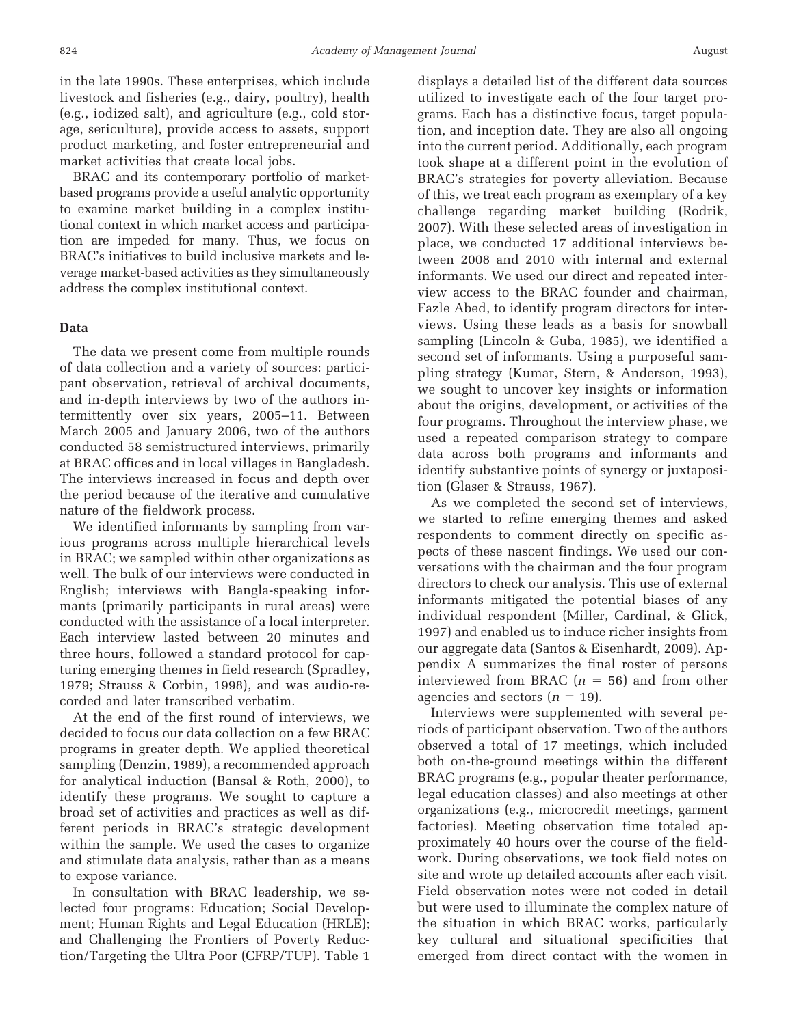in the late 1990s. These enterprises, which include livestock and fisheries (e.g., dairy, poultry), health (e.g., iodized salt), and agriculture (e.g., cold storage, sericulture), provide access to assets, support product marketing, and foster entrepreneurial and market activities that create local jobs.

BRAC and its contemporary portfolio of marketbased programs provide a useful analytic opportunity to examine market building in a complex institutional context in which market access and participation are impeded for many. Thus, we focus on BRAC's initiatives to build inclusive markets and leverage market-based activities as they simultaneously address the complex institutional context.

#### **Data**

The data we present come from multiple rounds of data collection and a variety of sources: participant observation, retrieval of archival documents, and in-depth interviews by two of the authors intermittently over six years, 2005–11. Between March 2005 and January 2006, two of the authors conducted 58 semistructured interviews, primarily at BRAC offices and in local villages in Bangladesh. The interviews increased in focus and depth over the period because of the iterative and cumulative nature of the fieldwork process.

We identified informants by sampling from various programs across multiple hierarchical levels in BRAC; we sampled within other organizations as well. The bulk of our interviews were conducted in English; interviews with Bangla-speaking informants (primarily participants in rural areas) were conducted with the assistance of a local interpreter. Each interview lasted between 20 minutes and three hours, followed a standard protocol for capturing emerging themes in field research (Spradley, 1979; Strauss & Corbin, 1998), and was audio-recorded and later transcribed verbatim.

At the end of the first round of interviews, we decided to focus our data collection on a few BRAC programs in greater depth. We applied theoretical sampling (Denzin, 1989), a recommended approach for analytical induction (Bansal & Roth, 2000), to identify these programs. We sought to capture a broad set of activities and practices as well as different periods in BRAC's strategic development within the sample. We used the cases to organize and stimulate data analysis, rather than as a means to expose variance.

In consultation with BRAC leadership, we selected four programs: Education; Social Development; Human Rights and Legal Education (HRLE); and Challenging the Frontiers of Poverty Reduction/Targeting the Ultra Poor (CFRP/TUP). Table 1

displays a detailed list of the different data sources utilized to investigate each of the four target programs. Each has a distinctive focus, target population, and inception date. They are also all ongoing into the current period. Additionally, each program took shape at a different point in the evolution of BRAC's strategies for poverty alleviation. Because of this, we treat each program as exemplary of a key challenge regarding market building (Rodrik, 2007). With these selected areas of investigation in place, we conducted 17 additional interviews between 2008 and 2010 with internal and external informants. We used our direct and repeated interview access to the BRAC founder and chairman, Fazle Abed, to identify program directors for interviews. Using these leads as a basis for snowball sampling (Lincoln & Guba, 1985), we identified a second set of informants. Using a purposeful sampling strategy (Kumar, Stern, & Anderson, 1993), we sought to uncover key insights or information about the origins, development, or activities of the four programs. Throughout the interview phase, we used a repeated comparison strategy to compare data across both programs and informants and identify substantive points of synergy or juxtaposition (Glaser & Strauss, 1967).

As we completed the second set of interviews, we started to refine emerging themes and asked respondents to comment directly on specific aspects of these nascent findings. We used our conversations with the chairman and the four program directors to check our analysis. This use of external informants mitigated the potential biases of any individual respondent (Miller, Cardinal, & Glick, 1997) and enabled us to induce richer insights from our aggregate data (Santos & Eisenhardt, 2009). Appendix A summarizes the final roster of persons interviewed from BRAC  $(n = 56)$  and from other agencies and sectors  $(n = 19)$ .

Interviews were supplemented with several periods of participant observation. Two of the authors observed a total of 17 meetings, which included both on-the-ground meetings within the different BRAC programs (e.g., popular theater performance, legal education classes) and also meetings at other organizations (e.g., microcredit meetings, garment factories). Meeting observation time totaled approximately 40 hours over the course of the fieldwork. During observations, we took field notes on site and wrote up detailed accounts after each visit. Field observation notes were not coded in detail but were used to illuminate the complex nature of the situation in which BRAC works, particularly key cultural and situational specificities that emerged from direct contact with the women in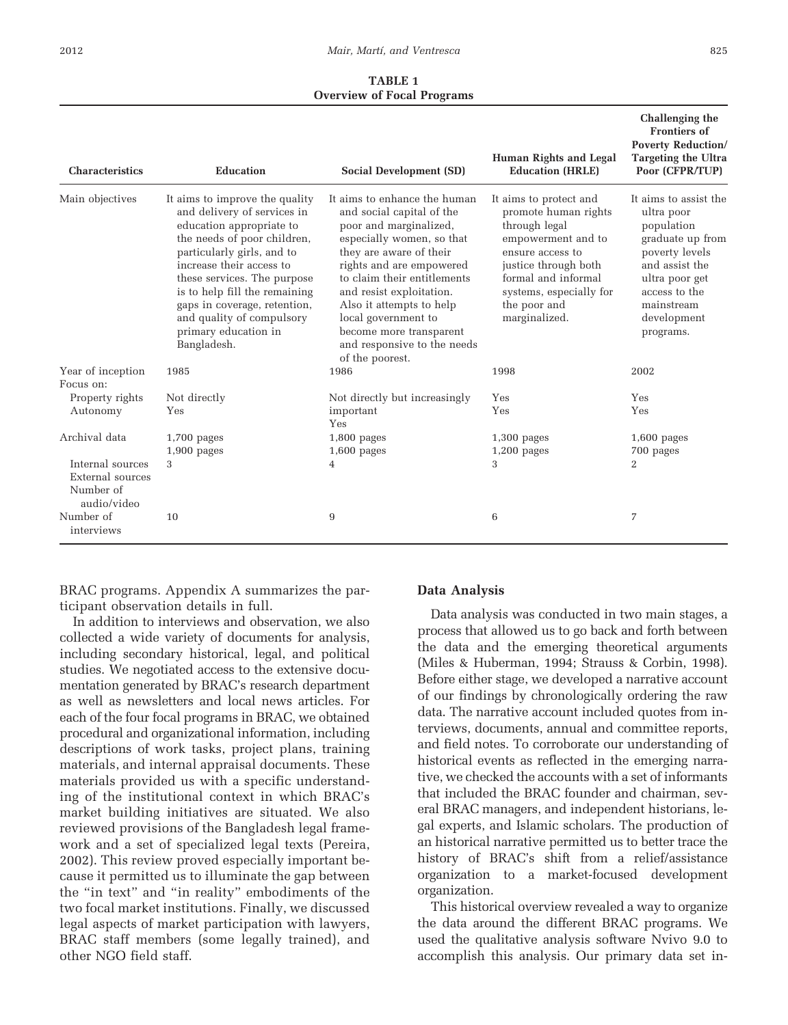#### **TABLE 1 Overview of Focal Programs**

| <b>Characteristics</b>                                           | <b>Education</b>                                                                                                                                                                                                                                                                                                                                       | <b>Social Development (SD)</b>                                                                                                                                                                                                                                                                                                                                     | Human Rights and Legal<br><b>Education (HRLE)</b>                                                                                                                                                                    | Challenging the<br><b>Frontiers of</b><br><b>Poverty Reduction/</b><br><b>Targeting the Ultra</b><br>Poor (CFPR/TUP)                                                                   |
|------------------------------------------------------------------|--------------------------------------------------------------------------------------------------------------------------------------------------------------------------------------------------------------------------------------------------------------------------------------------------------------------------------------------------------|--------------------------------------------------------------------------------------------------------------------------------------------------------------------------------------------------------------------------------------------------------------------------------------------------------------------------------------------------------------------|----------------------------------------------------------------------------------------------------------------------------------------------------------------------------------------------------------------------|----------------------------------------------------------------------------------------------------------------------------------------------------------------------------------------|
| Main objectives                                                  | It aims to improve the quality<br>and delivery of services in<br>education appropriate to<br>the needs of poor children,<br>particularly girls, and to<br>increase their access to<br>these services. The purpose<br>is to help fill the remaining<br>gaps in coverage, retention,<br>and quality of compulsory<br>primary education in<br>Bangladesh. | It aims to enhance the human<br>and social capital of the<br>poor and marginalized,<br>especially women, so that<br>they are aware of their<br>rights and are empowered<br>to claim their entitlements<br>and resist exploitation.<br>Also it attempts to help<br>local government to<br>become more transparent<br>and responsive to the needs<br>of the poorest. | It aims to protect and<br>promote human rights<br>through legal<br>empowerment and to<br>ensure access to<br>justice through both<br>formal and informal<br>systems, especially for<br>the poor and<br>marginalized. | It aims to assist the<br>ultra poor<br>population<br>graduate up from<br>poverty levels<br>and assist the<br>ultra poor get<br>access to the<br>mainstream<br>development<br>programs. |
| Year of inception<br>Focus on:                                   | 1985                                                                                                                                                                                                                                                                                                                                                   | 1986                                                                                                                                                                                                                                                                                                                                                               | 1998                                                                                                                                                                                                                 | 2002                                                                                                                                                                                   |
| Property rights                                                  | Not directly                                                                                                                                                                                                                                                                                                                                           | Not directly but increasingly                                                                                                                                                                                                                                                                                                                                      | Yes                                                                                                                                                                                                                  | Yes                                                                                                                                                                                    |
| Autonomy                                                         | Yes                                                                                                                                                                                                                                                                                                                                                    | important<br>Yes                                                                                                                                                                                                                                                                                                                                                   | Yes                                                                                                                                                                                                                  | Yes                                                                                                                                                                                    |
| Archival data                                                    | 1,700 pages                                                                                                                                                                                                                                                                                                                                            | $1,800$ pages                                                                                                                                                                                                                                                                                                                                                      | $1,300$ pages                                                                                                                                                                                                        | $1,600$ pages                                                                                                                                                                          |
|                                                                  | $1,900$ pages                                                                                                                                                                                                                                                                                                                                          | $1,600$ pages                                                                                                                                                                                                                                                                                                                                                      | $1,200$ pages                                                                                                                                                                                                        | 700 pages                                                                                                                                                                              |
| Internal sources<br>External sources<br>Number of<br>audio/video | 3                                                                                                                                                                                                                                                                                                                                                      | $\overline{4}$                                                                                                                                                                                                                                                                                                                                                     | 3                                                                                                                                                                                                                    | $\overline{2}$                                                                                                                                                                         |
| Number of<br>interviews                                          | 10                                                                                                                                                                                                                                                                                                                                                     | 9                                                                                                                                                                                                                                                                                                                                                                  | 6                                                                                                                                                                                                                    | $\overline{7}$                                                                                                                                                                         |

BRAC programs. Appendix A summarizes the participant observation details in full.

In addition to interviews and observation, we also collected a wide variety of documents for analysis, including secondary historical, legal, and political studies. We negotiated access to the extensive documentation generated by BRAC's research department as well as newsletters and local news articles. For each of the four focal programs in BRAC, we obtained procedural and organizational information, including descriptions of work tasks, project plans, training materials, and internal appraisal documents. These materials provided us with a specific understanding of the institutional context in which BRAC's market building initiatives are situated. We also reviewed provisions of the Bangladesh legal framework and a set of specialized legal texts (Pereira, 2002). This review proved especially important because it permitted us to illuminate the gap between the "in text" and "in reality" embodiments of the two focal market institutions. Finally, we discussed legal aspects of market participation with lawyers, BRAC staff members (some legally trained), and other NGO field staff.

#### **Data Analysis**

Data analysis was conducted in two main stages, a process that allowed us to go back and forth between the data and the emerging theoretical arguments (Miles & Huberman, 1994; Strauss & Corbin, 1998). Before either stage, we developed a narrative account of our findings by chronologically ordering the raw data. The narrative account included quotes from interviews, documents, annual and committee reports, and field notes. To corroborate our understanding of historical events as reflected in the emerging narrative, we checked the accounts with a set of informants that included the BRAC founder and chairman, several BRAC managers, and independent historians, legal experts, and Islamic scholars. The production of an historical narrative permitted us to better trace the history of BRAC's shift from a relief/assistance organization to a market-focused development organization.

This historical overview revealed a way to organize the data around the different BRAC programs. We used the qualitative analysis software Nvivo 9.0 to accomplish this analysis. Our primary data set in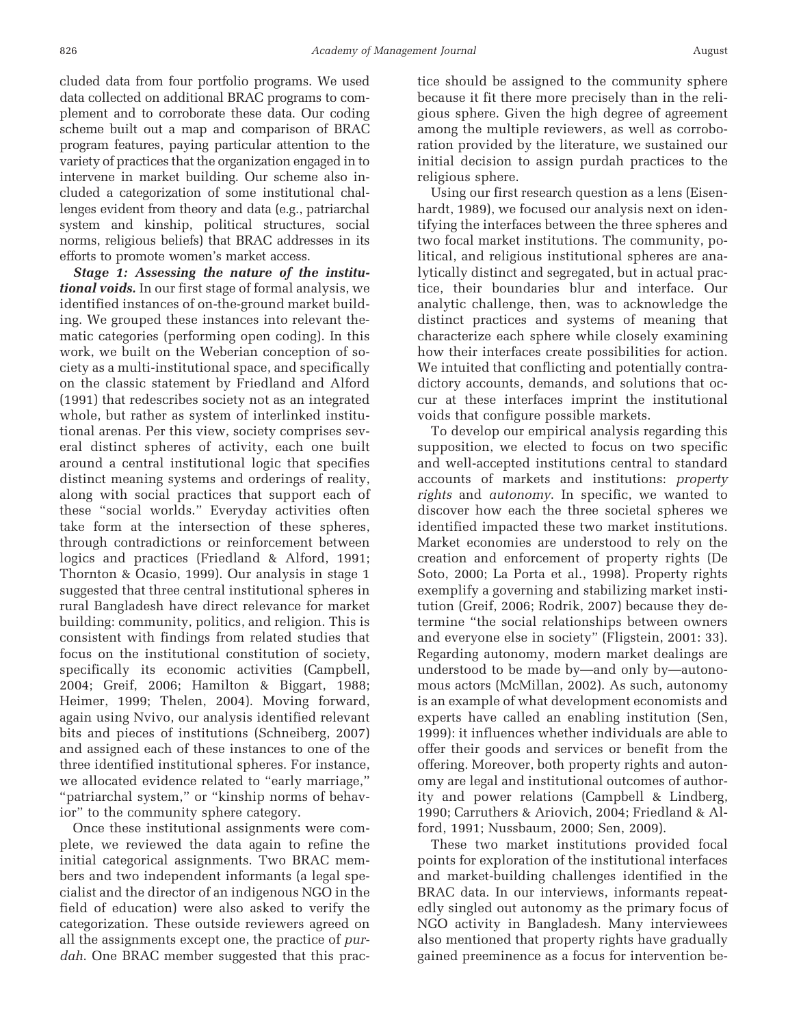cluded data from four portfolio programs. We used data collected on additional BRAC programs to complement and to corroborate these data. Our coding scheme built out a map and comparison of BRAC program features, paying particular attention to the variety of practices that the organization engaged in to intervene in market building. Our scheme also included a categorization of some institutional challenges evident from theory and data (e.g., patriarchal system and kinship, political structures, social norms, religious beliefs) that BRAC addresses in its efforts to promote women's market access.

*Stage 1: Assessing the nature of the institutional voids.* In our first stage of formal analysis, we identified instances of on-the-ground market building. We grouped these instances into relevant thematic categories (performing open coding). In this work, we built on the Weberian conception of society as a multi-institutional space, and specifically on the classic statement by Friedland and Alford (1991) that redescribes society not as an integrated whole, but rather as system of interlinked institutional arenas. Per this view, society comprises several distinct spheres of activity, each one built around a central institutional logic that specifies distinct meaning systems and orderings of reality, along with social practices that support each of these "social worlds." Everyday activities often take form at the intersection of these spheres, through contradictions or reinforcement between logics and practices (Friedland & Alford, 1991; Thornton & Ocasio, 1999). Our analysis in stage 1 suggested that three central institutional spheres in rural Bangladesh have direct relevance for market building: community, politics, and religion. This is consistent with findings from related studies that focus on the institutional constitution of society, specifically its economic activities (Campbell, 2004; Greif, 2006; Hamilton & Biggart, 1988; Heimer, 1999; Thelen, 2004). Moving forward, again using Nvivo, our analysis identified relevant bits and pieces of institutions (Schneiberg, 2007) and assigned each of these instances to one of the three identified institutional spheres. For instance, we allocated evidence related to "early marriage," "patriarchal system," or "kinship norms of behavior" to the community sphere category.

Once these institutional assignments were complete, we reviewed the data again to refine the initial categorical assignments. Two BRAC members and two independent informants (a legal specialist and the director of an indigenous NGO in the field of education) were also asked to verify the categorization. These outside reviewers agreed on all the assignments except one, the practice of *purdah*. One BRAC member suggested that this practice should be assigned to the community sphere because it fit there more precisely than in the religious sphere. Given the high degree of agreement among the multiple reviewers, as well as corroboration provided by the literature, we sustained our initial decision to assign purdah practices to the religious sphere.

Using our first research question as a lens (Eisenhardt, 1989), we focused our analysis next on identifying the interfaces between the three spheres and two focal market institutions. The community, political, and religious institutional spheres are analytically distinct and segregated, but in actual practice, their boundaries blur and interface. Our analytic challenge, then, was to acknowledge the distinct practices and systems of meaning that characterize each sphere while closely examining how their interfaces create possibilities for action. We intuited that conflicting and potentially contradictory accounts, demands, and solutions that occur at these interfaces imprint the institutional voids that configure possible markets.

To develop our empirical analysis regarding this supposition, we elected to focus on two specific and well-accepted institutions central to standard accounts of markets and institutions: *property rights* and *autonomy*. In specific, we wanted to discover how each the three societal spheres we identified impacted these two market institutions. Market economies are understood to rely on the creation and enforcement of property rights (De Soto, 2000; La Porta et al., 1998). Property rights exemplify a governing and stabilizing market institution (Greif, 2006; Rodrik, 2007) because they determine "the social relationships between owners and everyone else in society" (Fligstein, 2001: 33). Regarding autonomy, modern market dealings are understood to be made by—and only by—autonomous actors (McMillan, 2002). As such, autonomy is an example of what development economists and experts have called an enabling institution (Sen, 1999): it influences whether individuals are able to offer their goods and services or benefit from the offering. Moreover, both property rights and autonomy are legal and institutional outcomes of authority and power relations (Campbell & Lindberg, 1990; Carruthers & Ariovich, 2004; Friedland & Alford, 1991; Nussbaum, 2000; Sen, 2009).

These two market institutions provided focal points for exploration of the institutional interfaces and market-building challenges identified in the BRAC data. In our interviews, informants repeatedly singled out autonomy as the primary focus of NGO activity in Bangladesh. Many interviewees also mentioned that property rights have gradually gained preeminence as a focus for intervention be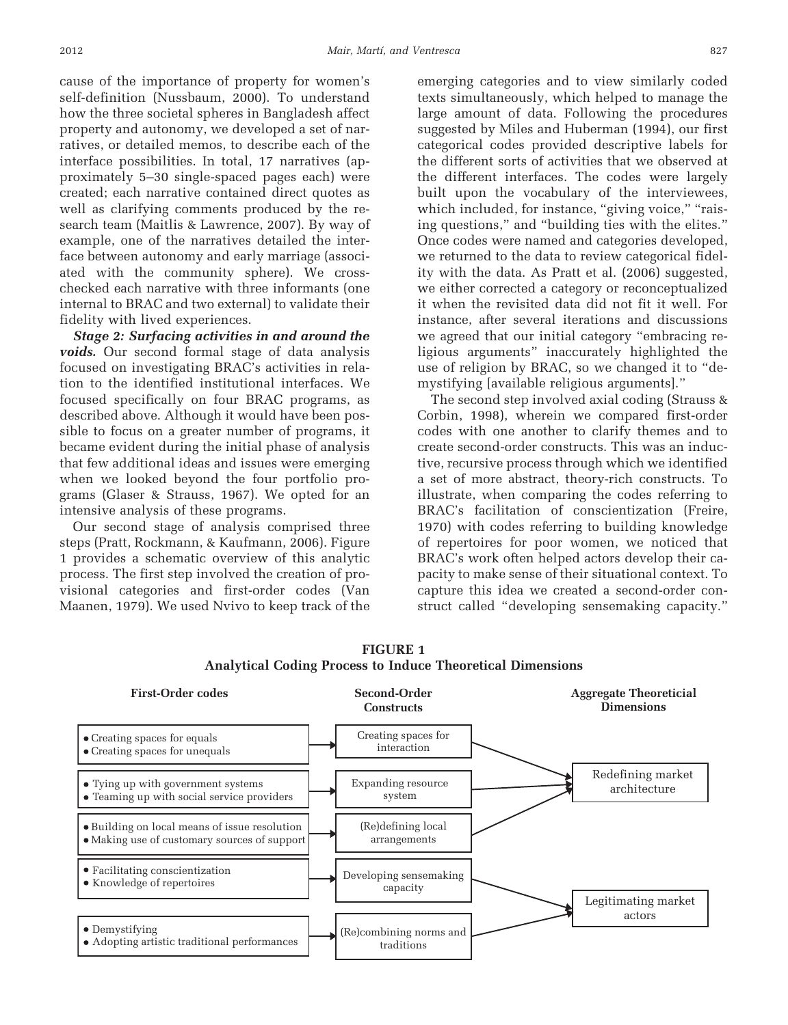cause of the importance of property for women's self-definition (Nussbaum, 2000). To understand how the three societal spheres in Bangladesh affect property and autonomy, we developed a set of narratives, or detailed memos, to describe each of the interface possibilities. In total, 17 narratives (approximately 5–30 single-spaced pages each) were created; each narrative contained direct quotes as well as clarifying comments produced by the research team (Maitlis & Lawrence, 2007). By way of example, one of the narratives detailed the interface between autonomy and early marriage (associated with the community sphere). We crosschecked each narrative with three informants (one internal to BRAC and two external) to validate their fidelity with lived experiences.

*Stage 2: Surfacing activities in and around the voids.* Our second formal stage of data analysis focused on investigating BRAC's activities in relation to the identified institutional interfaces. We focused specifically on four BRAC programs, as described above. Although it would have been possible to focus on a greater number of programs, it became evident during the initial phase of analysis that few additional ideas and issues were emerging when we looked beyond the four portfolio programs (Glaser & Strauss, 1967). We opted for an intensive analysis of these programs.

Our second stage of analysis comprised three steps (Pratt, Rockmann, & Kaufmann, 2006). Figure 1 provides a schematic overview of this analytic process. The first step involved the creation of provisional categories and first-order codes (Van Maanen, 1979). We used Nvivo to keep track of the

emerging categories and to view similarly coded texts simultaneously, which helped to manage the large amount of data. Following the procedures suggested by Miles and Huberman (1994), our first categorical codes provided descriptive labels for the different sorts of activities that we observed at the different interfaces. The codes were largely built upon the vocabulary of the interviewees, which included, for instance, "giving voice," "raising questions," and "building ties with the elites." Once codes were named and categories developed, we returned to the data to review categorical fidelity with the data. As Pratt et al. (2006) suggested, we either corrected a category or reconceptualized it when the revisited data did not fit it well. For instance, after several iterations and discussions we agreed that our initial category "embracing religious arguments" inaccurately highlighted the use of religion by BRAC, so we changed it to "demystifying [available religious arguments]."

The second step involved axial coding (Strauss & Corbin, 1998), wherein we compared first-order codes with one another to clarify themes and to create second-order constructs. This was an inductive, recursive process through which we identified a set of more abstract, theory-rich constructs. To illustrate, when comparing the codes referring to BRAC's facilitation of conscientization (Freire, 1970) with codes referring to building knowledge of repertoires for poor women, we noticed that BRAC's work often helped actors develop their capacity to make sense of their situational context. To capture this idea we created a second-order construct called "developing sensemaking capacity."



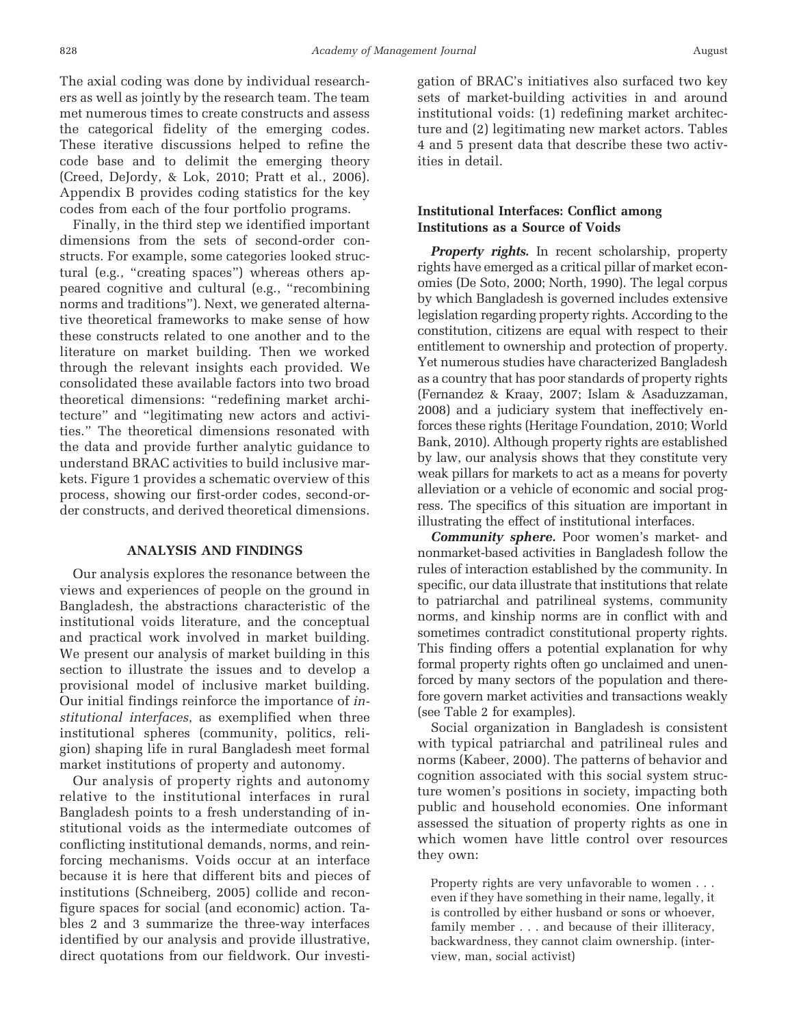The axial coding was done by individual researchers as well as jointly by the research team. The team met numerous times to create constructs and assess the categorical fidelity of the emerging codes. These iterative discussions helped to refine the code base and to delimit the emerging theory (Creed, DeJordy, & Lok, 2010; Pratt et al., 2006). Appendix B provides coding statistics for the key

codes from each of the four portfolio programs. Finally, in the third step we identified important dimensions from the sets of second-order constructs. For example, some categories looked structural (e.g., "creating spaces") whereas others appeared cognitive and cultural (e.g., "recombining norms and traditions"). Next, we generated alternative theoretical frameworks to make sense of how these constructs related to one another and to the literature on market building. Then we worked through the relevant insights each provided. We consolidated these available factors into two broad theoretical dimensions: "redefining market architecture" and "legitimating new actors and activities." The theoretical dimensions resonated with the data and provide further analytic guidance to understand BRAC activities to build inclusive markets. Figure 1 provides a schematic overview of this process, showing our first-order codes, second-order constructs, and derived theoretical dimensions.

#### **ANALYSIS AND FINDINGS**

Our analysis explores the resonance between the views and experiences of people on the ground in Bangladesh, the abstractions characteristic of the institutional voids literature, and the conceptual and practical work involved in market building. We present our analysis of market building in this section to illustrate the issues and to develop a provisional model of inclusive market building. Our initial findings reinforce the importance of *institutional interfaces*, as exemplified when three institutional spheres (community, politics, religion) shaping life in rural Bangladesh meet formal market institutions of property and autonomy.

Our analysis of property rights and autonomy relative to the institutional interfaces in rural Bangladesh points to a fresh understanding of institutional voids as the intermediate outcomes of conflicting institutional demands, norms, and reinforcing mechanisms. Voids occur at an interface because it is here that different bits and pieces of institutions (Schneiberg, 2005) collide and reconfigure spaces for social (and economic) action. Tables 2 and 3 summarize the three-way interfaces identified by our analysis and provide illustrative, direct quotations from our fieldwork. Our investigation of BRAC's initiatives also surfaced two key sets of market-building activities in and around institutional voids: (1) redefining market architecture and (2) legitimating new market actors. Tables 4 and 5 present data that describe these two activities in detail.

#### **Institutional Interfaces: Conflict among Institutions as a Source of Voids**

*Property rights.* In recent scholarship, property rights have emerged as a critical pillar of market economies (De Soto, 2000; North, 1990). The legal corpus by which Bangladesh is governed includes extensive legislation regarding property rights. According to the constitution, citizens are equal with respect to their entitlement to ownership and protection of property. Yet numerous studies have characterized Bangladesh as a country that has poor standards of property rights (Fernandez & Kraay, 2007; Islam & Asaduzzaman, 2008) and a judiciary system that ineffectively enforces these rights (Heritage Foundation, 2010; World Bank, 2010). Although property rights are established by law, our analysis shows that they constitute very weak pillars for markets to act as a means for poverty alleviation or a vehicle of economic and social progress. The specifics of this situation are important in illustrating the effect of institutional interfaces.

*Community sphere.* Poor women's market- and nonmarket-based activities in Bangladesh follow the rules of interaction established by the community. In specific, our data illustrate that institutions that relate to patriarchal and patrilineal systems, community norms, and kinship norms are in conflict with and sometimes contradict constitutional property rights. This finding offers a potential explanation for why formal property rights often go unclaimed and unenforced by many sectors of the population and therefore govern market activities and transactions weakly (see Table 2 for examples).

Social organization in Bangladesh is consistent with typical patriarchal and patrilineal rules and norms (Kabeer, 2000). The patterns of behavior and cognition associated with this social system structure women's positions in society, impacting both public and household economies. One informant assessed the situation of property rights as one in which women have little control over resources they own:

Property rights are very unfavorable to women... even if they have something in their name, legally, it is controlled by either husband or sons or whoever, family member . . . and because of their illiteracy, backwardness, they cannot claim ownership. (interview, man, social activist)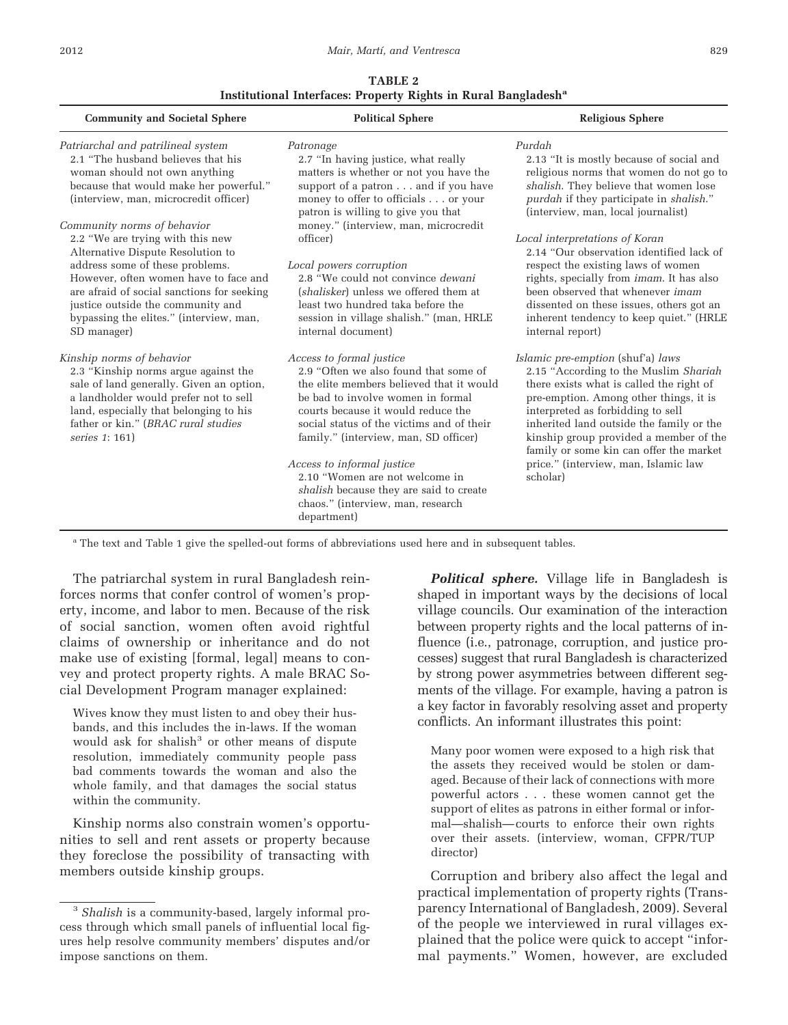| <b>Community and Societal Sphere</b>                                                                                                                                                                                                                                                           | <b>Political Sphere</b>                                                                                                                                                                                                                                                                                                                                                                                                                       | <b>Religious Sphere</b>                                                                                                                                                                                                                                                                                                                                                                     |
|------------------------------------------------------------------------------------------------------------------------------------------------------------------------------------------------------------------------------------------------------------------------------------------------|-----------------------------------------------------------------------------------------------------------------------------------------------------------------------------------------------------------------------------------------------------------------------------------------------------------------------------------------------------------------------------------------------------------------------------------------------|---------------------------------------------------------------------------------------------------------------------------------------------------------------------------------------------------------------------------------------------------------------------------------------------------------------------------------------------------------------------------------------------|
| Patriarchal and patrilineal system<br>2.1 "The husband believes that his<br>woman should not own anything<br>because that would make her powerful."<br>(interview, man, microcredit officer)<br>Community norms of behavior                                                                    | Patronage<br>2.7 "In having justice, what really<br>matters is whether or not you have the<br>support of a patron and if you have<br>money to offer to officials or your<br>patron is willing to give you that<br>money." (interview, man, microcredit                                                                                                                                                                                        | Purdah<br>2.13 "It is mostly because of social and<br>religious norms that women do not go to<br>shalish. They believe that women lose<br>purdah if they participate in shalish."<br>(interview, man, local journalist)                                                                                                                                                                     |
| 2.2 "We are trying with this new<br>Alternative Dispute Resolution to<br>address some of these problems.<br>However, often women have to face and<br>are afraid of social sanctions for seeking<br>justice outside the community and<br>bypassing the elites." (interview, man,<br>SD manager) | officer)<br>Local powers corruption<br>2.8 "We could not convince <i>dewani</i><br>(shalisker) unless we offered them at<br>least two hundred taka before the<br>session in village shalish." (man, HRLE<br>internal document)                                                                                                                                                                                                                | Local interpretations of Koran<br>2.14 "Our observation identified lack of<br>respect the existing laws of women<br>rights, specially from imam. It has also<br>been observed that whenever <i>imam</i><br>dissented on these issues, others got an<br>inherent tendency to keep quiet." (HRLE<br>internal report)                                                                          |
| Kinship norms of behavior<br>2.3 "Kinship norms argue against the<br>sale of land generally. Given an option,<br>a landholder would prefer not to sell<br>land, especially that belonging to his<br>father or kin." (BRAC rural studies<br>series 1: 161)                                      | Access to formal justice<br>2.9 "Often we also found that some of<br>the elite members believed that it would<br>be bad to involve women in formal<br>courts because it would reduce the<br>social status of the victims and of their<br>family." (interview, man, SD officer)<br>Access to informal justice<br>2.10 "Women are not welcome in<br>shalish because they are said to create<br>chaos." (interview, man, research<br>department) | Islamic pre-emption (shuf'a) laws<br>2.15 "According to the Muslim Shariah"<br>there exists what is called the right of<br>pre-emption. Among other things, it is<br>interpreted as forbidding to sell<br>inherited land outside the family or the<br>kinship group provided a member of the<br>family or some kin can offer the market<br>price." (interview, man, Islamic law<br>scholar) |

<sup>a</sup> The text and Table 1 give the spelled-out forms of abbreviations used here and in subsequent tables.

The patriarchal system in rural Bangladesh reinforces norms that confer control of women's property, income, and labor to men. Because of the risk of social sanction, women often avoid rightful claims of ownership or inheritance and do not make use of existing [formal, legal] means to convey and protect property rights. A male BRAC Social Development Program manager explained:

Wives know they must listen to and obey their husbands, and this includes the in-laws. If the woman would ask for shalish $3$  or other means of dispute resolution, immediately community people pass bad comments towards the woman and also the whole family, and that damages the social status within the community.

Kinship norms also constrain women's opportunities to sell and rent assets or property because they foreclose the possibility of transacting with members outside kinship groups.

*Political sphere.* Village life in Bangladesh is shaped in important ways by the decisions of local village councils. Our examination of the interaction between property rights and the local patterns of influence (i.e., patronage, corruption, and justice processes) suggest that rural Bangladesh is characterized by strong power asymmetries between different segments of the village. For example, having a patron is a key factor in favorably resolving asset and property conflicts. An informant illustrates this point:

Many poor women were exposed to a high risk that the assets they received would be stolen or damaged. Because of their lack of connections with more powerful actors... these women cannot get the support of elites as patrons in either formal or informal—shalish—courts to enforce their own rights over their assets. (interview, woman, CFPR/TUP director)

Corruption and bribery also affect the legal and practical implementation of property rights (Transparency International of Bangladesh, 2009). Several of the people we interviewed in rural villages explained that the police were quick to accept "informal payments." Women, however, are excluded

<sup>3</sup> *Shalish* is a community-based, largely informal process through which small panels of influential local figures help resolve community members' disputes and/or impose sanctions on them.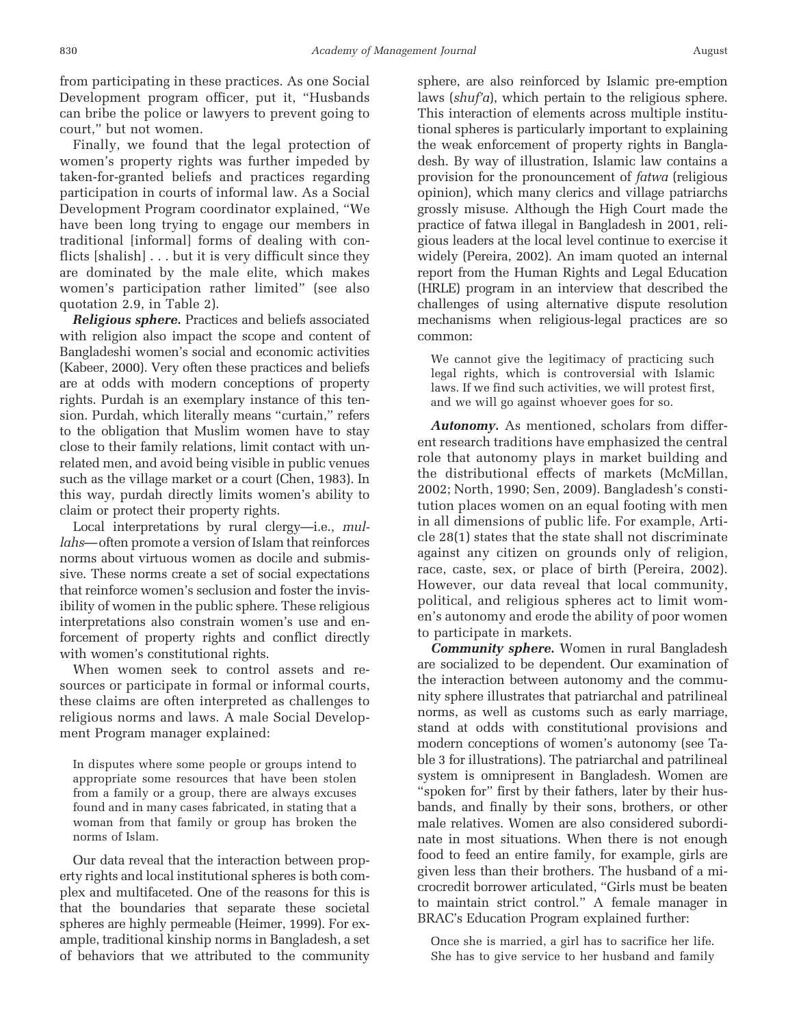from participating in these practices. As one Social Development program officer, put it, "Husbands can bribe the police or lawyers to prevent going to court," but not women.

Finally, we found that the legal protection of women's property rights was further impeded by taken-for-granted beliefs and practices regarding participation in courts of informal law. As a Social Development Program coordinator explained, "We have been long trying to engage our members in traditional [informal] forms of dealing with conflicts [shalish] . . . but it is very difficult since they are dominated by the male elite, which makes women's participation rather limited" (see also quotation 2.9, in Table 2).

*Religious sphere.* Practices and beliefs associated with religion also impact the scope and content of Bangladeshi women's social and economic activities (Kabeer, 2000). Very often these practices and beliefs are at odds with modern conceptions of property rights. Purdah is an exemplary instance of this tension. Purdah, which literally means "curtain," refers to the obligation that Muslim women have to stay close to their family relations, limit contact with unrelated men, and avoid being visible in public venues such as the village market or a court (Chen, 1983). In this way, purdah directly limits women's ability to claim or protect their property rights.

Local interpretations by rural clergy—i.e., *mullahs*—often promote a version of Islam that reinforces norms about virtuous women as docile and submissive. These norms create a set of social expectations that reinforce women's seclusion and foster the invisibility of women in the public sphere. These religious interpretations also constrain women's use and enforcement of property rights and conflict directly with women's constitutional rights.

When women seek to control assets and resources or participate in formal or informal courts, these claims are often interpreted as challenges to religious norms and laws. A male Social Development Program manager explained:

In disputes where some people or groups intend to appropriate some resources that have been stolen from a family or a group, there are always excuses found and in many cases fabricated, in stating that a woman from that family or group has broken the norms of Islam.

Our data reveal that the interaction between property rights and local institutional spheres is both complex and multifaceted. One of the reasons for this is that the boundaries that separate these societal spheres are highly permeable (Heimer, 1999). For example, traditional kinship norms in Bangladesh, a set of behaviors that we attributed to the community sphere, are also reinforced by Islamic pre-emption laws (*shuf'a*), which pertain to the religious sphere. This interaction of elements across multiple institutional spheres is particularly important to explaining the weak enforcement of property rights in Bangladesh. By way of illustration, Islamic law contains a provision for the pronouncement of *fatwa* (religious opinion), which many clerics and village patriarchs grossly misuse. Although the High Court made the practice of fatwa illegal in Bangladesh in 2001, religious leaders at the local level continue to exercise it widely (Pereira, 2002). An imam quoted an internal report from the Human Rights and Legal Education (HRLE) program in an interview that described the challenges of using alternative dispute resolution mechanisms when religious-legal practices are so common:

We cannot give the legitimacy of practicing such legal rights, which is controversial with Islamic laws. If we find such activities, we will protest first, and we will go against whoever goes for so.

*Autonomy.* As mentioned, scholars from different research traditions have emphasized the central role that autonomy plays in market building and the distributional effects of markets (McMillan, 2002; North, 1990; Sen, 2009). Bangladesh's constitution places women on an equal footing with men in all dimensions of public life. For example, Article 28(1) states that the state shall not discriminate against any citizen on grounds only of religion, race, caste, sex, or place of birth (Pereira, 2002). However, our data reveal that local community, political, and religious spheres act to limit women's autonomy and erode the ability of poor women to participate in markets.

*Community sphere.* Women in rural Bangladesh are socialized to be dependent. Our examination of the interaction between autonomy and the community sphere illustrates that patriarchal and patrilineal norms, as well as customs such as early marriage, stand at odds with constitutional provisions and modern conceptions of women's autonomy (see Table 3 for illustrations). The patriarchal and patrilineal system is omnipresent in Bangladesh. Women are "spoken for" first by their fathers, later by their husbands, and finally by their sons, brothers, or other male relatives. Women are also considered subordinate in most situations. When there is not enough food to feed an entire family, for example, girls are given less than their brothers. The husband of a microcredit borrower articulated, "Girls must be beaten to maintain strict control." A female manager in BRAC's Education Program explained further:

Once she is married, a girl has to sacrifice her life. She has to give service to her husband and family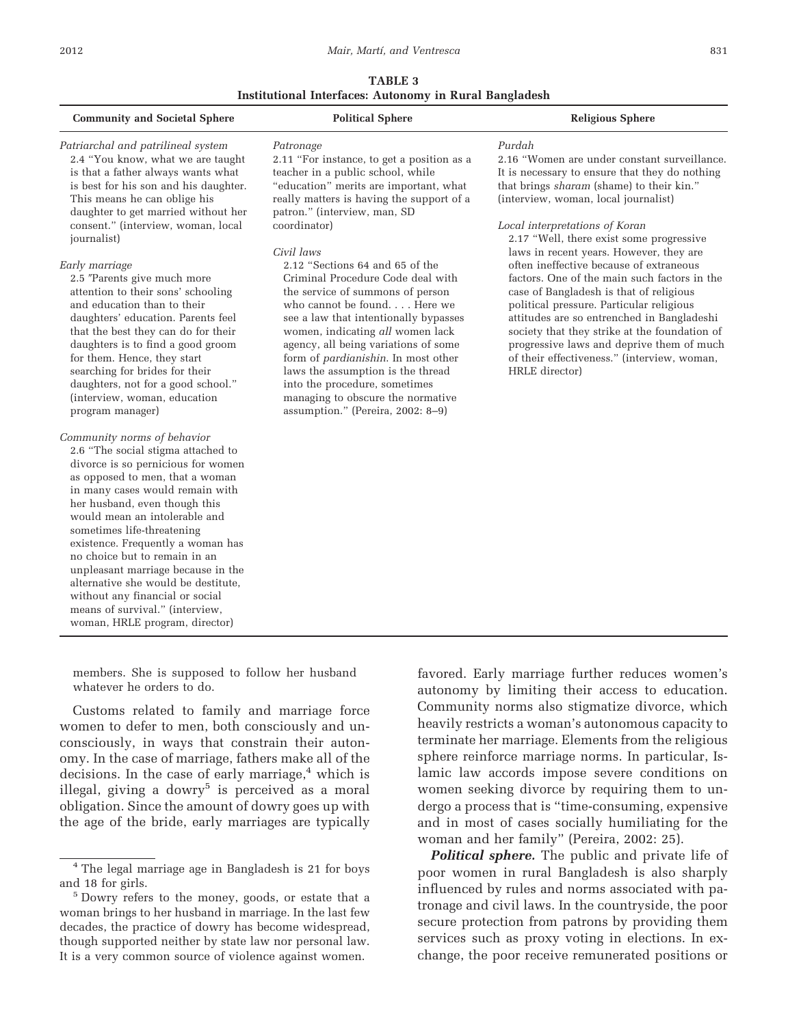#### 2012 *Mair, Martí, and Ventresca* 831

#### **TABLE 3**

| <b>Community and Societal Sphere</b>                                                                                                                                                                                                                                                                                                                                                                                                                                                                                                                                                                                                                                                                                                                                                                                                                                                                                                                                                                                                         | <b>Political Sphere</b>                                                                                                                                                                                                                                                                                                                                                                                                                                                                                                                                                                                                                                                                                          | <b>Religious Sphere</b>                                                                                                                                                                                                                                                                                                                                                                                                                                                                                                                                                                                                                                                                                               |
|----------------------------------------------------------------------------------------------------------------------------------------------------------------------------------------------------------------------------------------------------------------------------------------------------------------------------------------------------------------------------------------------------------------------------------------------------------------------------------------------------------------------------------------------------------------------------------------------------------------------------------------------------------------------------------------------------------------------------------------------------------------------------------------------------------------------------------------------------------------------------------------------------------------------------------------------------------------------------------------------------------------------------------------------|------------------------------------------------------------------------------------------------------------------------------------------------------------------------------------------------------------------------------------------------------------------------------------------------------------------------------------------------------------------------------------------------------------------------------------------------------------------------------------------------------------------------------------------------------------------------------------------------------------------------------------------------------------------------------------------------------------------|-----------------------------------------------------------------------------------------------------------------------------------------------------------------------------------------------------------------------------------------------------------------------------------------------------------------------------------------------------------------------------------------------------------------------------------------------------------------------------------------------------------------------------------------------------------------------------------------------------------------------------------------------------------------------------------------------------------------------|
| Patriarchal and patrilineal system<br>2.4 "You know, what we are taught<br>is that a father always wants what<br>is best for his son and his daughter.<br>This means he can oblige his<br>daughter to get married without her<br>consent." (interview, woman, local<br>journalist)<br>Early marriage<br>2.5 "Parents give much more<br>attention to their sons' schooling<br>and education than to their<br>daughters' education. Parents feel<br>that the best they can do for their<br>daughters is to find a good groom<br>for them. Hence, they start<br>searching for brides for their<br>daughters, not for a good school."<br>(interview, woman, education<br>program manager)<br>Community norms of behavior<br>2.6 "The social stigma attached to<br>divorce is so pernicious for women<br>as opposed to men, that a woman<br>in many cases would remain with<br>her husband, even though this<br>would mean an intolerable and<br>sometimes life-threatening<br>existence. Frequently a woman has<br>no choice but to remain in an | Patronage<br>2.11 "For instance, to get a position as a<br>teacher in a public school, while<br>"education" merits are important, what<br>really matters is having the support of a<br>patron." (interview, man, SD<br>coordinator)<br>Civil laws<br>2.12 "Sections 64 and 65 of the<br>Criminal Procedure Code deal with<br>the service of summons of person<br>who cannot be found Here we<br>see a law that intentionally bypasses<br>women, indicating all women lack<br>agency, all being variations of some<br>form of <i>pardianishin</i> . In most other<br>laws the assumption is the thread<br>into the procedure, sometimes<br>managing to obscure the normative<br>assumption." (Pereira, 2002: 8-9) | Purdah<br>2.16 "Women are under constant surveillance.<br>It is necessary to ensure that they do nothing<br>that brings sharam (shame) to their kin."<br>(interview, woman, local journalist)<br>Local interpretations of Koran<br>2.17 "Well, there exist some progressive<br>laws in recent years. However, they are<br>often ineffective because of extraneous<br>factors. One of the main such factors in the<br>case of Bangladesh is that of religious<br>political pressure. Particular religious<br>attitudes are so entrenched in Bangladeshi<br>society that they strike at the foundation of<br>progressive laws and deprive them of much<br>of their effectiveness." (interview, woman,<br>HRLE director) |
| unpleasant marriage because in the<br>alternative she would be destitute,<br>without any financial or social<br>means of survival." (interview,<br>woman, HRLE program, director)                                                                                                                                                                                                                                                                                                                                                                                                                                                                                                                                                                                                                                                                                                                                                                                                                                                            |                                                                                                                                                                                                                                                                                                                                                                                                                                                                                                                                                                                                                                                                                                                  |                                                                                                                                                                                                                                                                                                                                                                                                                                                                                                                                                                                                                                                                                                                       |

members. She is supposed to follow her husband whatever he orders to do.

Customs related to family and marriage force women to defer to men, both consciously and unconsciously, in ways that constrain their autonomy. In the case of marriage, fathers make all of the decisions. In the case of early marriage,<sup>4</sup> which is illegal, giving a dowry<sup>5</sup> is perceived as a moral obligation. Since the amount of dowry goes up with the age of the bride, early marriages are typically

favored. Early marriage further reduces women's autonomy by limiting their access to education. Community norms also stigmatize divorce, which heavily restricts a woman's autonomous capacity to terminate her marriage. Elements from the religious sphere reinforce marriage norms. In particular, Islamic law accords impose severe conditions on women seeking divorce by requiring them to undergo a process that is "time-consuming, expensive and in most of cases socially humiliating for the woman and her family" (Pereira, 2002: 25).

*Political sphere.* The public and private life of poor women in rural Bangladesh is also sharply influenced by rules and norms associated with patronage and civil laws. In the countryside, the poor secure protection from patrons by providing them services such as proxy voting in elections. In exchange, the poor receive remunerated positions or

<sup>4</sup> The legal marriage age in Bangladesh is 21 for boys and 18 for girls. <sup>5</sup> Dowry refers to the money, goods, or estate that a

woman brings to her husband in marriage. In the last few decades, the practice of dowry has become widespread, though supported neither by state law nor personal law. It is a very common source of violence against women.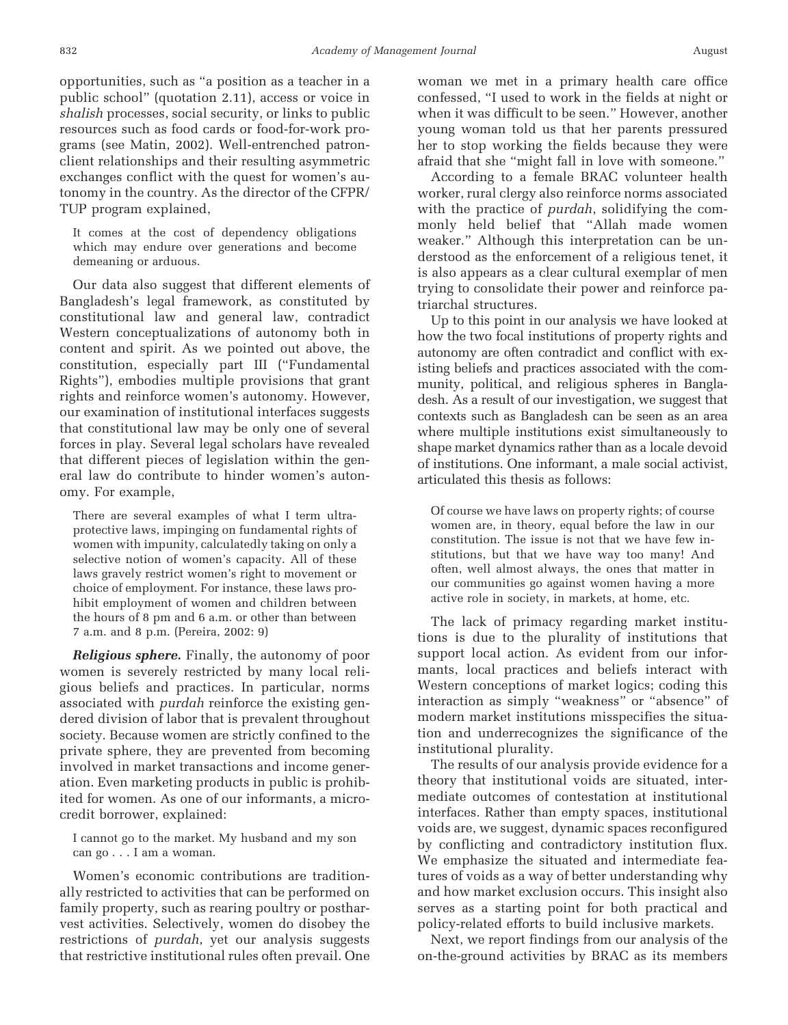opportunities, such as "a position as a teacher in a public school" (quotation 2.11), access or voice in *shalish* processes, social security, or links to public resources such as food cards or food-for-work programs (see Matin, 2002). Well-entrenched patronclient relationships and their resulting asymmetric exchanges conflict with the quest for women's autonomy in the country. As the director of the CFPR/ TUP program explained,

It comes at the cost of dependency obligations which may endure over generations and become demeaning or arduous.

Our data also suggest that different elements of Bangladesh's legal framework, as constituted by constitutional law and general law, contradict Western conceptualizations of autonomy both in content and spirit. As we pointed out above, the constitution, especially part III ("Fundamental Rights"), embodies multiple provisions that grant rights and reinforce women's autonomy. However, our examination of institutional interfaces suggests that constitutional law may be only one of several forces in play. Several legal scholars have revealed that different pieces of legislation within the general law do contribute to hinder women's autonomy. For example,

There are several examples of what I term ultraprotective laws, impinging on fundamental rights of women with impunity, calculatedly taking on only a selective notion of women's capacity. All of these laws gravely restrict women's right to movement or choice of employment. For instance, these laws prohibit employment of women and children between the hours of 8 pm and 6 a.m. or other than between 7 a.m. and 8 p.m. (Pereira, 2002: 9)

*Religious sphere.* Finally, the autonomy of poor women is severely restricted by many local religious beliefs and practices. In particular, norms associated with *purdah* reinforce the existing gendered division of labor that is prevalent throughout society. Because women are strictly confined to the private sphere, they are prevented from becoming involved in market transactions and income generation. Even marketing products in public is prohibited for women. As one of our informants, a microcredit borrower, explained:

I cannot go to the market. My husband and my son can go . . . I am a woman.

Women's economic contributions are traditionally restricted to activities that can be performed on family property, such as rearing poultry or postharvest activities. Selectively, women do disobey the restrictions of *purdah*, yet our analysis suggests that restrictive institutional rules often prevail. One

woman we met in a primary health care office confessed, "I used to work in the fields at night or when it was difficult to be seen." However, another young woman told us that her parents pressured her to stop working the fields because they were afraid that she "might fall in love with someone."

According to a female BRAC volunteer health worker, rural clergy also reinforce norms associated with the practice of *purdah*, solidifying the commonly held belief that "Allah made women weaker." Although this interpretation can be understood as the enforcement of a religious tenet, it is also appears as a clear cultural exemplar of men trying to consolidate their power and reinforce patriarchal structures.

Up to this point in our analysis we have looked at how the two focal institutions of property rights and autonomy are often contradict and conflict with existing beliefs and practices associated with the community, political, and religious spheres in Bangladesh. As a result of our investigation, we suggest that contexts such as Bangladesh can be seen as an area where multiple institutions exist simultaneously to shape market dynamics rather than as a locale devoid of institutions. One informant, a male social activist, articulated this thesis as follows:

Of course we have laws on property rights; of course women are, in theory, equal before the law in our constitution. The issue is not that we have few institutions, but that we have way too many! And often, well almost always, the ones that matter in our communities go against women having a more active role in society, in markets, at home, etc.

The lack of primacy regarding market institutions is due to the plurality of institutions that support local action. As evident from our informants, local practices and beliefs interact with Western conceptions of market logics; coding this interaction as simply "weakness" or "absence" of modern market institutions misspecifies the situation and underrecognizes the significance of the institutional plurality.

The results of our analysis provide evidence for a theory that institutional voids are situated, intermediate outcomes of contestation at institutional interfaces. Rather than empty spaces, institutional voids are, we suggest, dynamic spaces reconfigured by conflicting and contradictory institution flux. We emphasize the situated and intermediate features of voids as a way of better understanding why and how market exclusion occurs. This insight also serves as a starting point for both practical and policy-related efforts to build inclusive markets.

Next, we report findings from our analysis of the on-the-ground activities by BRAC as its members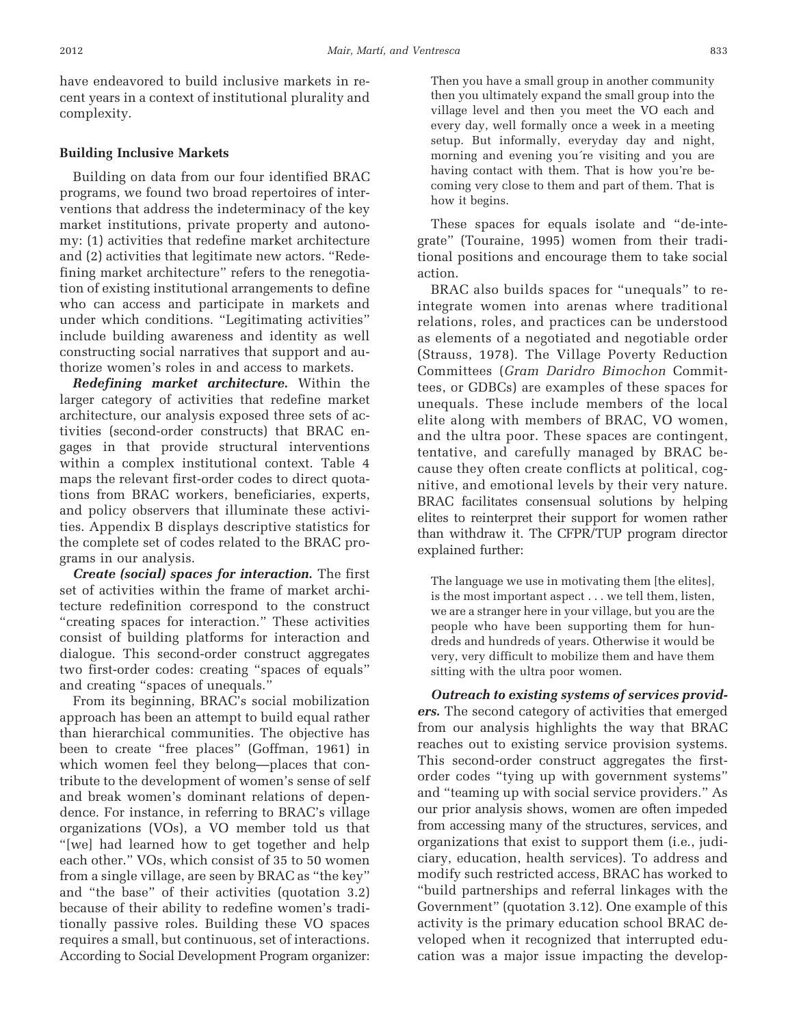have endeavored to build inclusive markets in recent years in a context of institutional plurality and complexity.

#### **Building Inclusive Markets**

Building on data from our four identified BRAC programs, we found two broad repertoires of interventions that address the indeterminacy of the key market institutions, private property and autonomy: (1) activities that redefine market architecture and (2) activities that legitimate new actors. "Redefining market architecture" refers to the renegotiation of existing institutional arrangements to define who can access and participate in markets and under which conditions. "Legitimating activities" include building awareness and identity as well constructing social narratives that support and authorize women's roles in and access to markets.

*Redefining market architecture.* Within the larger category of activities that redefine market architecture, our analysis exposed three sets of activities (second-order constructs) that BRAC engages in that provide structural interventions within a complex institutional context. Table 4 maps the relevant first-order codes to direct quotations from BRAC workers, beneficiaries, experts, and policy observers that illuminate these activities. Appendix B displays descriptive statistics for the complete set of codes related to the BRAC programs in our analysis.

*Create (social) spaces for interaction.* The first set of activities within the frame of market architecture redefinition correspond to the construct "creating spaces for interaction." These activities consist of building platforms for interaction and dialogue. This second-order construct aggregates two first-order codes: creating "spaces of equals" and creating "spaces of unequals."

From its beginning, BRAC's social mobilization approach has been an attempt to build equal rather than hierarchical communities. The objective has been to create "free places" (Goffman, 1961) in which women feel they belong—places that contribute to the development of women's sense of self and break women's dominant relations of dependence. For instance, in referring to BRAC's village organizations (VOs), a VO member told us that "[we] had learned how to get together and help each other." VOs, which consist of 35 to 50 women from a single village, are seen by BRAC as "the key" and "the base" of their activities (quotation 3.2) because of their ability to redefine women's traditionally passive roles. Building these VO spaces requires a small, but continuous, set of interactions. According to Social Development Program organizer:

Then you have a small group in another community then you ultimately expand the small group into the village level and then you meet the VO each and every day, well formally once a week in a meeting setup. But informally, everyday day and night, morning and evening you´re visiting and you are having contact with them. That is how you're becoming very close to them and part of them. That is how it begins.

These spaces for equals isolate and "de-integrate" (Touraine, 1995) women from their traditional positions and encourage them to take social action.

BRAC also builds spaces for "unequals" to reintegrate women into arenas where traditional relations, roles, and practices can be understood as elements of a negotiated and negotiable order (Strauss, 1978). The Village Poverty Reduction Committees (*Gram Daridro Bimochon* Committees, or GDBCs) are examples of these spaces for unequals. These include members of the local elite along with members of BRAC, VO women, and the ultra poor. These spaces are contingent, tentative, and carefully managed by BRAC because they often create conflicts at political, cognitive, and emotional levels by their very nature. BRAC facilitates consensual solutions by helping elites to reinterpret their support for women rather than withdraw it. The CFPR/TUP program director explained further:

The language we use in motivating them [the elites], is the most important aspect . . . we tell them, listen, we are a stranger here in your village, but you are the people who have been supporting them for hundreds and hundreds of years. Otherwise it would be very, very difficult to mobilize them and have them sitting with the ultra poor women.

*Outreach to existing systems of services providers.* The second category of activities that emerged from our analysis highlights the way that BRAC reaches out to existing service provision systems. This second-order construct aggregates the firstorder codes "tying up with government systems" and "teaming up with social service providers." As our prior analysis shows, women are often impeded from accessing many of the structures, services, and organizations that exist to support them (i.e., judiciary, education, health services). To address and modify such restricted access, BRAC has worked to "build partnerships and referral linkages with the Government" (quotation 3.12). One example of this activity is the primary education school BRAC developed when it recognized that interrupted education was a major issue impacting the develop-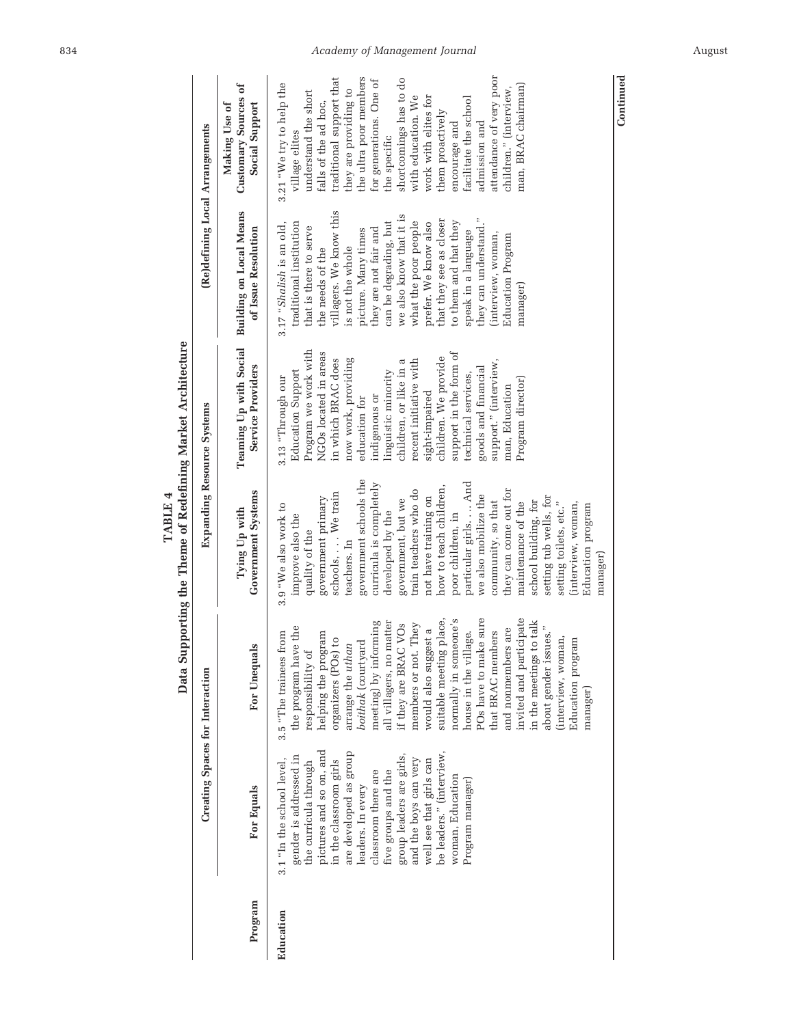| Í              | )                                                                  |
|----------------|--------------------------------------------------------------------|
| <b>EXEMPLE</b> | ׇ֚                                                                 |
|                | ׇ֚֘֡                                                               |
|                | i                                                                  |
|                | ١                                                                  |
|                | ֧֧֧ׅ֧ׅ֧֧ׅ֧ׅ֧ׅ֧ׅ֧ׅ֧֧ׅ֧֚֚֚֚֚֚֚֚֚֚֚֚֚֚֚֚֚֚֚֚֚֚֚֚֚֚֚֚֝֝֝֜֓֜֜֜֜֜֜֜<br>ſ |

|           |                                                                                                                                                                                                                                                                                                                                                                                    | <b>Creating Spaces for Interaction</b>                                                                                                                                                                                                                                                                                                                                                                                                                                                                                                                                             | <b>Expanding Resource Systems</b>                                                                                                                                                                                                                                                                                                                                                                                                                                                                                                                                            |                                                                                                                                                                                                                                                                                                                                                                                                                                     | (Re)defining Local Arrangements                                                                                                                                                                                                                                                                                                                                                                                                                                        |                                                                                                                                                                                                                                                                                                                                                                                                                                                         |
|-----------|------------------------------------------------------------------------------------------------------------------------------------------------------------------------------------------------------------------------------------------------------------------------------------------------------------------------------------------------------------------------------------|------------------------------------------------------------------------------------------------------------------------------------------------------------------------------------------------------------------------------------------------------------------------------------------------------------------------------------------------------------------------------------------------------------------------------------------------------------------------------------------------------------------------------------------------------------------------------------|------------------------------------------------------------------------------------------------------------------------------------------------------------------------------------------------------------------------------------------------------------------------------------------------------------------------------------------------------------------------------------------------------------------------------------------------------------------------------------------------------------------------------------------------------------------------------|-------------------------------------------------------------------------------------------------------------------------------------------------------------------------------------------------------------------------------------------------------------------------------------------------------------------------------------------------------------------------------------------------------------------------------------|------------------------------------------------------------------------------------------------------------------------------------------------------------------------------------------------------------------------------------------------------------------------------------------------------------------------------------------------------------------------------------------------------------------------------------------------------------------------|---------------------------------------------------------------------------------------------------------------------------------------------------------------------------------------------------------------------------------------------------------------------------------------------------------------------------------------------------------------------------------------------------------------------------------------------------------|
| Program   | For Equals                                                                                                                                                                                                                                                                                                                                                                         | For Unequals                                                                                                                                                                                                                                                                                                                                                                                                                                                                                                                                                                       | <b>Government Systems</b><br>Tying Up with                                                                                                                                                                                                                                                                                                                                                                                                                                                                                                                                   | <b>Teaming Up with Social</b><br>Service Providers                                                                                                                                                                                                                                                                                                                                                                                  | <b>Building on Local Means</b><br>of Issue Resolution                                                                                                                                                                                                                                                                                                                                                                                                                  | Customary Sources of<br>Making Use of<br><b>Social Support</b>                                                                                                                                                                                                                                                                                                                                                                                          |
| Education | pictures and so on, and<br>are developed as group<br>be leaders." (interview,<br>group leaders are girls,<br>and the boys can very<br>gender is addressed in<br>3.1 "In the school level,<br>well see that girls can<br>in the classroom girls<br>the curricula through<br>classroom there are<br>five groups and the<br>woman, Education<br>Program manager)<br>leaders. In every | POs have to make sure<br>normally in someone's<br>invited and participate<br>suitable meeting place,<br>in the meetings to talk<br>all villagers, no matter<br>meeting) by informing<br>if they are BRAC VOs<br>members or not. They<br>issues."<br>the program have the<br>and nonmembers are<br>would also suggest a<br>house in the village.<br>that BRAC members<br>3.5 "The trainees from<br>helping the program<br>(interview, woman,<br>organizers (POs) to<br>Education program<br>boithak (courtyard<br>arange the uthan<br>responsibility of<br>about gender<br>manager) | government schools the<br>particular girls And<br>curricula is completely<br>how to teach children,<br>train teachers who do<br>they can come out for<br>schools, We train<br>we also mobilize the<br>setting tub wells, for<br>not have training on<br>government primary<br>government, but we<br>school building, for<br>setting toilets, etc."<br>community, so that<br>maintenance of the<br>(interview, woman,<br>3.9 "We also work to<br>Education program<br>developed by the<br>improve also the<br>poor children, in<br>quality of the<br>teachers. In<br>manager) | Program we work with<br>support in the form of<br>NGOs located in areas<br>children. We provide<br>now work, providing<br>in which BRAC does<br>recent initiative with<br>children, or like in a<br>support." (interview,<br>goods and financial<br>Education Support<br>linguistic minority<br>technical services,<br>3.13 "Through our<br>Program director)<br>man, Education<br>sight-impaired<br>indigenous or<br>education for | villagers. We know this<br>we also know that it is<br>they can understand."<br>that they see as closer<br>to them and that they<br>what the poor people<br>can be degrading, but<br>3.17 "Shalish is an old,<br>traditional institution<br>prefer. We know also<br>that is there to serve<br>they are not fair and<br>picture. Many times<br>speak in a language<br>(interview, woman,<br><b>Education Program</b><br>is not the whole<br>the needs of the<br>manager) | attendance of very poor<br>the ultra poor members<br>traditional support that<br>shortcomings has to do<br>for generations. One of<br>3.21 "We try to help the<br>man, BRAC chairman)<br>children." (interview,<br>they are providing to<br>understand the short<br>with education. We<br>work with elites for<br>facilitate the school<br>falls of the ad hoc,<br>them proactively<br>admission and<br>ancourage and<br>village elites<br>the specific |

**Continued**

Continued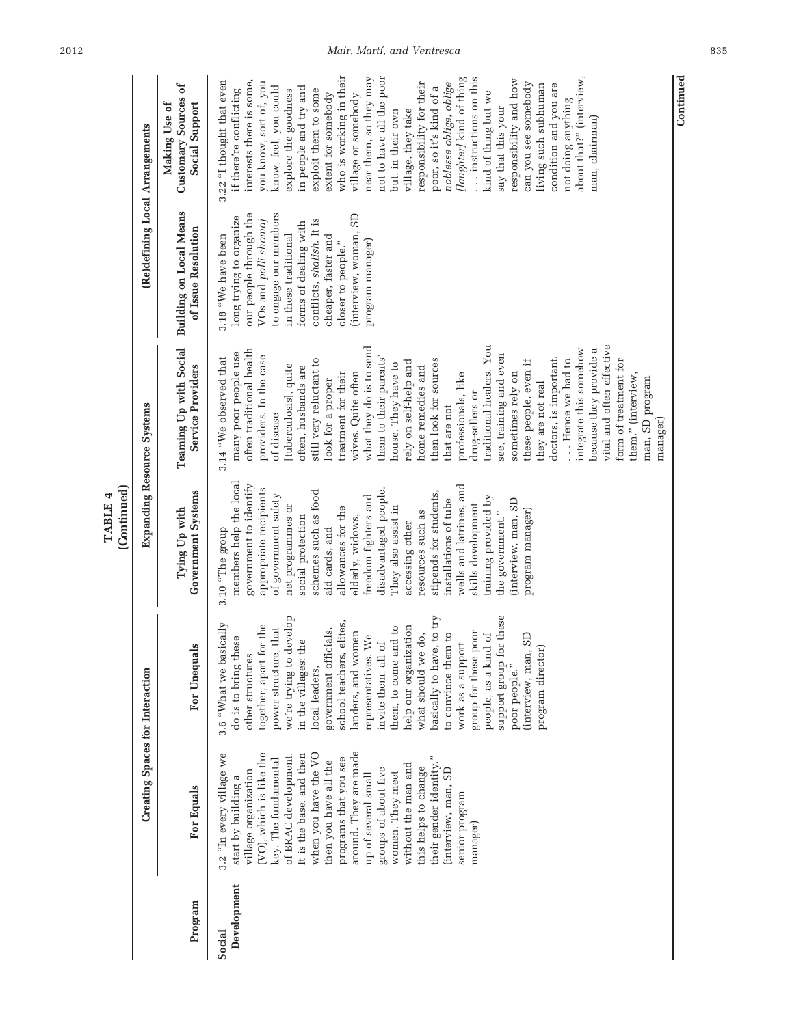|                       |                                                                                                                                                                                                                                                                                                                                                                                                                                                                                     |                                                                                                                                                                                                                                                                                                                                                                                                                                                                                                                                                                                                                      | (Continued)<br>TABLE 4                                                                                                                                                                                                                                                                                                                                                                                                                                                                                                                                           |                                                                                                                                                                                                                                                                                                                                                                                                                                                                                                                                                                                                                                                                                                                                                                                                                  |                                                                                                                                                                                                                                                                                                         |                                                                                                                                                                                                                                                                                                                                                                                                                                                                                                                                                                                                                                                                                                                                                   |
|-----------------------|-------------------------------------------------------------------------------------------------------------------------------------------------------------------------------------------------------------------------------------------------------------------------------------------------------------------------------------------------------------------------------------------------------------------------------------------------------------------------------------|----------------------------------------------------------------------------------------------------------------------------------------------------------------------------------------------------------------------------------------------------------------------------------------------------------------------------------------------------------------------------------------------------------------------------------------------------------------------------------------------------------------------------------------------------------------------------------------------------------------------|------------------------------------------------------------------------------------------------------------------------------------------------------------------------------------------------------------------------------------------------------------------------------------------------------------------------------------------------------------------------------------------------------------------------------------------------------------------------------------------------------------------------------------------------------------------|------------------------------------------------------------------------------------------------------------------------------------------------------------------------------------------------------------------------------------------------------------------------------------------------------------------------------------------------------------------------------------------------------------------------------------------------------------------------------------------------------------------------------------------------------------------------------------------------------------------------------------------------------------------------------------------------------------------------------------------------------------------------------------------------------------------|---------------------------------------------------------------------------------------------------------------------------------------------------------------------------------------------------------------------------------------------------------------------------------------------------------|---------------------------------------------------------------------------------------------------------------------------------------------------------------------------------------------------------------------------------------------------------------------------------------------------------------------------------------------------------------------------------------------------------------------------------------------------------------------------------------------------------------------------------------------------------------------------------------------------------------------------------------------------------------------------------------------------------------------------------------------------|
|                       | Creating Spaces for Interaction                                                                                                                                                                                                                                                                                                                                                                                                                                                     |                                                                                                                                                                                                                                                                                                                                                                                                                                                                                                                                                                                                                      | <b>Expanding Resource Systems</b>                                                                                                                                                                                                                                                                                                                                                                                                                                                                                                                                |                                                                                                                                                                                                                                                                                                                                                                                                                                                                                                                                                                                                                                                                                                                                                                                                                  | (Re)defining Local Arrangements                                                                                                                                                                                                                                                                         |                                                                                                                                                                                                                                                                                                                                                                                                                                                                                                                                                                                                                                                                                                                                                   |
| Program               | For Equals                                                                                                                                                                                                                                                                                                                                                                                                                                                                          | For Unequals                                                                                                                                                                                                                                                                                                                                                                                                                                                                                                                                                                                                         | <b>Government Systems</b><br>Tying Up with                                                                                                                                                                                                                                                                                                                                                                                                                                                                                                                       | Teaming Up with Social<br>Service Providers                                                                                                                                                                                                                                                                                                                                                                                                                                                                                                                                                                                                                                                                                                                                                                      | <b>Building on Local Means</b><br>of Issue Resolution                                                                                                                                                                                                                                                   | Customary Sources of<br><b>Social Support</b><br>Making Use of                                                                                                                                                                                                                                                                                                                                                                                                                                                                                                                                                                                                                                                                                    |
| Development<br>Social | around. They are made<br>3.2 "In every village we<br>when you have the VO<br>(VO), which is like the<br>It is the base, and then<br>of BRAC development.<br>their gender identity."<br>programs that you see<br>key. The fundamental<br>then you have all the<br>without the man and<br>this helps to change<br>groups of about five<br>(interview, man, SD<br>village organization<br>women. They meet<br>up of several small<br>start by building a<br>senior program<br>manager) | support group for these<br>we're trying to develop<br>basically to have, to try<br>school teachers, elites,<br>basically<br>together, apart for the<br>help our organization<br>them, to come and to<br>power structure, that<br>government officials,<br>landers, and women<br>group for these poor<br>what should we do,<br>to convince them to<br>people, as a kind of<br>representatives. We<br>(interview, man, SD<br>do is to bring these<br>in the villages: the<br>invite them, all of $\,$<br>work as a support<br>program director)<br>other structures<br>poor people."<br>3.6 "What we<br>local leaders, | members help the local<br>government to identify<br>wells and latrines, and<br>appropriate recipients<br>disadvantaged people.<br>schemes such as food<br>stipends for students,<br>of government safety<br>freedom fighters and<br>training provided by<br>installations of tube<br>(interview, man, SD<br>skills development<br>net programmes or<br>They also assist in<br>allowances for the<br>program manager)<br>the government."<br>resources such as<br>social protection<br>elderly, widows,<br>accessing other<br>aid cards, and<br>$3.10$ "The group | vital and often effective<br>what they do is to send<br>traditional healers. You<br>integrate this somehow<br>because they provide a<br>often traditional health<br>many poor people use<br>see, training and even<br>providers. In the case<br>3.14 "We observed that<br>them to their parents'<br>still very reluctant to<br>then look for sources<br>doctors, is important.<br>Hence we had to<br>form of treatment for<br>these people, even if<br>rely on self-help and<br>house. They have to<br>tuberculosis], quite<br>often, husbands are<br>home remedies and<br>treatment for their<br>wives. Quite often<br>sometimes rely on<br>professionals, like<br>them." (interview,<br>man, SD program<br>look for a proper<br>they are not real<br>drug-sellers or<br>that are not<br>of disease<br>manager) | our people through the<br>to engage our members<br>(interview, woman, SD<br>long trying to organize<br>conflicts, shalish. It is<br>VOs and <i>polli shomaj</i><br>forms of dealing with<br>in these traditional<br>3.18 "We have been<br>cheaper, faster and<br>closer to people."<br>program manager) | who is working in their<br>about that?" (interview,<br>instructions on this<br>near them, so they may<br>not to have all the poor<br>[laughter] kind of thing<br>responsibility and how<br>3.22 "I thought that even<br>interests there is some,<br>you know, sort of, you<br>responsibility for their<br>noblesse oblige, oblige<br>can you see somebody<br>living such subhuman<br>condition and you are<br>know, feel, you could<br>in people and try and<br>poor, so it's kind of a<br>if there're conflicting<br>exploit them to some<br>explore the goodness<br>kind of thing but we<br>extent for somebody<br>village or somebody<br>not doing anything<br>say that this your<br>village, they take<br>but, in their own<br>man, chairman) |

**Continued**

Continued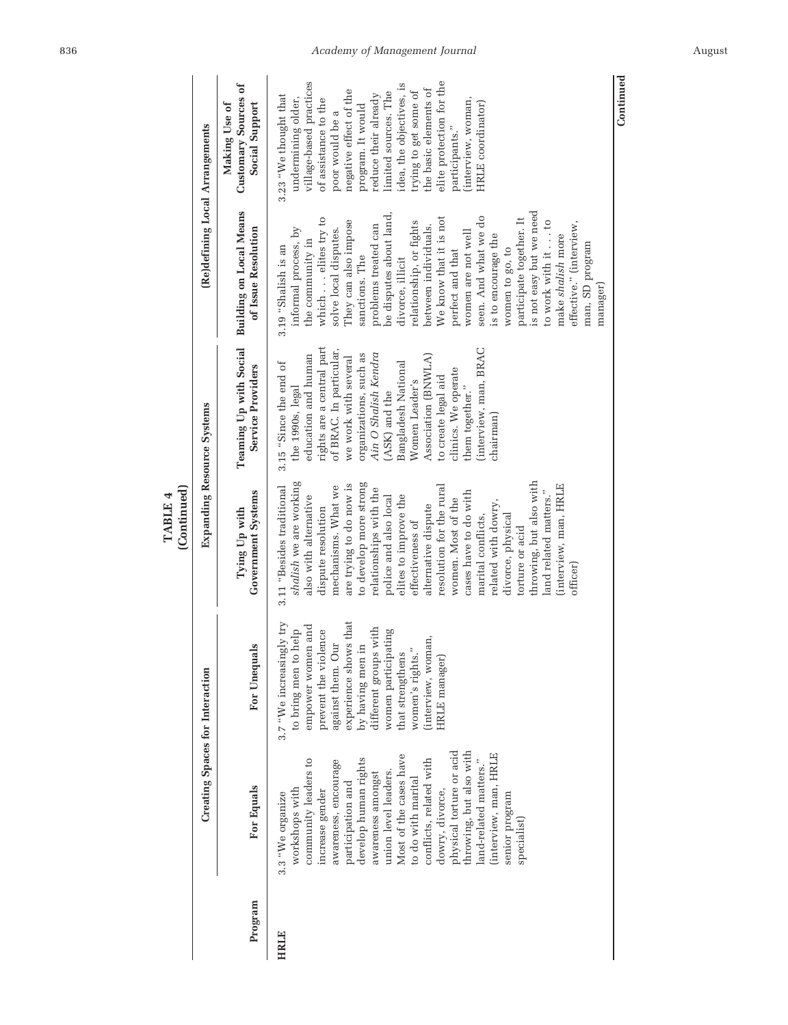|         |                                                                                                                                                                                                                                                                                                                                                                                                                                          |                                                                                                                                                                                                                                                                                                                | (Continued)<br>TABLE 4                                                                                                                                                                                                                                                                                                                                                                                                                                                                                                                                         |                                                                                                                                                                                                                                                                                                                                                                                               |                                                                                                                                                                                                                                                                                                                                                                                                                                                                                                                                                                                                |                                                                                                                                                                                                                                                                                                                                                                                        |
|---------|------------------------------------------------------------------------------------------------------------------------------------------------------------------------------------------------------------------------------------------------------------------------------------------------------------------------------------------------------------------------------------------------------------------------------------------|----------------------------------------------------------------------------------------------------------------------------------------------------------------------------------------------------------------------------------------------------------------------------------------------------------------|----------------------------------------------------------------------------------------------------------------------------------------------------------------------------------------------------------------------------------------------------------------------------------------------------------------------------------------------------------------------------------------------------------------------------------------------------------------------------------------------------------------------------------------------------------------|-----------------------------------------------------------------------------------------------------------------------------------------------------------------------------------------------------------------------------------------------------------------------------------------------------------------------------------------------------------------------------------------------|------------------------------------------------------------------------------------------------------------------------------------------------------------------------------------------------------------------------------------------------------------------------------------------------------------------------------------------------------------------------------------------------------------------------------------------------------------------------------------------------------------------------------------------------------------------------------------------------|----------------------------------------------------------------------------------------------------------------------------------------------------------------------------------------------------------------------------------------------------------------------------------------------------------------------------------------------------------------------------------------|
|         |                                                                                                                                                                                                                                                                                                                                                                                                                                          | <b>Creating Spaces for Interaction</b>                                                                                                                                                                                                                                                                         |                                                                                                                                                                                                                                                                                                                                                                                                                                                                                                                                                                | <b>Expanding Resource Systems</b>                                                                                                                                                                                                                                                                                                                                                             | (Re)defining Local Arrangements                                                                                                                                                                                                                                                                                                                                                                                                                                                                                                                                                                |                                                                                                                                                                                                                                                                                                                                                                                        |
| Program | For Equals                                                                                                                                                                                                                                                                                                                                                                                                                               | For Unequals                                                                                                                                                                                                                                                                                                   | <b>Government Systems</b><br>Tying Up with                                                                                                                                                                                                                                                                                                                                                                                                                                                                                                                     | Teaming Up with Social<br>Service Providers                                                                                                                                                                                                                                                                                                                                                   | <b>Building on Local Means</b><br>of Issue Resolution                                                                                                                                                                                                                                                                                                                                                                                                                                                                                                                                          | Customary Sources of<br>Making Use of<br><b>Social Support</b>                                                                                                                                                                                                                                                                                                                         |
| HRLE    | physical torture or acid<br>throwing, but also with<br>(interview, man, HRLE<br>Most of the cases have<br>develop human rights<br>conflicts, related with<br>community leaders to<br>land-related matters."<br>awareness, encourage<br>union level leaders.<br>awareness amongst<br>to do with marital<br>participation and<br>workshops with<br>dowry, divorce,<br>increase gender<br>3.3 "We organize<br>senior program<br>specialist) | experience shows that<br>$3.7$ "We increasingly ${\rm try}$<br>empower women and<br>different groups with<br>to help<br>women participating<br>prevent the violence<br>(interview, woman,<br>Our<br>by having men in<br>women's rights."<br>that strengthens<br>HRLE manager)<br>against them.<br>to bring men | throwing, but also with<br>shalish we are working<br>to develop more strong<br>are trying to do now is<br>resolution for the rural<br>(interview, man, HRLE<br>mechanisms. What we<br>3.11 "Besides traditional<br>relationships with the<br>land related matters."<br>cases have to do with<br>police and also local<br>also with alternative<br>elites to improve the<br>women. Most of the<br>related with dowry,<br>alternative dispute<br>dispute resolution<br>marital conflicts,<br>divorce, physical<br>effectiveness of<br>torture or acid<br>officer | rights are a central part<br>of BRAC. In particular,<br>(interview, man, BRAC<br>organizations, such as<br>Ain O Shalish Kendra<br>education and human<br>Association (BNWLA)<br>we work with several<br>3.15 "Since the end of<br>Bangladesh<br>National<br>clinics. We operate<br>to create legal aid<br>Women Leader's<br>them together."<br>the 1990s, legal<br>(ASK) and the<br>chairman | is not easy but we need<br>be disputes about land,<br>We know that it is not<br>seen. And what we do<br>which $\ldots$ elites try to<br>participate together. It<br>They can also impose<br>to work with it to<br>effective." (interview,<br>relationship, or fights<br>between individuals.<br>problems treated can<br>informal process, by<br>solve local disputes.<br>women are not well<br>is to encourage the<br>make shalish more<br>the community in<br>man, SD program<br>3.19 "Shalish is an<br>women to go, to<br>perfect and that<br>sanctions. The<br>divorce, illicit<br>manager) | village-based practices<br>elite protection for the<br>idea, the objectives, is<br>the basic elements of<br>negative effect of the<br>trying to get some of<br>limited sources. The<br>reduce their already<br>3.23 "We thought that<br>interview, woman,<br>undermining older,<br>of assistance to the<br>HRLE coordinator)<br>program. It would<br>poor would be a<br>participants." |
|         |                                                                                                                                                                                                                                                                                                                                                                                                                                          |                                                                                                                                                                                                                                                                                                                |                                                                                                                                                                                                                                                                                                                                                                                                                                                                                                                                                                |                                                                                                                                                                                                                                                                                                                                                                                               |                                                                                                                                                                                                                                                                                                                                                                                                                                                                                                                                                                                                | Continued                                                                                                                                                                                                                                                                                                                                                                              |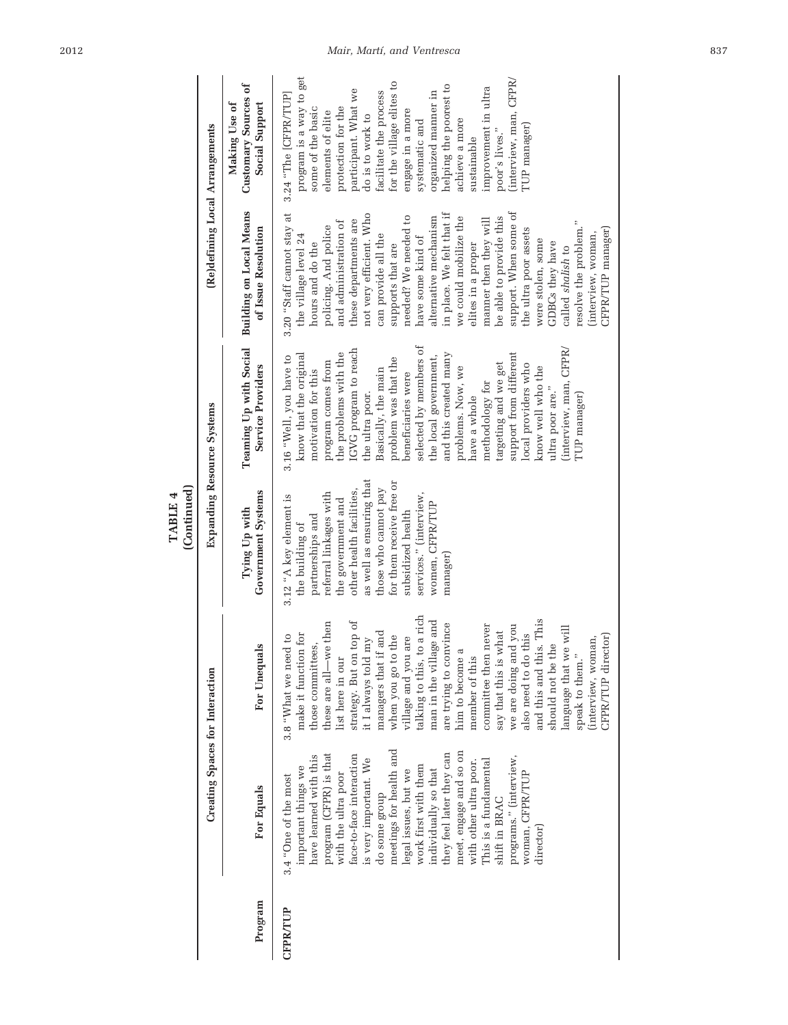|                 |                                                                                                                                                                                                                                                                                                                                                                                                                                                                                     |                                                                                                                                                                                                                                                                                                                                                                                                                                                                                                                                                                                                          | (Continued)<br>TABLE 4                                                                                                                                                                                                                                                                                 |                                                                                                                                                                                                                                                                                                                                                                                                                                                                                                                                          |                                                                                                                                                                                                                                                                                                                                                                                                                                                                                                                                                                                                                  |                                                                                                                                                                                                                                                                                                                                                                                                                               |
|-----------------|-------------------------------------------------------------------------------------------------------------------------------------------------------------------------------------------------------------------------------------------------------------------------------------------------------------------------------------------------------------------------------------------------------------------------------------------------------------------------------------|----------------------------------------------------------------------------------------------------------------------------------------------------------------------------------------------------------------------------------------------------------------------------------------------------------------------------------------------------------------------------------------------------------------------------------------------------------------------------------------------------------------------------------------------------------------------------------------------------------|--------------------------------------------------------------------------------------------------------------------------------------------------------------------------------------------------------------------------------------------------------------------------------------------------------|------------------------------------------------------------------------------------------------------------------------------------------------------------------------------------------------------------------------------------------------------------------------------------------------------------------------------------------------------------------------------------------------------------------------------------------------------------------------------------------------------------------------------------------|------------------------------------------------------------------------------------------------------------------------------------------------------------------------------------------------------------------------------------------------------------------------------------------------------------------------------------------------------------------------------------------------------------------------------------------------------------------------------------------------------------------------------------------------------------------------------------------------------------------|-------------------------------------------------------------------------------------------------------------------------------------------------------------------------------------------------------------------------------------------------------------------------------------------------------------------------------------------------------------------------------------------------------------------------------|
|                 |                                                                                                                                                                                                                                                                                                                                                                                                                                                                                     | <b>Creating Spaces for Interaction</b>                                                                                                                                                                                                                                                                                                                                                                                                                                                                                                                                                                   |                                                                                                                                                                                                                                                                                                        | <b>Expanding Resource Systems</b>                                                                                                                                                                                                                                                                                                                                                                                                                                                                                                        | (Re)defining Local Arrangements                                                                                                                                                                                                                                                                                                                                                                                                                                                                                                                                                                                  |                                                                                                                                                                                                                                                                                                                                                                                                                               |
| Program         | For Equals                                                                                                                                                                                                                                                                                                                                                                                                                                                                          | For Unequals                                                                                                                                                                                                                                                                                                                                                                                                                                                                                                                                                                                             | <b>Government Systems</b><br>Tying Up with                                                                                                                                                                                                                                                             | Teaming Up with Social<br>Service Providers                                                                                                                                                                                                                                                                                                                                                                                                                                                                                              | <b>Building on Local Means</b><br>of Issue Resolution                                                                                                                                                                                                                                                                                                                                                                                                                                                                                                                                                            | Customary Sources of<br><b>Social Support</b><br>Making Use of                                                                                                                                                                                                                                                                                                                                                                |
| <b>CFPR/TUP</b> | meetings for health and<br>meet, engage and so on<br>they feel later they can<br>program (CFPR) is that<br>face-to-face interaction<br>programs." (interview,<br>have learned with this<br>is very important. We<br>This is a fundamental<br>with other ultra poor.<br>work first with them<br>important things we<br>individually so that<br>legal issues, but we<br>woman, CFPR/TUP<br>with the ultra poor<br>3.4 "One of the most<br>do some group<br>shift in BRAC<br>director) | talking to this, to a rich<br>and this and this. This<br>man in the village and<br>strategy. But on top of<br>these are all—we then<br>are trying to convince<br>committee then never<br>we are doing and you<br>language that we will<br>say that this is what<br>managers that if and<br>do this<br>make it function for<br>3.8 "What we need to<br>when you go to the<br>village and you are<br>CFPR/TUP director)<br>(interview, woman,<br>it I always told my<br>those committees,<br>should not be the<br>him to become a<br>speak to them."<br>member of this<br>list here in our<br>also need to | as well as ensuring that<br>for them receive free or<br>those who cannot pay<br>other health facilities,<br>referral linkages with<br>services." (interview,<br>3.12 "A key element is<br>the government and<br>women, CFPR/TUF<br>subsidized health<br>partnerships and<br>the building of<br>manager | selected by members of<br>(interview, man, CFPR/<br>IGVG program to reach<br>the problems with the<br>and this created many<br>support from different<br>know that the original<br>3.16 "Well, you have to<br>the local government,<br>problem was that the<br>program comes from<br>targeting and we get<br>local providers who<br>problems. Now, we<br>know well who the<br>Basically, the main<br>motivation for this<br>beneficiaries were<br>methodology for<br>ultra poor are."<br>the ultra poor.<br>TUP manager)<br>have a whole | support. When some of<br>in place. We felt that if<br>3.20 "Staff cannot stay at<br>not very efficient. Who<br>needed? We needed to<br>alternative mechanism<br>we could mobilize the<br>be able to provide this<br>manner then they will<br>and administration of<br>these departments are<br>resolve the problem."<br>policing. And police<br>the ultra poor assets<br>CFPR/TUP manager)<br>(interview, woman,<br>the village level 24<br>can provide all the<br>have some kind of<br>were stolen, some<br>GDBCs they have<br>hours and do the<br>supports that are<br>elites in a proper<br>called shalish to | program is a way to get<br>(interview, man, CFPR/<br>for the village elites to<br>helping the poorest to<br>improvement in ultra<br>participant. What we<br>facilitate the process<br>3.24 "The [CFPR/TUP]<br>organized manner in<br>protection for the<br>some of the basic<br>engage in a more<br>elements of elite<br>do is to work to<br>achieve a more<br>systematic and<br>TUP manager<br>poor's lives."<br>sustainable |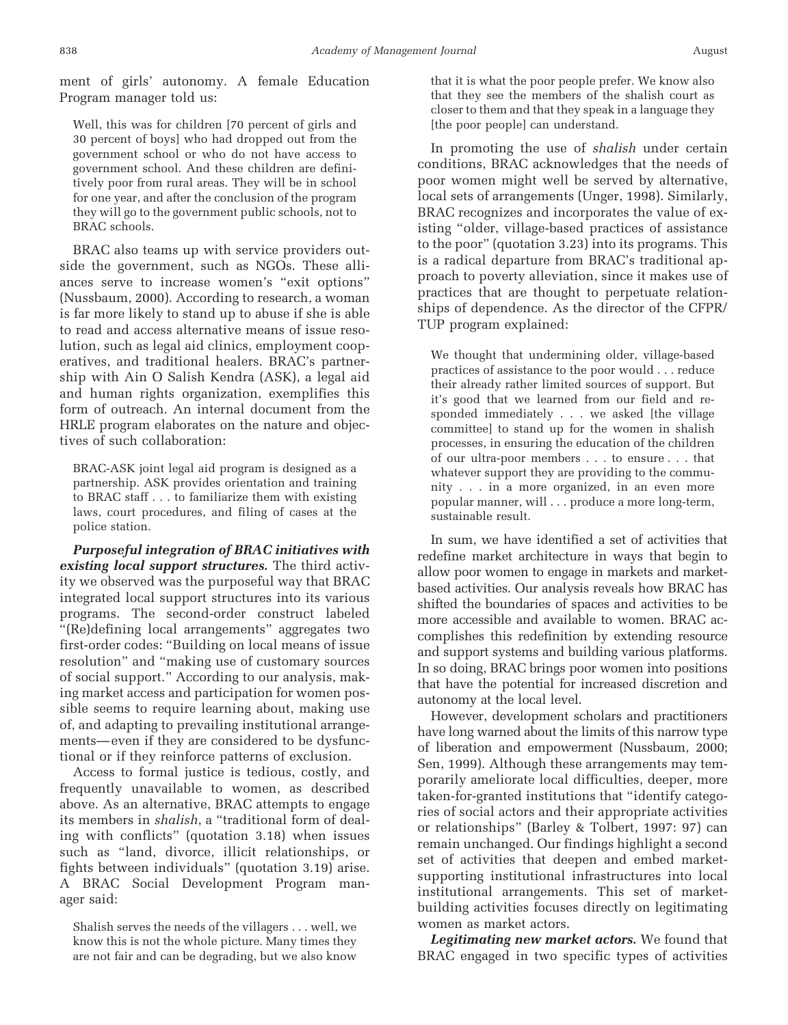ment of girls' autonomy. A female Education Program manager told us:

Well, this was for children [70 percent of girls and 30 percent of boys] who had dropped out from the government school or who do not have access to government school. And these children are definitively poor from rural areas. They will be in school for one year, and after the conclusion of the program they will go to the government public schools, not to BRAC schools.

BRAC also teams up with service providers outside the government, such as NGOs. These alliances serve to increase women's "exit options" (Nussbaum, 2000). According to research, a woman is far more likely to stand up to abuse if she is able to read and access alternative means of issue resolution, such as legal aid clinics, employment cooperatives, and traditional healers. BRAC's partnership with Ain O Salish Kendra (ASK), a legal aid and human rights organization, exemplifies this form of outreach. An internal document from the HRLE program elaborates on the nature and objectives of such collaboration:

BRAC-ASK joint legal aid program is designed as a partnership. ASK provides orientation and training to BRAC staff . . . to familiarize them with existing laws, court procedures, and filing of cases at the police station.

*Purposeful integration of BRAC initiatives with existing local support structures.* The third activity we observed was the purposeful way that BRAC integrated local support structures into its various programs. The second-order construct labeled "(Re)defining local arrangements" aggregates two first-order codes: "Building on local means of issue resolution" and "making use of customary sources of social support." According to our analysis, making market access and participation for women possible seems to require learning about, making use of, and adapting to prevailing institutional arrangements—even if they are considered to be dysfunctional or if they reinforce patterns of exclusion.

Access to formal justice is tedious, costly, and frequently unavailable to women, as described above. As an alternative, BRAC attempts to engage its members in *shalish*, a "traditional form of dealing with conflicts" (quotation 3.18) when issues such as "land, divorce, illicit relationships, or fights between individuals" (quotation 3.19) arise. A BRAC Social Development Program manager said:

Shalish serves the needs of the villagers . . . well, we know this is not the whole picture. Many times they are not fair and can be degrading, but we also know

that it is what the poor people prefer. We know also that they see the members of the shalish court as closer to them and that they speak in a language they [the poor people] can understand.

In promoting the use of *shalish* under certain conditions, BRAC acknowledges that the needs of poor women might well be served by alternative, local sets of arrangements (Unger, 1998). Similarly, BRAC recognizes and incorporates the value of existing "older, village-based practices of assistance to the poor" (quotation 3.23) into its programs. This is a radical departure from BRAC's traditional approach to poverty alleviation, since it makes use of practices that are thought to perpetuate relationships of dependence. As the director of the CFPR/ TUP program explained:

We thought that undermining older, village-based practices of assistance to the poor would... reduce their already rather limited sources of support. But it's good that we learned from our field and responded immediately . . . we asked [the village committee] to stand up for the women in shalish processes, in ensuring the education of the children of our ultra-poor members . . . to ensure . . . that whatever support they are providing to the community . . . in a more organized, in an even more popular manner, will... produce a more long-term, sustainable result.

In sum, we have identified a set of activities that redefine market architecture in ways that begin to allow poor women to engage in markets and marketbased activities. Our analysis reveals how BRAC has shifted the boundaries of spaces and activities to be more accessible and available to women. BRAC accomplishes this redefinition by extending resource and support systems and building various platforms. In so doing, BRAC brings poor women into positions that have the potential for increased discretion and autonomy at the local level.

However, development scholars and practitioners have long warned about the limits of this narrow type of liberation and empowerment (Nussbaum, 2000; Sen, 1999). Although these arrangements may temporarily ameliorate local difficulties, deeper, more taken-for-granted institutions that "identify categories of social actors and their appropriate activities or relationships" (Barley & Tolbert, 1997: 97) can remain unchanged. Our findings highlight a second set of activities that deepen and embed marketsupporting institutional infrastructures into local institutional arrangements. This set of marketbuilding activities focuses directly on legitimating women as market actors.

*Legitimating new market actors.* We found that BRAC engaged in two specific types of activities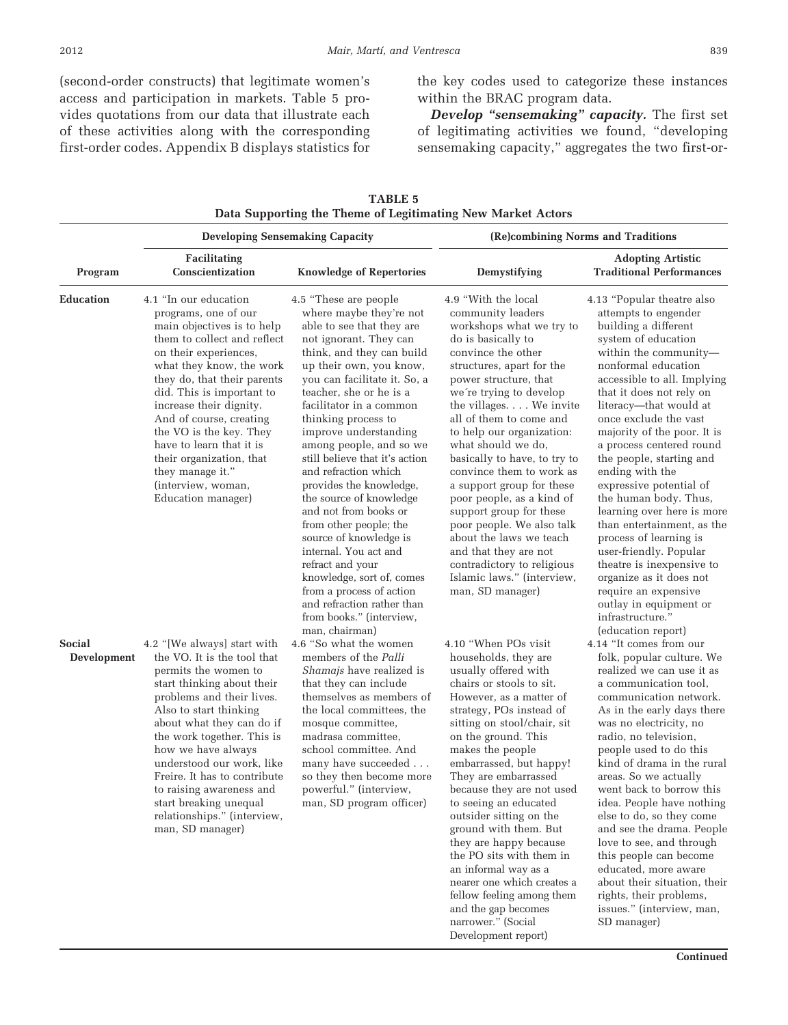(second-order constructs) that legitimate women's access and participation in markets. Table 5 provides quotations from our data that illustrate each of these activities along with the corresponding first-order codes. Appendix B displays statistics for the key codes used to categorize these instances within the BRAC program data.

*Develop "sensemaking" capacity.* The first set of legitimating activities we found, "developing sensemaking capacity," aggregates the two first-or-

|                                   |                                                                                                                                                                                                                                                                                                                                                                                                                                                                     | <b>Developing Sensemaking Capacity</b>                                                                                                                                                                                                                                                                                                                                                                                                                                                                                                                                                                                                                                                                                                    |                                                                                                                                                                                                                                                                                                                                                                                                                                                                                                                                                                                                                                                      | (Re)combining Norms and Traditions                                                                                                                                                                                                                                                                                                                                                                                                                                                                                                                                                                                                                                                                                           |
|-----------------------------------|---------------------------------------------------------------------------------------------------------------------------------------------------------------------------------------------------------------------------------------------------------------------------------------------------------------------------------------------------------------------------------------------------------------------------------------------------------------------|-------------------------------------------------------------------------------------------------------------------------------------------------------------------------------------------------------------------------------------------------------------------------------------------------------------------------------------------------------------------------------------------------------------------------------------------------------------------------------------------------------------------------------------------------------------------------------------------------------------------------------------------------------------------------------------------------------------------------------------------|------------------------------------------------------------------------------------------------------------------------------------------------------------------------------------------------------------------------------------------------------------------------------------------------------------------------------------------------------------------------------------------------------------------------------------------------------------------------------------------------------------------------------------------------------------------------------------------------------------------------------------------------------|------------------------------------------------------------------------------------------------------------------------------------------------------------------------------------------------------------------------------------------------------------------------------------------------------------------------------------------------------------------------------------------------------------------------------------------------------------------------------------------------------------------------------------------------------------------------------------------------------------------------------------------------------------------------------------------------------------------------------|
| Program                           | <b>Facilitating</b><br>Conscientization                                                                                                                                                                                                                                                                                                                                                                                                                             | <b>Knowledge of Repertories</b>                                                                                                                                                                                                                                                                                                                                                                                                                                                                                                                                                                                                                                                                                                           | Demystifying                                                                                                                                                                                                                                                                                                                                                                                                                                                                                                                                                                                                                                         | <b>Adopting Artistic</b><br><b>Traditional Performances</b>                                                                                                                                                                                                                                                                                                                                                                                                                                                                                                                                                                                                                                                                  |
| <b>Education</b><br><b>Social</b> | 4.1 "In our education<br>programs, one of our<br>main objectives is to help<br>them to collect and reflect<br>on their experiences,<br>what they know, the work<br>they do, that their parents<br>did. This is important to<br>increase their dignity.<br>And of course, creating<br>the VO is the key. They<br>have to learn that it is<br>their organization, that<br>they manage it."<br>(interview, woman,<br>Education manager)<br>4.2 "[We always] start with | 4.5 "These are people<br>where maybe they're not<br>able to see that they are<br>not ignorant. They can<br>think, and they can build<br>up their own, you know,<br>you can facilitate it. So, a<br>teacher, she or he is a<br>facilitator in a common<br>thinking process to<br>improve understanding<br>among people, and so we<br>still believe that it's action<br>and refraction which<br>provides the knowledge,<br>the source of knowledge<br>and not from books or<br>from other people; the<br>source of knowledge is<br>internal. You act and<br>refract and your<br>knowledge, sort of, comes<br>from a process of action<br>and refraction rather than<br>from books." (interview,<br>man, chairman)<br>4.6 "So what the women | 4.9 "With the local<br>community leaders<br>workshops what we try to<br>do is basically to<br>convince the other<br>structures, apart for the<br>power structure, that<br>we're trying to develop<br>the villages We invite<br>all of them to come and<br>to help our organization:<br>what should we do,<br>basically to have, to try to<br>convince them to work as<br>a support group for these<br>poor people, as a kind of<br>support group for these<br>poor people. We also talk<br>about the laws we teach<br>and that they are not<br>contradictory to religious<br>Islamic laws." (interview,<br>man, SD manager)<br>4.10 "When POs visit" | 4.13 "Popular theatre also<br>attempts to engender<br>building a different<br>system of education<br>within the community-<br>nonformal education<br>accessible to all. Implying<br>that it does not rely on<br>literacy—that would at<br>once exclude the vast<br>majority of the poor. It is<br>a process centered round<br>the people, starting and<br>ending with the<br>expressive potential of<br>the human body. Thus,<br>learning over here is more<br>than entertainment, as the<br>process of learning is<br>user-friendly. Popular<br>theatre is inexpensive to<br>organize as it does not<br>require an expensive<br>outlay in equipment or<br>infrastructure."<br>(education report)<br>4.14 "It comes from our |
| Development                       | the VO. It is the tool that<br>permits the women to<br>start thinking about their<br>problems and their lives.<br>Also to start thinking<br>about what they can do if<br>the work together. This is<br>how we have always<br>understood our work, like<br>Freire. It has to contribute<br>to raising awareness and<br>start breaking unequal<br>relationships." (interview,<br>man, SD manager)                                                                     | members of the Palli<br>Shamajs have realized is<br>that they can include<br>themselves as members of<br>the local committees, the<br>mosque committee,<br>madrasa committee,<br>school committee. And<br>many have succeeded<br>so they then become more<br>powerful." (interview,<br>man, SD program officer)                                                                                                                                                                                                                                                                                                                                                                                                                           | households, they are<br>usually offered with<br>chairs or stools to sit.<br>However, as a matter of<br>strategy, POs instead of<br>sitting on stool/chair, sit<br>on the ground. This<br>makes the people<br>embarrassed, but happy!<br>They are embarrassed<br>because they are not used<br>to seeing an educated<br>outsider sitting on the<br>ground with them. But<br>they are happy because<br>the PO sits with them in<br>an informal way as a<br>nearer one which creates a<br>fellow feeling among them<br>and the gap becomes<br>narrower." (Social<br>Development report)                                                                  | folk, popular culture. We<br>realized we can use it as<br>a communication tool,<br>communication network.<br>As in the early days there<br>was no electricity, no<br>radio, no television,<br>people used to do this<br>kind of drama in the rural<br>areas. So we actually<br>went back to borrow this<br>idea. People have nothing<br>else to do, so they come<br>and see the drama. People<br>love to see, and through<br>this people can become<br>educated, more aware<br>about their situation, their<br>rights, their problems,<br>issues." (interview, man,<br>SD manager)                                                                                                                                           |

**TABLE 5 Data Supporting the Theme of Legitimating New Market Actors**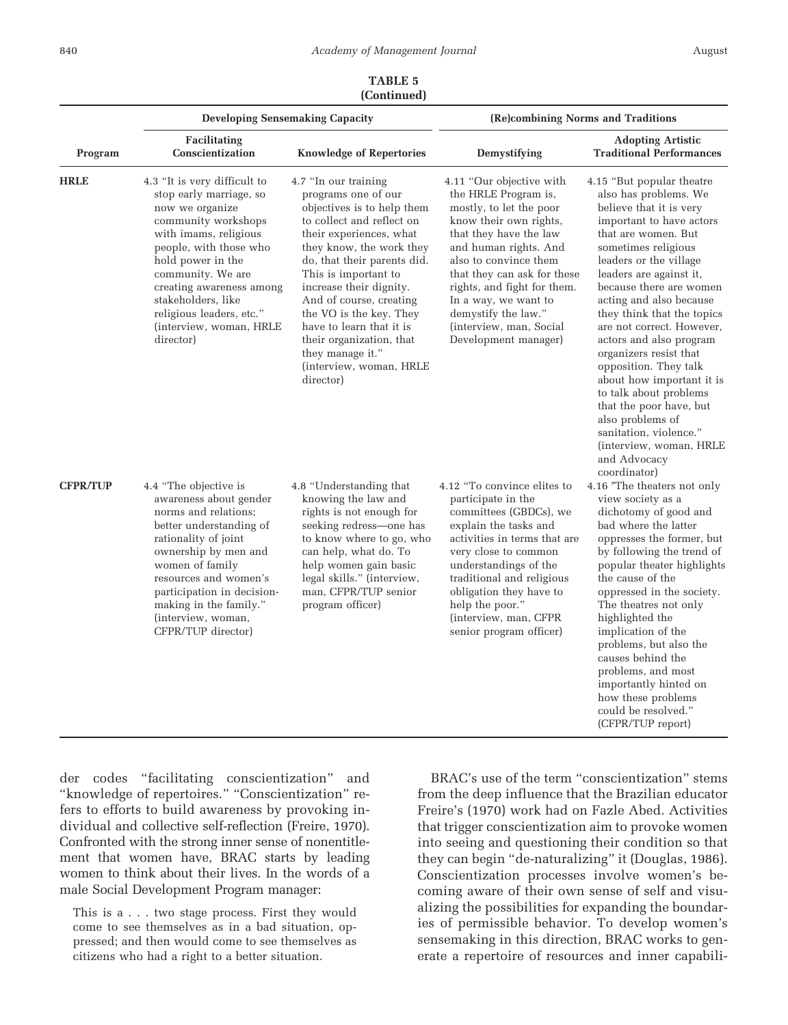|                 |                                                                                                                                                                                                                                                                                                                      | <b>Developing Sensemaking Capacity</b>                                                                                                                                                                                                                                                                                                                                                                                    | (Re)combining Norms and Traditions                                                                                                                                                                                                                                                                                                                |                                                                                                                                                                                                                                                                                                                                                                                                                                                                                                                                                                                                        |  |  |
|-----------------|----------------------------------------------------------------------------------------------------------------------------------------------------------------------------------------------------------------------------------------------------------------------------------------------------------------------|---------------------------------------------------------------------------------------------------------------------------------------------------------------------------------------------------------------------------------------------------------------------------------------------------------------------------------------------------------------------------------------------------------------------------|---------------------------------------------------------------------------------------------------------------------------------------------------------------------------------------------------------------------------------------------------------------------------------------------------------------------------------------------------|--------------------------------------------------------------------------------------------------------------------------------------------------------------------------------------------------------------------------------------------------------------------------------------------------------------------------------------------------------------------------------------------------------------------------------------------------------------------------------------------------------------------------------------------------------------------------------------------------------|--|--|
| Program         | Facilitating<br>Conscientization                                                                                                                                                                                                                                                                                     | <b>Knowledge of Repertories</b>                                                                                                                                                                                                                                                                                                                                                                                           | Demystifying                                                                                                                                                                                                                                                                                                                                      | <b>Adopting Artistic</b><br><b>Traditional Performances</b>                                                                                                                                                                                                                                                                                                                                                                                                                                                                                                                                            |  |  |
| <b>HRLE</b>     | 4.3 "It is very difficult to<br>stop early marriage, so<br>now we organize<br>community workshops<br>with imams, religious<br>people, with those who<br>hold power in the<br>community. We are<br>creating awareness among<br>stakeholders, like<br>religious leaders, etc."<br>(interview, woman, HRLE<br>director) | 4.7 "In our training<br>programs one of our<br>objectives is to help them<br>to collect and reflect on<br>their experiences, what<br>they know, the work they<br>do, that their parents did.<br>This is important to<br>increase their dignity.<br>And of course, creating<br>the VO is the key. They<br>have to learn that it is<br>their organization, that<br>they manage it."<br>(interview, woman, HRLE<br>director) | 4.11 "Our objective with<br>the HRLE Program is,<br>mostly, to let the poor<br>know their own rights,<br>that they have the law<br>and human rights. And<br>also to convince them<br>that they can ask for these<br>rights, and fight for them.<br>In a way, we want to<br>demystify the law."<br>(interview, man, Social<br>Development manager) | 4.15 "But popular theatre<br>also has problems. We<br>believe that it is very<br>important to have actors<br>that are women. But<br>sometimes religious<br>leaders or the village<br>leaders are against it,<br>because there are women<br>acting and also because<br>they think that the topics<br>are not correct. However,<br>actors and also program<br>organizers resist that<br>opposition. They talk<br>about how important it is<br>to talk about problems<br>that the poor have, but<br>also problems of<br>sanitation, violence."<br>(interview, woman, HRLE<br>and Advocacy<br>coordinator) |  |  |
| <b>CFPR/TUP</b> | 4.4 "The objective is<br>awareness about gender<br>norms and relations;<br>better understanding of<br>rationality of joint<br>ownership by men and<br>women of family<br>resources and women's<br>participation in decision-<br>making in the family."<br>(interview, woman,<br>CFPR/TUP director)                   | 4.8 "Understanding that<br>knowing the law and<br>rights is not enough for<br>seeking redress-one has<br>to know where to go, who<br>can help, what do. To<br>help women gain basic<br>legal skills." (interview,<br>man, CFPR/TUP senior<br>program officer)                                                                                                                                                             | 4.12 "To convince elites to<br>participate in the<br>committees (GBDCs), we<br>explain the tasks and<br>activities in terms that are<br>very close to common<br>understandings of the<br>traditional and religious<br>obligation they have to<br>help the poor."<br>(interview, man, CFPR<br>senior program officer)                              | 4.16 "The theaters not only<br>view society as a<br>dichotomy of good and<br>bad where the latter<br>oppresses the former, but<br>by following the trend of<br>popular theater highlights<br>the cause of the<br>oppressed in the society.<br>The theatres not only<br>highlighted the<br>implication of the<br>problems, but also the<br>causes behind the<br>problems, and most<br>importantly hinted on<br>how these problems<br>could be resolved."<br>(CFPR/TUP report)                                                                                                                           |  |  |

# **TABLE 5 (Continued)**

der codes "facilitating conscientization" and "knowledge of repertoires." "Conscientization" refers to efforts to build awareness by provoking individual and collective self-reflection (Freire, 1970). Confronted with the strong inner sense of nonentitlement that women have, BRAC starts by leading women to think about their lives. In the words of a male Social Development Program manager:

This is a . . . two stage process. First they would come to see themselves as in a bad situation, oppressed; and then would come to see themselves as citizens who had a right to a better situation.

BRAC's use of the term "conscientization" stems from the deep influence that the Brazilian educator Freire's (1970) work had on Fazle Abed. Activities that trigger conscientization aim to provoke women into seeing and questioning their condition so that they can begin "de-naturalizing" it (Douglas, 1986). Conscientization processes involve women's becoming aware of their own sense of self and visualizing the possibilities for expanding the boundaries of permissible behavior. To develop women's sensemaking in this direction, BRAC works to generate a repertoire of resources and inner capabili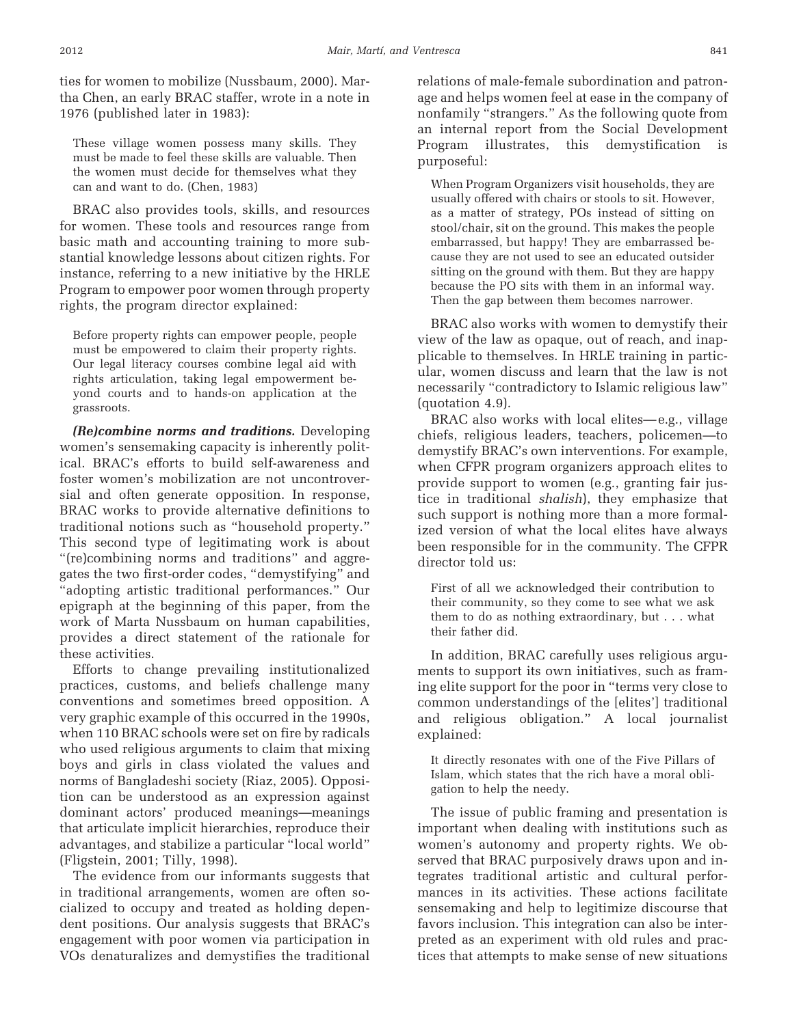ties for women to mobilize (Nussbaum, 2000). Martha Chen, an early BRAC staffer, wrote in a note in 1976 (published later in 1983):

These village women possess many skills. They must be made to feel these skills are valuable. Then the women must decide for themselves what they can and want to do. (Chen, 1983)

BRAC also provides tools, skills, and resources for women. These tools and resources range from basic math and accounting training to more substantial knowledge lessons about citizen rights. For instance, referring to a new initiative by the HRLE Program to empower poor women through property rights, the program director explained:

Before property rights can empower people, people must be empowered to claim their property rights. Our legal literacy courses combine legal aid with rights articulation, taking legal empowerment beyond courts and to hands-on application at the grassroots.

*(Re)combine norms and traditions.* Developing women's sensemaking capacity is inherently political. BRAC's efforts to build self-awareness and foster women's mobilization are not uncontroversial and often generate opposition. In response, BRAC works to provide alternative definitions to traditional notions such as "household property." This second type of legitimating work is about "(re)combining norms and traditions" and aggregates the two first-order codes, "demystifying" and "adopting artistic traditional performances." Our epigraph at the beginning of this paper, from the work of Marta Nussbaum on human capabilities, provides a direct statement of the rationale for these activities.

Efforts to change prevailing institutionalized practices, customs, and beliefs challenge many conventions and sometimes breed opposition. A very graphic example of this occurred in the 1990s, when 110 BRAC schools were set on fire by radicals who used religious arguments to claim that mixing boys and girls in class violated the values and norms of Bangladeshi society (Riaz, 2005). Opposition can be understood as an expression against dominant actors' produced meanings—meanings that articulate implicit hierarchies, reproduce their advantages, and stabilize a particular "local world" (Fligstein, 2001; Tilly, 1998).

The evidence from our informants suggests that in traditional arrangements, women are often socialized to occupy and treated as holding dependent positions. Our analysis suggests that BRAC's engagement with poor women via participation in VOs denaturalizes and demystifies the traditional

relations of male-female subordination and patronage and helps women feel at ease in the company of nonfamily "strangers." As the following quote from an internal report from the Social Development Program illustrates, this demystification is purposeful:

When Program Organizers visit households, they are usually offered with chairs or stools to sit. However, as a matter of strategy, POs instead of sitting on stool/chair, sit on the ground. This makes the people embarrassed, but happy! They are embarrassed because they are not used to see an educated outsider sitting on the ground with them. But they are happy because the PO sits with them in an informal way. Then the gap between them becomes narrower.

BRAC also works with women to demystify their view of the law as opaque, out of reach, and inapplicable to themselves. In HRLE training in particular, women discuss and learn that the law is not necessarily "contradictory to Islamic religious law" (quotation 4.9).

BRAC also works with local elites—e.g., village chiefs, religious leaders, teachers, policemen—to demystify BRAC's own interventions. For example, when CFPR program organizers approach elites to provide support to women (e.g., granting fair justice in traditional *shalish*), they emphasize that such support is nothing more than a more formalized version of what the local elites have always been responsible for in the community. The CFPR director told us:

First of all we acknowledged their contribution to their community, so they come to see what we ask them to do as nothing extraordinary, but... what their father did.

In addition, BRAC carefully uses religious arguments to support its own initiatives, such as framing elite support for the poor in "terms very close to common understandings of the [elites'] traditional and religious obligation." A local journalist explained:

It directly resonates with one of the Five Pillars of Islam, which states that the rich have a moral obligation to help the needy.

The issue of public framing and presentation is important when dealing with institutions such as women's autonomy and property rights. We observed that BRAC purposively draws upon and integrates traditional artistic and cultural performances in its activities. These actions facilitate sensemaking and help to legitimize discourse that favors inclusion. This integration can also be interpreted as an experiment with old rules and practices that attempts to make sense of new situations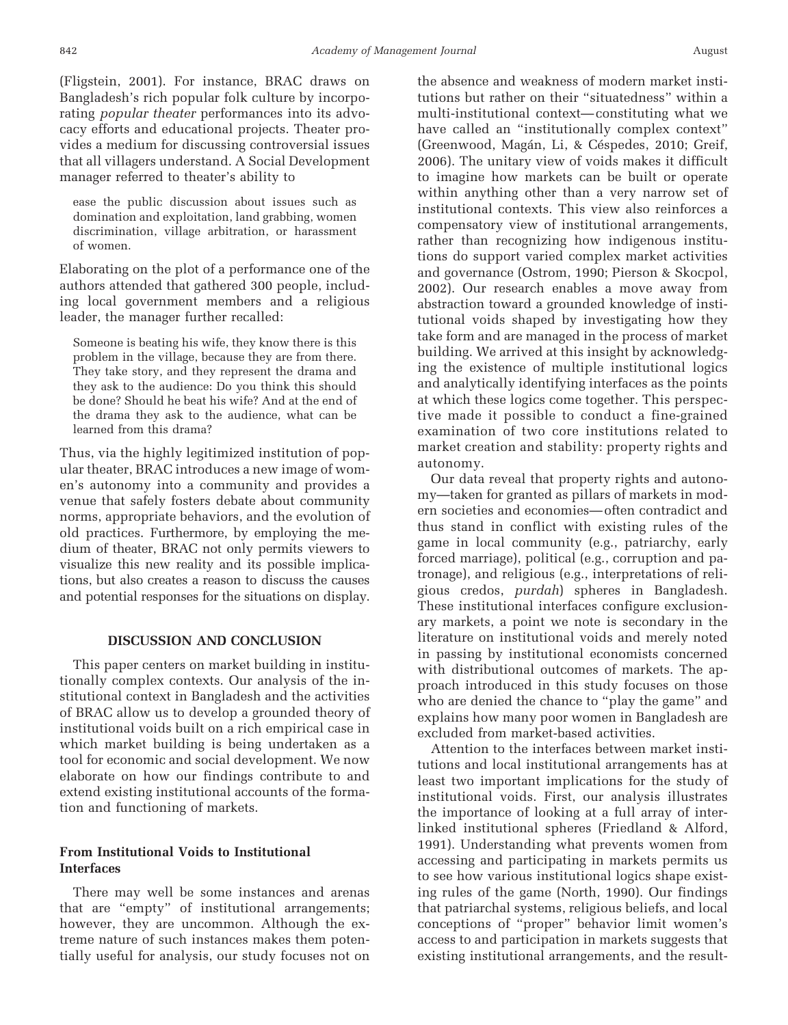(Fligstein, 2001). For instance, BRAC draws on Bangladesh's rich popular folk culture by incorporating *popular theater* performances into its advocacy efforts and educational projects. Theater provides a medium for discussing controversial issues that all villagers understand. A Social Development manager referred to theater's ability to

ease the public discussion about issues such as domination and exploitation, land grabbing, women discrimination, village arbitration, or harassment of women.

Elaborating on the plot of a performance one of the authors attended that gathered 300 people, including local government members and a religious leader, the manager further recalled:

Someone is beating his wife, they know there is this problem in the village, because they are from there. They take story, and they represent the drama and they ask to the audience: Do you think this should be done? Should he beat his wife? And at the end of the drama they ask to the audience, what can be learned from this drama?

Thus, via the highly legitimized institution of popular theater, BRAC introduces a new image of women's autonomy into a community and provides a venue that safely fosters debate about community norms, appropriate behaviors, and the evolution of old practices. Furthermore, by employing the medium of theater, BRAC not only permits viewers to visualize this new reality and its possible implications, but also creates a reason to discuss the causes and potential responses for the situations on display.

# **DISCUSSION AND CONCLUSION**

This paper centers on market building in institutionally complex contexts. Our analysis of the institutional context in Bangladesh and the activities of BRAC allow us to develop a grounded theory of institutional voids built on a rich empirical case in which market building is being undertaken as a tool for economic and social development. We now elaborate on how our findings contribute to and extend existing institutional accounts of the formation and functioning of markets.

# **From Institutional Voids to Institutional Interfaces**

There may well be some instances and arenas that are "empty" of institutional arrangements; however, they are uncommon. Although the extreme nature of such instances makes them potentially useful for analysis, our study focuses not on

the absence and weakness of modern market institutions but rather on their "situatedness" within a multi-institutional context—constituting what we have called an "institutionally complex context" (Greenwood, Magán, Li, & Céspedes, 2010; Greif, 2006). The unitary view of voids makes it difficult to imagine how markets can be built or operate within anything other than a very narrow set of institutional contexts. This view also reinforces a compensatory view of institutional arrangements, rather than recognizing how indigenous institutions do support varied complex market activities and governance (Ostrom, 1990; Pierson & Skocpol, 2002). Our research enables a move away from abstraction toward a grounded knowledge of institutional voids shaped by investigating how they take form and are managed in the process of market building. We arrived at this insight by acknowledging the existence of multiple institutional logics and analytically identifying interfaces as the points at which these logics come together. This perspective made it possible to conduct a fine-grained examination of two core institutions related to market creation and stability: property rights and autonomy.

Our data reveal that property rights and autonomy—taken for granted as pillars of markets in modern societies and economies—often contradict and thus stand in conflict with existing rules of the game in local community (e.g., patriarchy, early forced marriage), political (e.g., corruption and patronage), and religious (e.g., interpretations of religious credos, *purdah*) spheres in Bangladesh. These institutional interfaces configure exclusionary markets, a point we note is secondary in the literature on institutional voids and merely noted in passing by institutional economists concerned with distributional outcomes of markets. The approach introduced in this study focuses on those who are denied the chance to "play the game" and explains how many poor women in Bangladesh are excluded from market-based activities.

Attention to the interfaces between market institutions and local institutional arrangements has at least two important implications for the study of institutional voids. First, our analysis illustrates the importance of looking at a full array of interlinked institutional spheres (Friedland & Alford, 1991). Understanding what prevents women from accessing and participating in markets permits us to see how various institutional logics shape existing rules of the game (North, 1990). Our findings that patriarchal systems, religious beliefs, and local conceptions of "proper" behavior limit women's access to and participation in markets suggests that existing institutional arrangements, and the result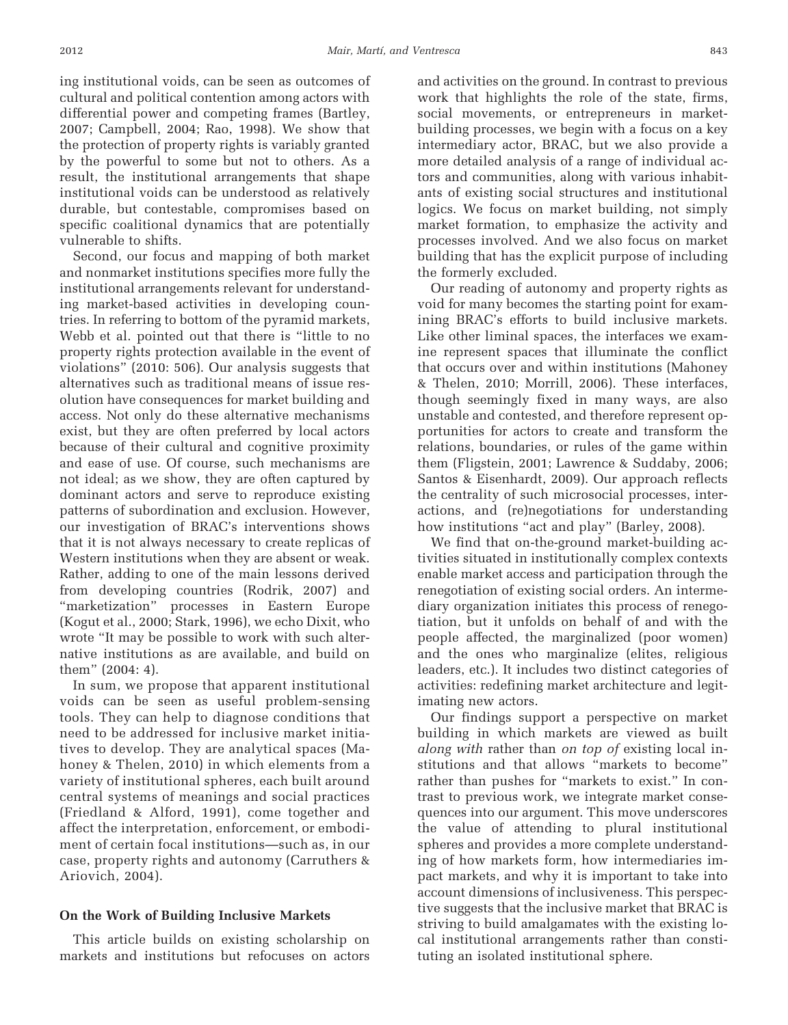ing institutional voids, can be seen as outcomes of cultural and political contention among actors with differential power and competing frames (Bartley, 2007; Campbell, 2004; Rao, 1998). We show that the protection of property rights is variably granted by the powerful to some but not to others. As a result, the institutional arrangements that shape institutional voids can be understood as relatively durable, but contestable, compromises based on specific coalitional dynamics that are potentially vulnerable to shifts.

Second, our focus and mapping of both market and nonmarket institutions specifies more fully the institutional arrangements relevant for understanding market-based activities in developing countries. In referring to bottom of the pyramid markets, Webb et al. pointed out that there is "little to no property rights protection available in the event of violations" (2010: 506). Our analysis suggests that alternatives such as traditional means of issue resolution have consequences for market building and access. Not only do these alternative mechanisms exist, but they are often preferred by local actors because of their cultural and cognitive proximity and ease of use. Of course, such mechanisms are not ideal; as we show, they are often captured by dominant actors and serve to reproduce existing patterns of subordination and exclusion. However, our investigation of BRAC's interventions shows that it is not always necessary to create replicas of Western institutions when they are absent or weak. Rather, adding to one of the main lessons derived from developing countries (Rodrik, 2007) and "marketization" processes in Eastern Europe (Kogut et al., 2000; Stark, 1996), we echo Dixit, who wrote "It may be possible to work with such alternative institutions as are available, and build on them" (2004: 4).

In sum, we propose that apparent institutional voids can be seen as useful problem-sensing tools. They can help to diagnose conditions that need to be addressed for inclusive market initiatives to develop. They are analytical spaces (Mahoney & Thelen, 2010) in which elements from a variety of institutional spheres, each built around central systems of meanings and social practices (Friedland & Alford, 1991), come together and affect the interpretation, enforcement, or embodiment of certain focal institutions—such as, in our case, property rights and autonomy (Carruthers & Ariovich, 2004).

# **On the Work of Building Inclusive Markets**

This article builds on existing scholarship on markets and institutions but refocuses on actors and activities on the ground. In contrast to previous work that highlights the role of the state, firms, social movements, or entrepreneurs in marketbuilding processes, we begin with a focus on a key intermediary actor, BRAC, but we also provide a more detailed analysis of a range of individual actors and communities, along with various inhabitants of existing social structures and institutional logics. We focus on market building, not simply market formation, to emphasize the activity and processes involved. And we also focus on market building that has the explicit purpose of including the formerly excluded.

Our reading of autonomy and property rights as void for many becomes the starting point for examining BRAC's efforts to build inclusive markets. Like other liminal spaces, the interfaces we examine represent spaces that illuminate the conflict that occurs over and within institutions (Mahoney & Thelen, 2010; Morrill, 2006). These interfaces, though seemingly fixed in many ways, are also unstable and contested, and therefore represent opportunities for actors to create and transform the relations, boundaries, or rules of the game within them (Fligstein, 2001; Lawrence & Suddaby, 2006; Santos & Eisenhardt, 2009). Our approach reflects the centrality of such microsocial processes, interactions, and (re)negotiations for understanding how institutions "act and play" (Barley, 2008).

We find that on-the-ground market-building activities situated in institutionally complex contexts enable market access and participation through the renegotiation of existing social orders. An intermediary organization initiates this process of renegotiation, but it unfolds on behalf of and with the people affected, the marginalized (poor women) and the ones who marginalize (elites, religious leaders, etc.). It includes two distinct categories of activities: redefining market architecture and legitimating new actors.

Our findings support a perspective on market building in which markets are viewed as built *along with* rather than *on top of* existing local institutions and that allows "markets to become" rather than pushes for "markets to exist." In contrast to previous work, we integrate market consequences into our argument. This move underscores the value of attending to plural institutional spheres and provides a more complete understanding of how markets form, how intermediaries impact markets, and why it is important to take into account dimensions of inclusiveness. This perspective suggests that the inclusive market that BRAC is striving to build amalgamates with the existing local institutional arrangements rather than constituting an isolated institutional sphere.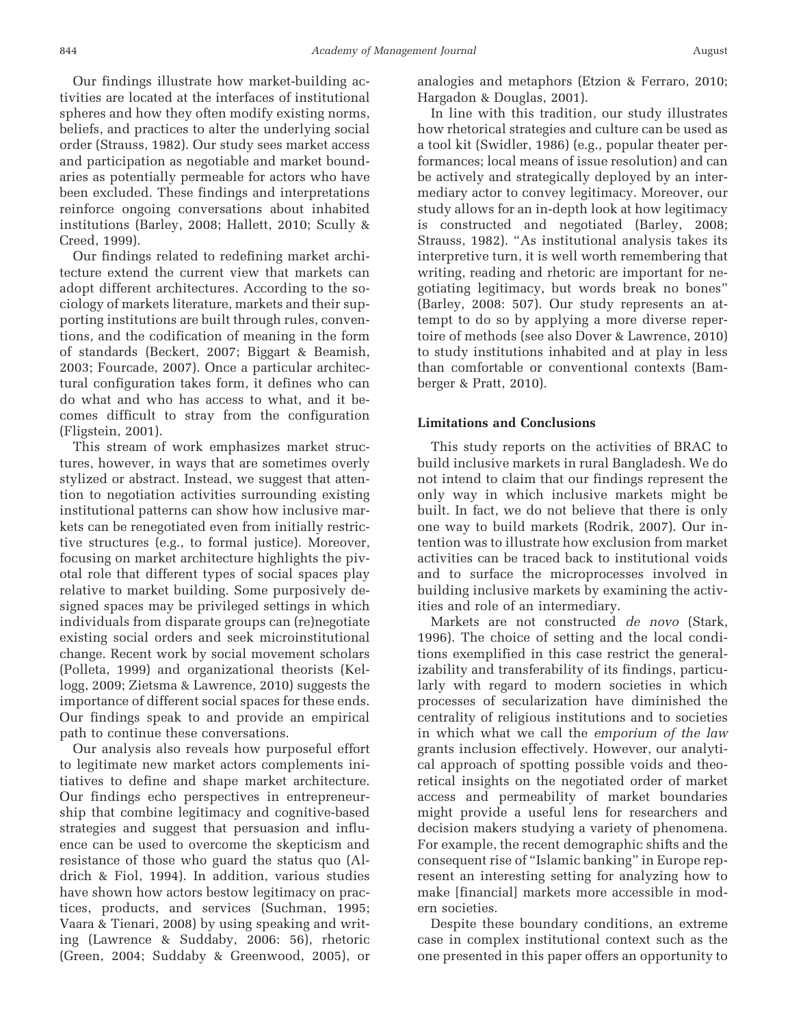Our findings illustrate how market-building activities are located at the interfaces of institutional spheres and how they often modify existing norms, beliefs, and practices to alter the underlying social order (Strauss, 1982). Our study sees market access and participation as negotiable and market boundaries as potentially permeable for actors who have been excluded. These findings and interpretations reinforce ongoing conversations about inhabited institutions (Barley, 2008; Hallett, 2010; Scully & Creed, 1999).

Our findings related to redefining market architecture extend the current view that markets can adopt different architectures. According to the sociology of markets literature, markets and their supporting institutions are built through rules, conventions, and the codification of meaning in the form of standards (Beckert, 2007; Biggart & Beamish, 2003; Fourcade, 2007). Once a particular architectural configuration takes form, it defines who can do what and who has access to what, and it becomes difficult to stray from the configuration (Fligstein, 2001).

This stream of work emphasizes market structures, however, in ways that are sometimes overly stylized or abstract. Instead, we suggest that attention to negotiation activities surrounding existing institutional patterns can show how inclusive markets can be renegotiated even from initially restrictive structures (e.g., to formal justice). Moreover, focusing on market architecture highlights the pivotal role that different types of social spaces play relative to market building. Some purposively designed spaces may be privileged settings in which individuals from disparate groups can (re)negotiate existing social orders and seek microinstitutional change. Recent work by social movement scholars (Polleta, 1999) and organizational theorists (Kellogg, 2009; Zietsma & Lawrence, 2010) suggests the importance of different social spaces for these ends. Our findings speak to and provide an empirical path to continue these conversations.

Our analysis also reveals how purposeful effort to legitimate new market actors complements initiatives to define and shape market architecture. Our findings echo perspectives in entrepreneurship that combine legitimacy and cognitive-based strategies and suggest that persuasion and influence can be used to overcome the skepticism and resistance of those who guard the status quo (Aldrich & Fiol, 1994). In addition, various studies have shown how actors bestow legitimacy on practices, products, and services (Suchman, 1995; Vaara & Tienari, 2008) by using speaking and writing (Lawrence & Suddaby, 2006: 56), rhetoric (Green, 2004; Suddaby & Greenwood, 2005), or

analogies and metaphors (Etzion & Ferraro, 2010; Hargadon & Douglas, 2001).

In line with this tradition, our study illustrates how rhetorical strategies and culture can be used as a tool kit (Swidler, 1986) (e.g., popular theater performances; local means of issue resolution) and can be actively and strategically deployed by an intermediary actor to convey legitimacy. Moreover, our study allows for an in-depth look at how legitimacy is constructed and negotiated (Barley, 2008; Strauss, 1982). "As institutional analysis takes its interpretive turn, it is well worth remembering that writing, reading and rhetoric are important for negotiating legitimacy, but words break no bones" (Barley, 2008: 507). Our study represents an attempt to do so by applying a more diverse repertoire of methods (see also Dover & Lawrence, 2010) to study institutions inhabited and at play in less than comfortable or conventional contexts (Bamberger & Pratt, 2010).

#### **Limitations and Conclusions**

This study reports on the activities of BRAC to build inclusive markets in rural Bangladesh. We do not intend to claim that our findings represent the only way in which inclusive markets might be built. In fact, we do not believe that there is only one way to build markets (Rodrik, 2007). Our intention was to illustrate how exclusion from market activities can be traced back to institutional voids and to surface the microprocesses involved in building inclusive markets by examining the activities and role of an intermediary.

Markets are not constructed *de novo* (Stark, 1996). The choice of setting and the local conditions exemplified in this case restrict the generalizability and transferability of its findings, particularly with regard to modern societies in which processes of secularization have diminished the centrality of religious institutions and to societies in which what we call the *emporium of the law* grants inclusion effectively. However, our analytical approach of spotting possible voids and theoretical insights on the negotiated order of market access and permeability of market boundaries might provide a useful lens for researchers and decision makers studying a variety of phenomena. For example, the recent demographic shifts and the consequent rise of "Islamic banking" in Europe represent an interesting setting for analyzing how to make [financial] markets more accessible in modern societies.

Despite these boundary conditions, an extreme case in complex institutional context such as the one presented in this paper offers an opportunity to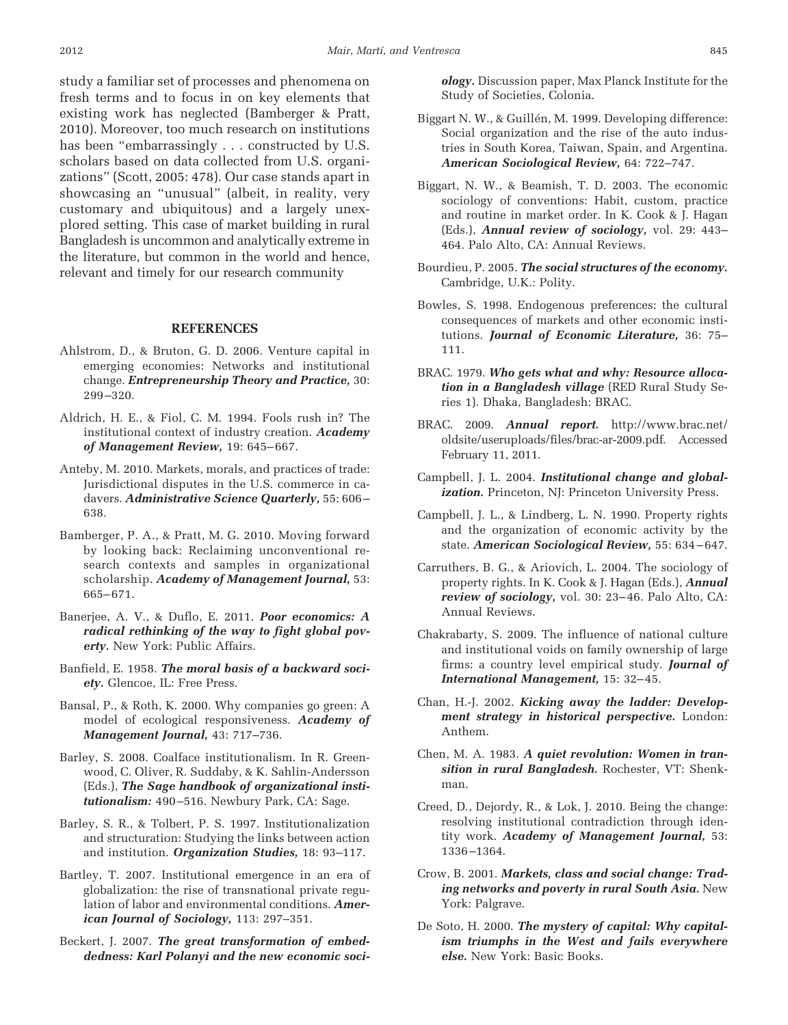study a familiar set of processes and phenomena on fresh terms and to focus in on key elements that existing work has neglected (Bamberger & Pratt, 2010). Moreover, too much research on institutions has been "embarrassingly... constructed by U.S. scholars based on data collected from U.S. organizations" (Scott, 2005: 478). Our case stands apart in showcasing an "unusual" (albeit, in reality, very customary and ubiquitous) and a largely unexplored setting. This case of market building in rural Bangladesh is uncommon and analytically extreme in the literature, but common in the world and hence, relevant and timely for our research community

#### **REFERENCES**

- Ahlstrom, D., & Bruton, G. D. 2006. Venture capital in emerging economies: Networks and institutional change. *Entrepreneurship Theory and Practice,* 30: 299–320.
- Aldrich, H. E., & Fiol, C. M. 1994. Fools rush in? The institutional context of industry creation. *Academy of Management Review,* 19: 645–667.
- Anteby, M. 2010. Markets, morals, and practices of trade: Jurisdictional disputes in the U.S. commerce in cadavers. *Administrative Science Quarterly,* 55: 606– 638.
- Bamberger, P. A., & Pratt, M. G. 2010. Moving forward by looking back: Reclaiming unconventional research contexts and samples in organizational scholarship. *Academy of Management Journal,* 53: 665–671.
- Banerjee, A. V., & Duflo, E. 2011. *Poor economics: A radical rethinking of the way to fight global poverty.* New York: Public Affairs.
- Banfield, E. 1958. *The moral basis of a backward society.* Glencoe, IL: Free Press.
- Bansal, P., & Roth, K. 2000. Why companies go green: A model of ecological responsiveness. *Academy of Management Journal,* 43: 717–736.
- Barley, S. 2008. Coalface institutionalism. In R. Greenwood, C. Oliver, R. Suddaby, & K. Sahlin-Andersson (Eds.), *The Sage handbook of organizational institutionalism:* 490–516. Newbury Park, CA: Sage.
- Barley, S. R., & Tolbert, P. S. 1997. Institutionalization and structuration: Studying the links between action and institution. *Organization Studies,* 18: 93–117.
- Bartley, T. 2007. Institutional emergence in an era of globalization: the rise of transnational private regulation of labor and environmental conditions. *American Journal of Sociology,* 113: 297–351.
- Beckert, J. 2007. *The great transformation of embeddedness: Karl Polanyi and the new economic soci-*

*ology.* Discussion paper, Max Planck Institute for the Study of Societies, Colonia.

- Biggart N. W., & Guillén, M. 1999. Developing difference: Social organization and the rise of the auto industries in South Korea, Taiwan, Spain, and Argentina. *American Sociological Review,* 64: 722–747.
- Biggart, N. W., & Beamish, T. D. 2003. The economic sociology of conventions: Habit, custom, practice and routine in market order. In K. Cook & J. Hagan (Eds.), *Annual review of sociology,* vol. 29: 443– 464. Palo Alto, CA: Annual Reviews.
- Bourdieu, P. 2005. *The social structures of the economy.* Cambridge, U.K.: Polity.
- Bowles, S. 1998. Endogenous preferences: the cultural consequences of markets and other economic institutions. *Journal of Economic Literature,* 36: 75– 111.
- BRAC. 1979. *Who gets what and why: Resource allocation in a Bangladesh village* (RED Rural Study Series 1). Dhaka, Bangladesh: BRAC.
- BRAC. 2009. *Annual report.* http://www.brac.net/ oldsite/useruploads/files/brac-ar-2009.pdf. Accessed February 11, 2011.
- Campbell, J. L. 2004. *Institutional change and global*ization. Princeton, NJ: Princeton University Press.
- Campbell, J. L., & Lindberg, L. N. 1990. Property rights and the organization of economic activity by the state. *American Sociological Review,* 55: 634–647.
- Carruthers, B. G., & Ariovich, L. 2004. The sociology of property rights. In K. Cook & J. Hagan (Eds.), *Annual review of sociology,* vol. 30: 23–46. Palo Alto, CA: Annual Reviews.
- Chakrabarty, S. 2009. The influence of national culture and institutional voids on family ownership of large firms: a country level empirical study. *Journal of International Management,* 15: 32–45.
- Chan, H.-J. 2002. *Kicking away the ladder: Development strategy in historical perspective.* London: Anthem.
- Chen, M. A. 1983. *A quiet revolution: Women in transition in rural Bangladesh.* Rochester, VT: Shenkman.
- Creed, D., Dejordy, R., & Lok, J. 2010. Being the change: resolving institutional contradiction through identity work. *Academy of Management Journal,* 53: 1336–1364.
- Crow, B. 2001. *Markets, class and social change: Trading networks and poverty in rural South Asia.* New York: Palgrave.
- De Soto, H. 2000. *The mystery of capital: Why capitalism triumphs in the West and fails everywhere else.* New York: Basic Books.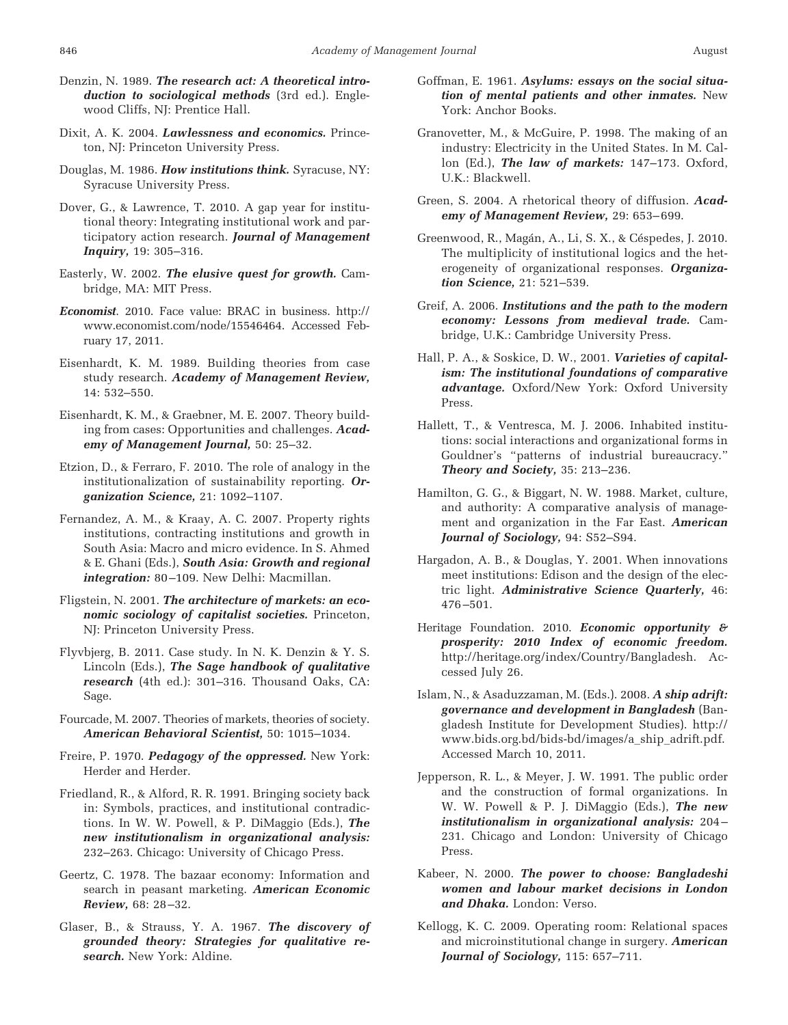- Denzin, N. 1989. *The research act: A theoretical introduction to sociological methods* (3rd ed.). Englewood Cliffs, NJ: Prentice Hall.
- Dixit, A. K. 2004. *Lawlessness and economics.* Princeton, NJ: Princeton University Press.
- Douglas, M. 1986. *How institutions think.* Syracuse, NY: Syracuse University Press.
- Dover, G., & Lawrence, T. 2010. A gap year for institutional theory: Integrating institutional work and participatory action research. *Journal of Management Inquiry,* 19: 305–316.
- Easterly, W. 2002. *The elusive quest for growth.* Cambridge, MA: MIT Press.
- *Economist*. 2010. Face value: BRAC in business. http:// www.economist.com/node/15546464. Accessed February 17, 2011.
- Eisenhardt, K. M. 1989. Building theories from case study research. *Academy of Management Review,* 14: 532–550.
- Eisenhardt, K. M., & Graebner, M. E. 2007. Theory building from cases: Opportunities and challenges. *Academy of Management Journal,* 50: 25–32.
- Etzion, D., & Ferraro, F. 2010. The role of analogy in the institutionalization of sustainability reporting. *Organization Science,* 21: 1092–1107.
- Fernandez, A. M., & Kraay, A. C. 2007. Property rights institutions, contracting institutions and growth in South Asia: Macro and micro evidence. In S. Ahmed & E. Ghani (Eds.), *South Asia: Growth and regional integration:* 80–109. New Delhi: Macmillan.
- Fligstein, N. 2001. *The architecture of markets: an economic sociology of capitalist societies.* Princeton, NJ: Princeton University Press.
- Flyvbjerg, B. 2011. Case study. In N. K. Denzin & Y. S. Lincoln (Eds.), *The Sage handbook of qualitative research* (4th ed.): 301–316. Thousand Oaks, CA: Sage.
- Fourcade, M. 2007. Theories of markets, theories of society. *American Behavioral Scientist,* 50: 1015–1034.
- Freire, P. 1970. *Pedagogy of the oppressed.* New York: Herder and Herder.
- Friedland, R., & Alford, R. R. 1991. Bringing society back in: Symbols, practices, and institutional contradictions. In W. W. Powell, & P. DiMaggio (Eds.), *The new institutionalism in organizational analysis:* 232–263. Chicago: University of Chicago Press.
- Geertz, C. 1978. The bazaar economy: Information and search in peasant marketing. *American Economic Review,* 68: 28–32.
- Glaser, B., & Strauss, Y. A. 1967. *The discovery of grounded theory: Strategies for qualitative research.* New York: Aldine.
- Goffman, E. 1961. *Asylums: essays on the social situation of mental patients and other inmates.* New York: Anchor Books.
- Granovetter, M., & McGuire, P. 1998. The making of an industry: Electricity in the United States. In M. Callon (Ed.), *The law of markets:* 147–173. Oxford, U.K.: Blackwell.
- Green, S. 2004. A rhetorical theory of diffusion. *Academy of Management Review,* 29: 653–699.
- Greenwood, R., Magán, A., Li, S. X., & Céspedes, J. 2010. The multiplicity of institutional logics and the heterogeneity of organizational responses. *Organization Science,* 21: 521–539.
- Greif, A. 2006. *Institutions and the path to the modern economy: Lessons from medieval trade.* Cambridge, U.K.: Cambridge University Press.
- Hall, P. A., & Soskice, D. W., 2001. *Varieties of capitalism: The institutional foundations of comparative advantage.* Oxford/New York: Oxford University Press.
- Hallett, T., & Ventresca, M. J. 2006. Inhabited institutions: social interactions and organizational forms in Gouldner's "patterns of industrial bureaucracy." *Theory and Society,* 35: 213–236.
- Hamilton, G. G., & Biggart, N. W. 1988. Market, culture, and authority: A comparative analysis of management and organization in the Far East. *American Journal of Sociology,* 94: S52–S94.
- Hargadon, A. B., & Douglas, Y. 2001. When innovations meet institutions: Edison and the design of the electric light. *Administrative Science Quarterly,* 46: 476–501.
- Heritage Foundation. 2010. *Economic opportunity & prosperity: 2010 Index of economic freedom.* http://heritage.org/index/Country/Bangladesh. Accessed July 26.
- Islam, N., & Asaduzzaman, M. (Eds.). 2008. *A ship adrift: governance and development in Bangladesh* (Bangladesh Institute for Development Studies). http:// www.bids.org.bd/bids-bd/images/a\_ship\_adrift.pdf. Accessed March 10, 2011.
- Jepperson, R. L., & Meyer, J. W. 1991. The public order and the construction of formal organizations. In W. W. Powell & P. J. DiMaggio (Eds.), *The new institutionalism in organizational analysis:* 204– 231. Chicago and London: University of Chicago Press.
- Kabeer, N. 2000. *The power to choose: Bangladeshi women and labour market decisions in London and Dhaka.* London: Verso.
- Kellogg, K. C. 2009. Operating room: Relational spaces and microinstitutional change in surgery. *American Journal of Sociology,* 115: 657–711.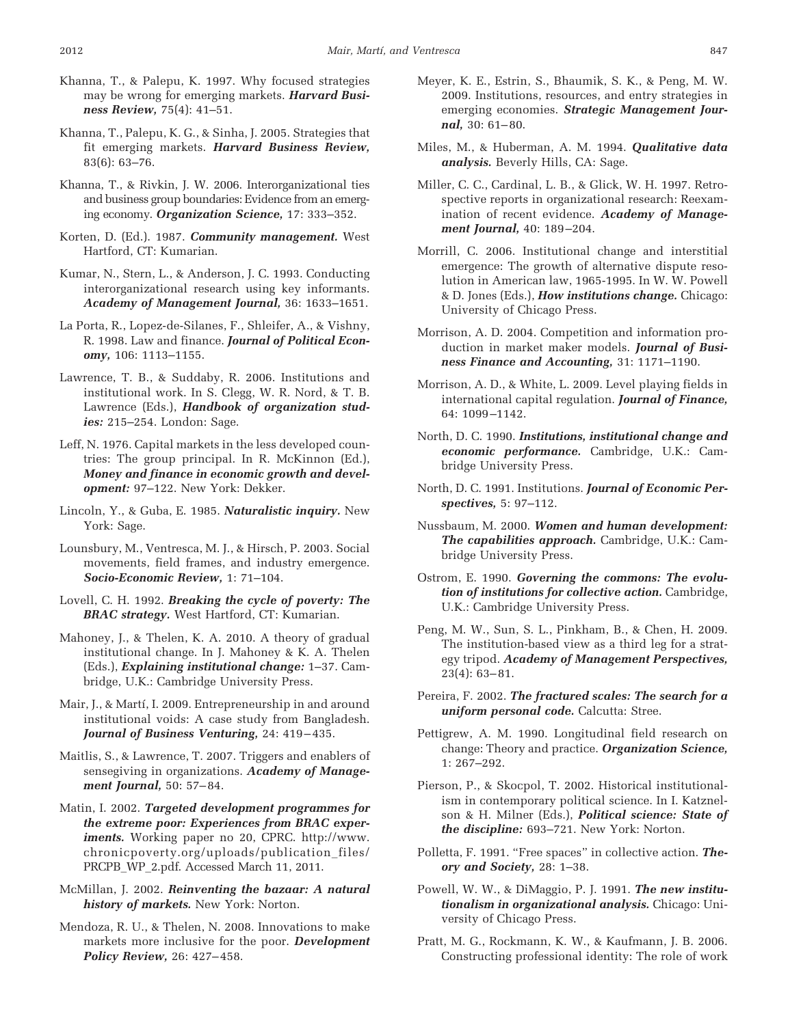- Khanna, T., & Palepu, K. 1997. Why focused strategies may be wrong for emerging markets. *Harvard Business Review,* 75(4): 41–51.
- Khanna, T., Palepu, K. G., & Sinha, J. 2005. Strategies that fit emerging markets. *Harvard Business Review,* 83(6): 63–76.
- Khanna, T., & Rivkin, J. W. 2006. Interorganizational ties and business group boundaries: Evidence from an emerging economy. *Organization Science,* 17: 333–352.
- Korten, D. (Ed.). 1987. *Community management.* West Hartford, CT: Kumarian.
- Kumar, N., Stern, L., & Anderson, J. C. 1993. Conducting interorganizational research using key informants. *Academy of Management Journal,* 36: 1633–1651.
- La Porta, R., Lopez-de-Silanes, F., Shleifer, A., & Vishny, R. 1998. Law and finance. *Journal of Political Economy,* 106: 1113–1155.
- Lawrence, T. B., & Suddaby, R. 2006. Institutions and institutional work. In S. Clegg, W. R. Nord, & T. B. Lawrence (Eds.), *Handbook of organization studies:* 215–254. London: Sage.
- Leff, N. 1976. Capital markets in the less developed countries: The group principal. In R. McKinnon (Ed.), *Money and finance in economic growth and development:* 97–122. New York: Dekker.
- Lincoln, Y., & Guba, E. 1985. *Naturalistic inquiry.* New York: Sage.
- Lounsbury, M., Ventresca, M. J., & Hirsch, P. 2003. Social movements, field frames, and industry emergence. *Socio-Economic Review,* 1: 71–104.
- Lovell, C. H. 1992. *Breaking the cycle of poverty: The BRAC strategy.* West Hartford, CT: Kumarian.
- Mahoney, J., & Thelen, K. A. 2010. A theory of gradual institutional change. In J. Mahoney & K. A. Thelen (Eds.), *Explaining institutional change:* 1–37. Cambridge, U.K.: Cambridge University Press.
- Mair, J., & Martí, I. 2009. Entrepreneurship in and around institutional voids: A case study from Bangladesh. *Journal of Business Venturing,* 24: 419–435.
- Maitlis, S., & Lawrence, T. 2007. Triggers and enablers of sensegiving in organizations. *Academy of Management Journal,* 50: 57–84.
- Matin, I. 2002. *Targeted development programmes for the extreme poor: Experiences from BRAC experiments.* Working paper no 20, CPRC. http://www. chronicpoverty.org/uploads/publication\_files/ PRCPB WP 2.pdf. Accessed March 11, 2011.
- McMillan, J. 2002. *Reinventing the bazaar: A natural history of markets.* New York: Norton.
- Mendoza, R. U., & Thelen, N. 2008. Innovations to make markets more inclusive for the poor. *Development Policy Review,* 26: 427–458.
- Meyer, K. E., Estrin, S., Bhaumik, S. K., & Peng, M. W. 2009. Institutions, resources, and entry strategies in emerging economies. *Strategic Management Journal,* 30: 61–80.
- Miles, M., & Huberman, A. M. 1994. *Qualitative data analysis.* Beverly Hills, CA: Sage.
- Miller, C. C., Cardinal, L. B., & Glick, W. H. 1997. Retrospective reports in organizational research: Reexamination of recent evidence. *Academy of Management Journal,* 40: 189–204.
- Morrill, C. 2006. Institutional change and interstitial emergence: The growth of alternative dispute resolution in American law, 1965-1995. In W. W. Powell & D. Jones (Eds.), *How institutions change.* Chicago: University of Chicago Press.
- Morrison, A. D. 2004. Competition and information production in market maker models. *Journal of Business Finance and Accounting,* 31: 1171–1190.
- Morrison, A. D., & White, L. 2009. Level playing fields in international capital regulation. *Journal of Finance,* 64: 1099–1142.
- North, D. C. 1990. *Institutions, institutional change and economic performance.* Cambridge, U.K.: Cambridge University Press.
- North, D. C. 1991. Institutions. *Journal of Economic Perspectives,* 5: 97–112.
- Nussbaum, M. 2000. *Women and human development: The capabilities approach.* Cambridge, U.K.: Cambridge University Press.
- Ostrom, E. 1990. *Governing the commons: The evolution of institutions for collective action.* Cambridge, U.K.: Cambridge University Press.
- Peng, M. W., Sun, S. L., Pinkham, B., & Chen, H. 2009. The institution-based view as a third leg for a strategy tripod. *Academy of Management Perspectives,* 23(4): 63–81.
- Pereira, F. 2002. *The fractured scales: The search for a uniform personal code.* Calcutta: Stree.
- Pettigrew, A. M. 1990. Longitudinal field research on change: Theory and practice. *Organization Science,* 1: 267–292.
- Pierson, P., & Skocpol, T. 2002. Historical institutionalism in contemporary political science. In I. Katznelson & H. Milner (Eds.), *Political science: State of the discipline:* 693–721. New York: Norton.
- Polletta, F. 1991. "Free spaces" in collective action. *Theory and Society,* 28: 1–38.
- Powell, W. W., & DiMaggio, P. J. 1991. *The new institutionalism in organizational analysis.* Chicago: University of Chicago Press.
- Pratt, M. G., Rockmann, K. W., & Kaufmann, J. B. 2006. Constructing professional identity: The role of work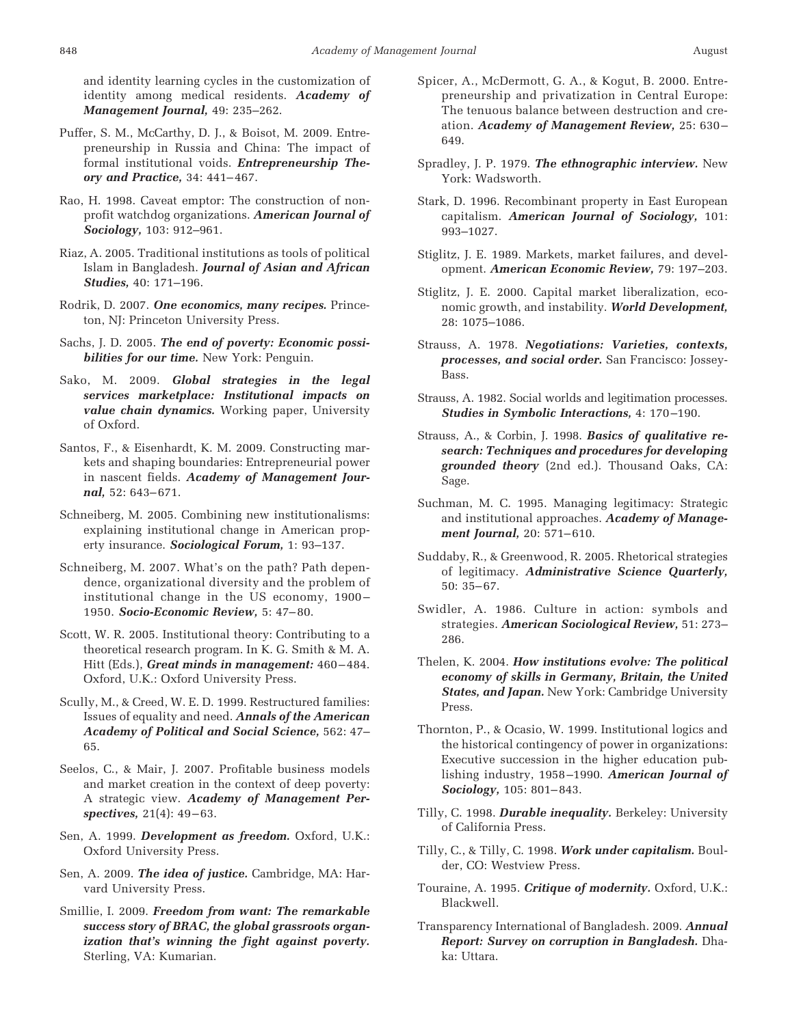and identity learning cycles in the customization of identity among medical residents. *Academy of Management Journal,* 49: 235–262.

- Puffer, S. M., McCarthy, D. J., & Boisot, M. 2009. Entrepreneurship in Russia and China: The impact of formal institutional voids. *Entrepreneurship Theory and Practice,* 34: 441–467.
- Rao, H. 1998. Caveat emptor: The construction of nonprofit watchdog organizations. *American Journal of Sociology,* 103: 912–961.
- Riaz, A. 2005. Traditional institutions as tools of political Islam in Bangladesh. *Journal of Asian and African Studies,* 40: 171–196.
- Rodrik, D. 2007. *One economics, many recipes.* Princeton, NJ: Princeton University Press.
- Sachs, J. D. 2005. *The end of poverty: Economic possibilities for our time.* New York: Penguin.
- Sako, M. 2009. *Global strategies in the legal services marketplace: Institutional impacts on value chain dynamics.* Working paper, University of Oxford.
- Santos, F., & Eisenhardt, K. M. 2009. Constructing markets and shaping boundaries: Entrepreneurial power in nascent fields. *Academy of Management Journal,* 52: 643–671.
- Schneiberg, M. 2005. Combining new institutionalisms: explaining institutional change in American property insurance. *Sociological Forum,* 1: 93–137.
- Schneiberg, M. 2007. What's on the path? Path dependence, organizational diversity and the problem of institutional change in the US economy, 1900– 1950. *Socio-Economic Review,* 5: 47–80.
- Scott, W. R. 2005. Institutional theory: Contributing to a theoretical research program. In K. G. Smith & M. A. Hitt (Eds.), *Great minds in management:* 460–484. Oxford, U.K.: Oxford University Press.
- Scully, M., & Creed, W. E. D. 1999. Restructured families: Issues of equality and need. *Annals of the American Academy of Political and Social Science,* 562: 47– 65.
- Seelos, C., & Mair, J. 2007. Profitable business models and market creation in the context of deep poverty: A strategic view. *Academy of Management Perspectives,* 21(4): 49–63.
- Sen, A. 1999. *Development as freedom.* Oxford, U.K.: Oxford University Press.
- Sen, A. 2009. *The idea of justice.* Cambridge, MA: Harvard University Press.
- Smillie, I. 2009. *Freedom from want: The remarkable success story of BRAC, the global grassroots organization that's winning the fight against poverty.* Sterling, VA: Kumarian.
- Spicer, A., McDermott, G. A., & Kogut, B. 2000. Entrepreneurship and privatization in Central Europe: The tenuous balance between destruction and creation. *Academy of Management Review,* 25: 630– 649.
- Spradley, J. P. 1979. *The ethnographic interview.* New York: Wadsworth.
- Stark, D. 1996. Recombinant property in East European capitalism. *American Journal of Sociology,* 101: 993–1027.
- Stiglitz, J. E. 1989. Markets, market failures, and development. *American Economic Review,* 79: 197–203.
- Stiglitz, J. E. 2000. Capital market liberalization, economic growth, and instability. *World Development,* 28: 1075–1086.
- Strauss, A. 1978. *Negotiations: Varieties, contexts, processes, and social order.* San Francisco: Jossey-Bass.
- Strauss, A. 1982. Social worlds and legitimation processes. *Studies in Symbolic Interactions,* 4: 170–190.
- Strauss, A., & Corbin, J. 1998. *Basics of qualitative research: Techniques and procedures for developing grounded theory* (2nd ed.). Thousand Oaks, CA: Sage.
- Suchman, M. C. 1995. Managing legitimacy: Strategic and institutional approaches. *Academy of Management Journal,* 20: 571–610.
- Suddaby, R., & Greenwood, R. 2005. Rhetorical strategies of legitimacy. *Administrative Science Quarterly,* 50: 35–67.
- Swidler, A. 1986. Culture in action: symbols and strategies. *American Sociological Review,* 51: 273– 286.
- Thelen, K. 2004. *How institutions evolve: The political economy of skills in Germany, Britain, the United States, and Japan.* New York: Cambridge University Press.
- Thornton, P., & Ocasio, W. 1999. Institutional logics and the historical contingency of power in organizations: Executive succession in the higher education publishing industry, 1958–1990. *American Journal of Sociology,* 105: 801–843.
- Tilly, C. 1998. *Durable inequality.* Berkeley: University of California Press.
- Tilly, C., & Tilly, C. 1998. *Work under capitalism.* Boulder, CO: Westview Press.
- Touraine, A. 1995. *Critique of modernity.* Oxford, U.K.: Blackwell.
- Transparency International of Bangladesh. 2009. *Annual Report: Survey on corruption in Bangladesh.* Dhaka: Uttara.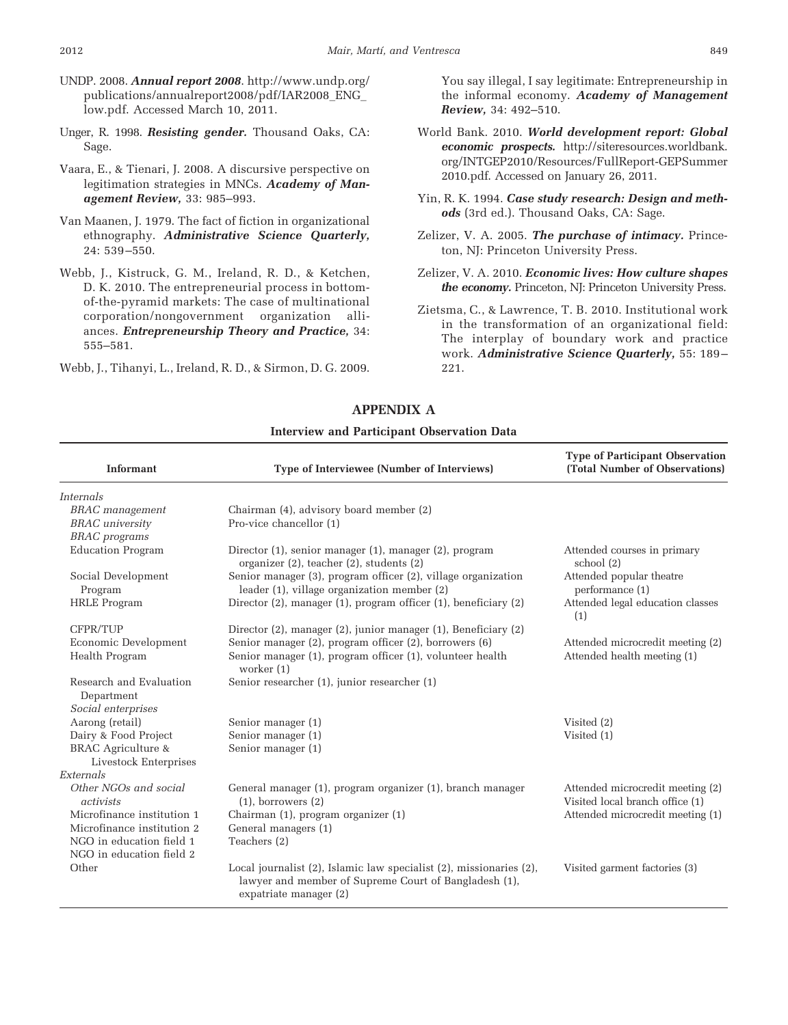- UNDP. 2008. *Annual report 2008*. http://www.undp.org/ publications/annualreport2008/pdf/IAR2008\_ENG\_ low.pdf. Accessed March 10, 2011.
- Unger, R. 1998. *Resisting gender.* Thousand Oaks, CA: Sage.
- Vaara, E., & Tienari, J. 2008. A discursive perspective on legitimation strategies in MNCs. *Academy of Management Review,* 33: 985–993.
- Van Maanen, J. 1979. The fact of fiction in organizational ethnography. *Administrative Science Quarterly,* 24: 539–550.
- Webb, J., Kistruck, G. M., Ireland, R. D., & Ketchen, D. K. 2010. The entrepreneurial process in bottomof-the-pyramid markets: The case of multinational corporation/nongovernment organization alliances. *Entrepreneurship Theory and Practice,* 34: 555–581.
- Webb, J., Tihanyi, L., Ireland, R. D., & Sirmon, D. G. 2009.

You say illegal, I say legitimate: Entrepreneurship in the informal economy. *Academy of Management Review,* 34: 492–510.

- World Bank. 2010. *World development report: Global economic prospects.* http://siteresources.worldbank. org/INTGEP2010/Resources/FullReport-GEPSummer 2010.pdf. Accessed on January 26, 2011.
- Yin, R. K. 1994. *Case study research: Design and methods* (3rd ed.). Thousand Oaks, CA: Sage.
- Zelizer, V. A. 2005. *The purchase of intimacy.* Princeton, NJ: Princeton University Press.
- Zelizer, V. A. 2010. *Economic lives: How culture shapes the economy.* Princeton, NJ: Princeton University Press.
- Zietsma, C., & Lawrence, T. B. 2010. Institutional work in the transformation of an organizational field: The interplay of boundary work and practice work. *Administrative Science Quarterly,* 55: 189– 221.

| <b>Informant</b>                                       | Type of Interviewee (Number of Interviews)                                                                                                             | <b>Type of Participant Observation</b><br>(Total Number of Observations) |
|--------------------------------------------------------|--------------------------------------------------------------------------------------------------------------------------------------------------------|--------------------------------------------------------------------------|
| Internals                                              |                                                                                                                                                        |                                                                          |
| <b>BRAC</b> management                                 | Chairman (4), advisory board member (2)                                                                                                                |                                                                          |
| <b>BRAC</b> university                                 | Pro-vice chancellor (1)                                                                                                                                |                                                                          |
| <b>BRAC</b> programs                                   |                                                                                                                                                        |                                                                          |
| <b>Education Program</b>                               | Director (1), senior manager (1), manager (2), program<br>organizer (2), teacher (2), students (2)                                                     | Attended courses in primary<br>school(2)                                 |
| Social Development                                     | Senior manager (3), program officer (2), village organization                                                                                          | Attended popular theatre                                                 |
| Program                                                | leader (1), village organization member (2)                                                                                                            | performance (1)                                                          |
| <b>HRLE Program</b>                                    | Director (2), manager (1), program officer (1), beneficiary (2)                                                                                        | Attended legal education classes<br>(1)                                  |
| CFPR/TUP                                               | Director (2), manager (2), junior manager (1), Beneficiary (2)                                                                                         |                                                                          |
| Economic Development                                   | Senior manager (2), program officer (2), borrowers (6)                                                                                                 | Attended microcredit meeting (2)                                         |
| Health Program                                         | Senior manager (1), program officer (1), volunteer health<br>worker $(1)$                                                                              | Attended health meeting (1)                                              |
| Research and Evaluation<br>Department                  | Senior researcher (1), junior researcher (1)                                                                                                           |                                                                          |
| Social enterprises                                     |                                                                                                                                                        |                                                                          |
| Aarong (retail)                                        | Senior manager (1)                                                                                                                                     | Visited (2)                                                              |
| Dairy & Food Project                                   | Senior manager (1)                                                                                                                                     | Visited (1)                                                              |
| BRAC Agriculture &                                     | Senior manager (1)                                                                                                                                     |                                                                          |
| Livestock Enterprises                                  |                                                                                                                                                        |                                                                          |
| Externals                                              |                                                                                                                                                        |                                                                          |
| Other NGOs and social                                  | General manager (1), program organizer (1), branch manager                                                                                             | Attended microcredit meeting (2)                                         |
| activists                                              | $(1)$ , borrowers $(2)$                                                                                                                                | Visited local branch office (1)                                          |
| Microfinance institution 1                             | Chairman (1), program organizer (1)                                                                                                                    | Attended microcredit meeting (1)                                         |
| Microfinance institution 2<br>NGO in education field 1 | General managers (1)<br>Teachers (2)                                                                                                                   |                                                                          |
| NGO in education field 2                               |                                                                                                                                                        |                                                                          |
| Other                                                  |                                                                                                                                                        |                                                                          |
|                                                        | Local journalist (2), Islamic law specialist (2), missionaries (2),<br>lawyer and member of Supreme Court of Bangladesh (1),<br>expatriate manager (2) | Visited garment factories (3)                                            |

# **APPENDIX A**

#### **Interview and Participant Observation Data**